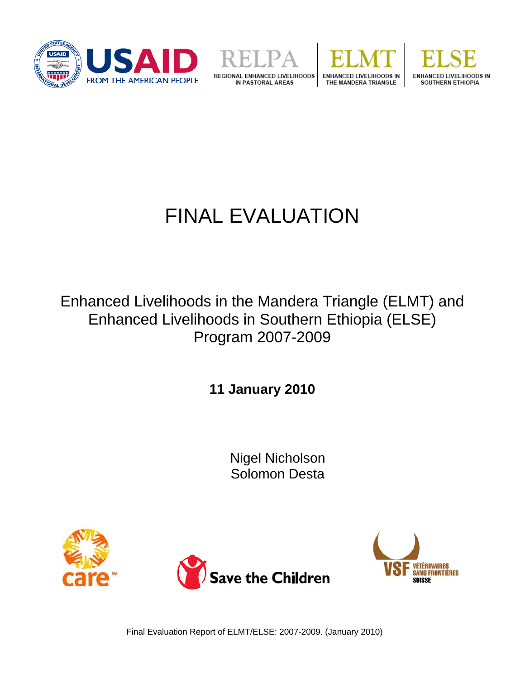







# FINAL EVALUATION

Enhanced Livelihoods in the Mandera Triangle (ELMT) and Enhanced Livelihoods in Southern Ethiopia (ELSE) Program 2007-2009

**11 January 2010** 

Nigel Nicholson Solomon Desta







Final Evaluation Report of ELMT/ELSE: 2007-2009. (January 2010)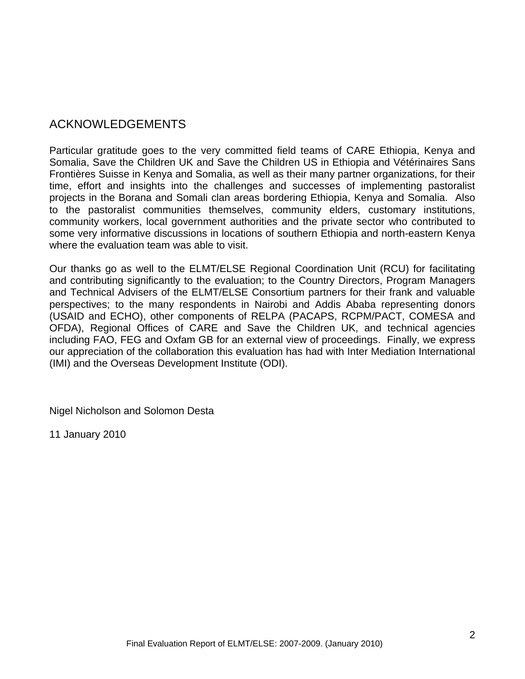# ACKNOWLEDGEMENTS

Particular gratitude goes to the very committed field teams of CARE Ethiopia, Kenya and Somalia, Save the Children UK and Save the Children US in Ethiopia and Vétérinaires Sans Frontières Suisse in Kenya and Somalia, as well as their many partner organizations, for their time, effort and insights into the challenges and successes of implementing pastoralist projects in the Borana and Somali clan areas bordering Ethiopia, Kenya and Somalia. Also to the pastoralist communities themselves, community elders, customary institutions, community workers, local government authorities and the private sector who contributed to some very informative discussions in locations of southern Ethiopia and north-eastern Kenya where the evaluation team was able to visit.

Our thanks go as well to the ELMT/ELSE Regional Coordination Unit (RCU) for facilitating and contributing significantly to the evaluation; to the Country Directors, Program Managers and Technical Advisers of the ELMT/ELSE Consortium partners for their frank and valuable perspectives; to the many respondents in Nairobi and Addis Ababa representing donors (USAID and ECHO), other components of RELPA (PACAPS, RCPM/PACT, COMESA and OFDA), Regional Offices of CARE and Save the Children UK, and technical agencies including FAO, FEG and Oxfam GB for an external view of proceedings. Finally, we express our appreciation of the collaboration this evaluation has had with Inter Mediation International (IMI) and the Overseas Development Institute (ODI).

Nigel Nicholson and Solomon Desta

11 January 2010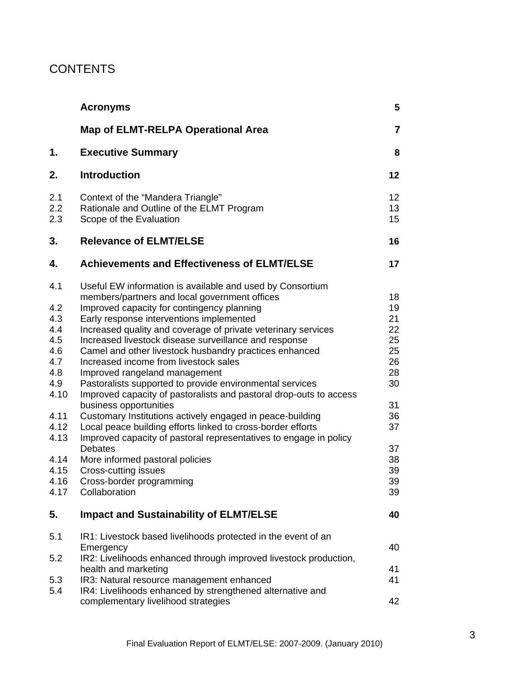# **CONTENTS**

|                                                                                                                             | <b>Acronyms</b>                                                                                                                                                                                                                                                                                                                                                                                                                                                                                                                                                                                                                                                                                                                                                                                                                                                                                                                                           | 5                                                                                                  |
|-----------------------------------------------------------------------------------------------------------------------------|-----------------------------------------------------------------------------------------------------------------------------------------------------------------------------------------------------------------------------------------------------------------------------------------------------------------------------------------------------------------------------------------------------------------------------------------------------------------------------------------------------------------------------------------------------------------------------------------------------------------------------------------------------------------------------------------------------------------------------------------------------------------------------------------------------------------------------------------------------------------------------------------------------------------------------------------------------------|----------------------------------------------------------------------------------------------------|
|                                                                                                                             | <b>Map of ELMT-RELPA Operational Area</b>                                                                                                                                                                                                                                                                                                                                                                                                                                                                                                                                                                                                                                                                                                                                                                                                                                                                                                                 | $\overline{7}$                                                                                     |
| 1.                                                                                                                          | <b>Executive Summary</b>                                                                                                                                                                                                                                                                                                                                                                                                                                                                                                                                                                                                                                                                                                                                                                                                                                                                                                                                  | 8                                                                                                  |
| 2.                                                                                                                          | <b>Introduction</b>                                                                                                                                                                                                                                                                                                                                                                                                                                                                                                                                                                                                                                                                                                                                                                                                                                                                                                                                       | 12                                                                                                 |
| 2.1<br>2.2<br>2.3                                                                                                           | Context of the "Mandera Triangle"<br>Rationale and Outline of the ELMT Program<br>Scope of the Evaluation                                                                                                                                                                                                                                                                                                                                                                                                                                                                                                                                                                                                                                                                                                                                                                                                                                                 | 12<br>13<br>15                                                                                     |
| 3.                                                                                                                          | <b>Relevance of ELMT/ELSE</b>                                                                                                                                                                                                                                                                                                                                                                                                                                                                                                                                                                                                                                                                                                                                                                                                                                                                                                                             | 16                                                                                                 |
| 4.                                                                                                                          | <b>Achievements and Effectiveness of ELMT/ELSE</b>                                                                                                                                                                                                                                                                                                                                                                                                                                                                                                                                                                                                                                                                                                                                                                                                                                                                                                        | 17                                                                                                 |
| 4.1<br>4.2<br>4.3<br>4.4<br>4.5<br>4.6<br>4.7<br>4.8<br>4.9<br>4.10<br>4.11<br>4.12<br>4.13<br>4.14<br>4.15<br>4.16<br>4.17 | Useful EW information is available and used by Consortium<br>members/partners and local government offices<br>Improved capacity for contingency planning<br>Early response interventions implemented<br>Increased quality and coverage of private veterinary services<br>Increased livestock disease surveillance and response<br>Camel and other livestock husbandry practices enhanced<br>Increased income from livestock sales<br>Improved rangeland management<br>Pastoralists supported to provide environmental services<br>Improved capacity of pastoralists and pastoral drop-outs to access<br>business opportunities<br>Customary Institutions actively engaged in peace-building<br>Local peace building efforts linked to cross-border efforts<br>Improved capacity of pastoral representatives to engage in policy<br><b>Debates</b><br>More informed pastoral policies<br>Cross-cutting issues<br>Cross-border programming<br>Collaboration | 18<br>19<br>21<br>22<br>25<br>25<br>26<br>28<br>30<br>31<br>36<br>37<br>37<br>38<br>39<br>39<br>39 |
| 5.                                                                                                                          | <b>Impact and Sustainability of ELMT/ELSE</b>                                                                                                                                                                                                                                                                                                                                                                                                                                                                                                                                                                                                                                                                                                                                                                                                                                                                                                             | 40                                                                                                 |
| 5.1<br>5.2                                                                                                                  | IR1: Livestock based livelihoods protected in the event of an<br>Emergency<br>IR2: Livelihoods enhanced through improved livestock production,<br>health and marketing                                                                                                                                                                                                                                                                                                                                                                                                                                                                                                                                                                                                                                                                                                                                                                                    | 40<br>41                                                                                           |
| 5.3<br>5.4                                                                                                                  | IR3: Natural resource management enhanced<br>IR4: Livelihoods enhanced by strengthened alternative and<br>complementary livelihood strategies                                                                                                                                                                                                                                                                                                                                                                                                                                                                                                                                                                                                                                                                                                                                                                                                             | 41<br>42                                                                                           |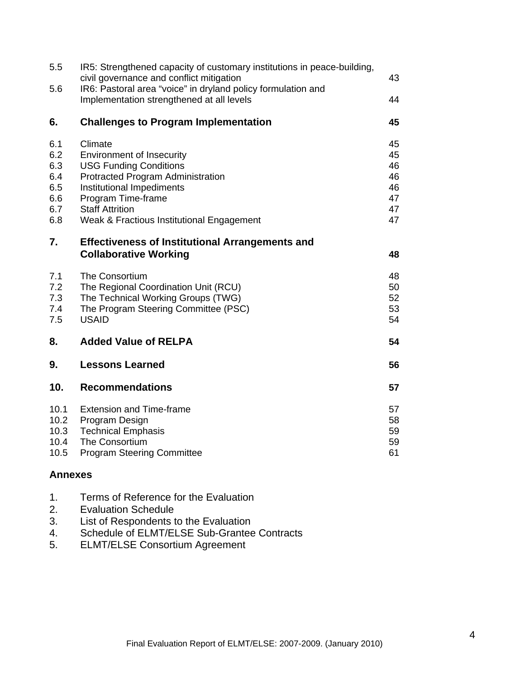| 5.5<br>5.6                                           | IR5: Strengthened capacity of customary institutions in peace-building,<br>civil governance and conflict mitigation<br>IR6: Pastoral area "voice" in dryland policy formulation and                                                         | 43<br>44                                     |
|------------------------------------------------------|---------------------------------------------------------------------------------------------------------------------------------------------------------------------------------------------------------------------------------------------|----------------------------------------------|
| 6.                                                   | Implementation strengthened at all levels<br><b>Challenges to Program Implementation</b>                                                                                                                                                    | 45                                           |
| 6.1<br>6.2<br>6.3<br>6.4<br>6.5<br>6.6<br>6.7<br>6.8 | Climate<br><b>Environment of Insecurity</b><br><b>USG Funding Conditions</b><br>Protracted Program Administration<br>Institutional Impediments<br>Program Time-frame<br><b>Staff Attrition</b><br>Weak & Fractious Institutional Engagement | 45<br>45<br>46<br>46<br>46<br>47<br>47<br>47 |
| 7.                                                   | <b>Effectiveness of Institutional Arrangements and</b><br><b>Collaborative Working</b>                                                                                                                                                      | 48                                           |
| 7.1<br>7.2<br>7.3<br>7.4<br>7.5                      | <b>The Consortium</b><br>The Regional Coordination Unit (RCU)<br>The Technical Working Groups (TWG)<br>The Program Steering Committee (PSC)<br><b>USAID</b>                                                                                 | 48<br>50<br>52<br>53<br>54                   |
| 8.                                                   | <b>Added Value of RELPA</b>                                                                                                                                                                                                                 | 54                                           |
| 9.                                                   | <b>Lessons Learned</b>                                                                                                                                                                                                                      | 56                                           |
| 10.                                                  | <b>Recommendations</b>                                                                                                                                                                                                                      | 57                                           |
| 10.1<br>10.2<br>10.3<br>10.4<br>10.5                 | <b>Extension and Time-frame</b><br>Program Design<br><b>Technical Emphasis</b><br>The Consortium<br><b>Program Steering Committee</b>                                                                                                       | 57<br>58<br>59<br>59<br>61                   |

### **Annexes**

|  | 1. | Terms of Reference for the Evaluation |
|--|----|---------------------------------------|
|--|----|---------------------------------------|

- 2. Evaluation Schedule
- 3. List of Respondents to the Evaluation
- 4. Schedule of ELMT/ELSE Sub-Grantee Contracts
- 5. ELMT/ELSE Consortium Agreement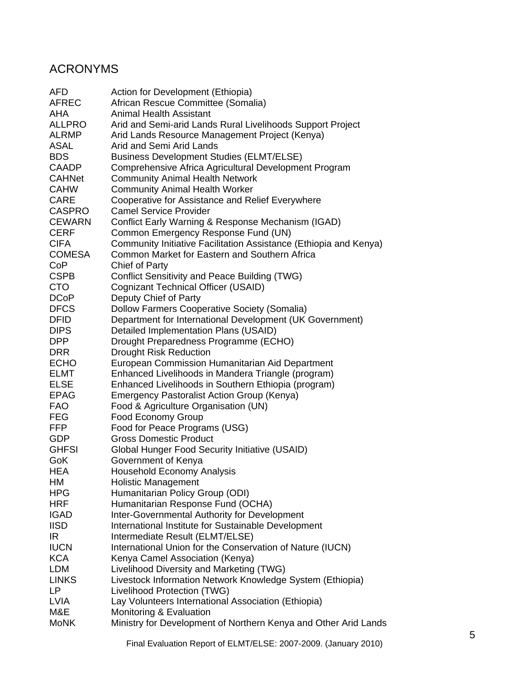# ACRONYMS

| AFD           | Action for Development (Ethiopia)                                 |
|---------------|-------------------------------------------------------------------|
| <b>AFREC</b>  | African Rescue Committee (Somalia)                                |
| <b>AHA</b>    | <b>Animal Health Assistant</b>                                    |
| <b>ALLPRO</b> | Arid and Semi-arid Lands Rural Livelihoods Support Project        |
| <b>ALRMP</b>  | Arid Lands Resource Management Project (Kenya)                    |
| ASAL          | Arid and Semi Arid Lands                                          |
| <b>BDS</b>    | <b>Business Development Studies (ELMT/ELSE)</b>                   |
| <b>CAADP</b>  | Comprehensive Africa Agricultural Development Program             |
| <b>CAHNet</b> | <b>Community Animal Health Network</b>                            |
| <b>CAHW</b>   | <b>Community Animal Health Worker</b>                             |
| <b>CARE</b>   | Cooperative for Assistance and Relief Everywhere                  |
| <b>CASPRO</b> | <b>Camel Service Provider</b>                                     |
| <b>CEWARN</b> | Conflict Early Warning & Response Mechanism (IGAD)                |
| <b>CERF</b>   | Common Emergency Response Fund (UN)                               |
| <b>CIFA</b>   | Community Initiative Facilitation Assistance (Ethiopia and Kenya) |
| <b>COMESA</b> | Common Market for Eastern and Southern Africa                     |
| CoP           | <b>Chief of Party</b>                                             |
| <b>CSPB</b>   | <b>Conflict Sensitivity and Peace Building (TWG)</b>              |
| <b>CTO</b>    | Cognizant Technical Officer (USAID)                               |
| <b>DCoP</b>   | Deputy Chief of Party                                             |
| <b>DFCS</b>   | Dollow Farmers Cooperative Society (Somalia)                      |
| <b>DFID</b>   | Department for International Development (UK Government)          |
| <b>DIPS</b>   | Detailed Implementation Plans (USAID)                             |
| <b>DPP</b>    | Drought Preparedness Programme (ECHO)                             |
| <b>DRR</b>    | <b>Drought Risk Reduction</b>                                     |
| <b>ECHO</b>   | European Commission Humanitarian Aid Department                   |
| <b>ELMT</b>   | Enhanced Livelihoods in Mandera Triangle (program)                |
| <b>ELSE</b>   | Enhanced Livelihoods in Southern Ethiopia (program)               |
| <b>EPAG</b>   | <b>Emergency Pastoralist Action Group (Kenya)</b>                 |
| <b>FAO</b>    | Food & Agriculture Organisation (UN)                              |
| <b>FEG</b>    | <b>Food Economy Group</b>                                         |
| FFP           | Food for Peace Programs (USG)                                     |
| GDP           | <b>Gross Domestic Product</b>                                     |
| <b>GHFSI</b>  | <b>Global Hunger Food Security Initiative (USAID)</b>             |
| GoK           | Government of Kenya                                               |
| <b>HEA</b>    | <b>Household Economy Analysis</b>                                 |
| НM            | <b>Holistic Management</b>                                        |
| <b>HPG</b>    | Humanitarian Policy Group (ODI)                                   |
| <b>HRF</b>    | Humanitarian Response Fund (OCHA)                                 |
| <b>IGAD</b>   | Inter-Governmental Authority for Development                      |
| <b>IISD</b>   | International Institute for Sustainable Development               |
| IR.           | Intermediate Result (ELMT/ELSE)                                   |
| <b>IUCN</b>   | International Union for the Conservation of Nature (IUCN)         |
| <b>KCA</b>    | Kenya Camel Association (Kenya)                                   |
| <b>LDM</b>    | Livelihood Diversity and Marketing (TWG)                          |
| <b>LINKS</b>  | Livestock Information Network Knowledge System (Ethiopia)         |
| LP.           | Livelihood Protection (TWG)                                       |
| <b>LVIA</b>   | Lay Volunteers International Association (Ethiopia)               |
| M&E           | Monitoring & Evaluation                                           |
| <b>MoNK</b>   | Ministry for Development of Northern Kenya and Other Arid Lands   |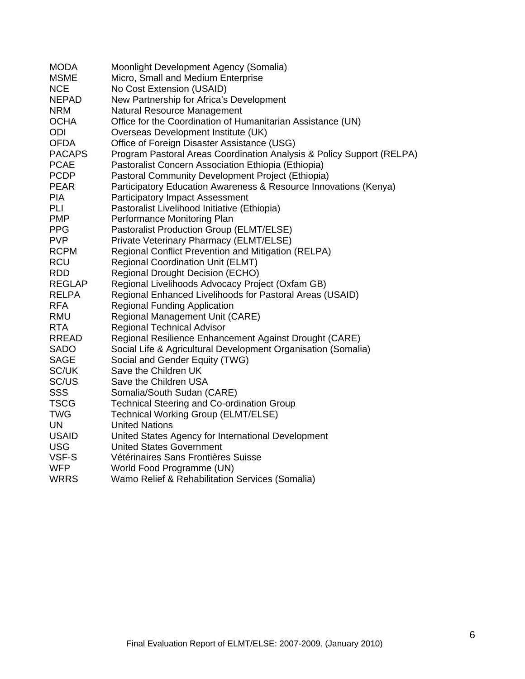| <b>MODA</b>   | Moonlight Development Agency (Somalia)                                |
|---------------|-----------------------------------------------------------------------|
| <b>MSME</b>   | Micro, Small and Medium Enterprise                                    |
| <b>NCE</b>    | No Cost Extension (USAID)                                             |
| <b>NEPAD</b>  | New Partnership for Africa's Development                              |
| <b>NRM</b>    | Natural Resource Management                                           |
| <b>OCHA</b>   | Office for the Coordination of Humanitarian Assistance (UN)           |
| ODI           | Overseas Development Institute (UK)                                   |
| <b>OFDA</b>   | Office of Foreign Disaster Assistance (USG)                           |
| <b>PACAPS</b> | Program Pastoral Areas Coordination Analysis & Policy Support (RELPA) |
| <b>PCAE</b>   | Pastoralist Concern Association Ethiopia (Ethiopia)                   |
| <b>PCDP</b>   | Pastoral Community Development Project (Ethiopia)                     |
| <b>PEAR</b>   | Participatory Education Awareness & Resource Innovations (Kenya)      |
| <b>PIA</b>    | <b>Participatory Impact Assessment</b>                                |
| PLI           | Pastoralist Livelihood Initiative (Ethiopia)                          |
| <b>PMP</b>    | Performance Monitoring Plan                                           |
| <b>PPG</b>    | Pastoralist Production Group (ELMT/ELSE)                              |
| <b>PVP</b>    | Private Veterinary Pharmacy (ELMT/ELSE)                               |
| <b>RCPM</b>   | Regional Conflict Prevention and Mitigation (RELPA)                   |
| <b>RCU</b>    | <b>Regional Coordination Unit (ELMT)</b>                              |
| <b>RDD</b>    | <b>Regional Drought Decision (ECHO)</b>                               |
| REGLAP        | Regional Livelihoods Advocacy Project (Oxfam GB)                      |
| <b>RELPA</b>  | Regional Enhanced Livelihoods for Pastoral Areas (USAID)              |
| <b>RFA</b>    | <b>Regional Funding Application</b>                                   |
| <b>RMU</b>    | <b>Regional Management Unit (CARE)</b>                                |
| <b>RTA</b>    | <b>Regional Technical Advisor</b>                                     |
| <b>RREAD</b>  | Regional Resilience Enhancement Against Drought (CARE)                |
| <b>SADO</b>   | Social Life & Agricultural Development Organisation (Somalia)         |
| <b>SAGE</b>   | Social and Gender Equity (TWG)                                        |
| SC/UK         | Save the Children UK                                                  |
| SC/US         | Save the Children USA                                                 |
| <b>SSS</b>    | Somalia/South Sudan (CARE)                                            |
| <b>TSCG</b>   | <b>Technical Steering and Co-ordination Group</b>                     |
| <b>TWG</b>    | <b>Technical Working Group (ELMT/ELSE)</b>                            |
| UN            | <b>United Nations</b>                                                 |
| <b>USAID</b>  | United States Agency for International Development                    |
| <b>USG</b>    | <b>United States Government</b>                                       |
| VSF-S         | Vétérinaires Sans Frontières Suisse                                   |
| <b>WFP</b>    | World Food Programme (UN)                                             |
| <b>WRRS</b>   | Wamo Relief & Rehabilitation Services (Somalia)                       |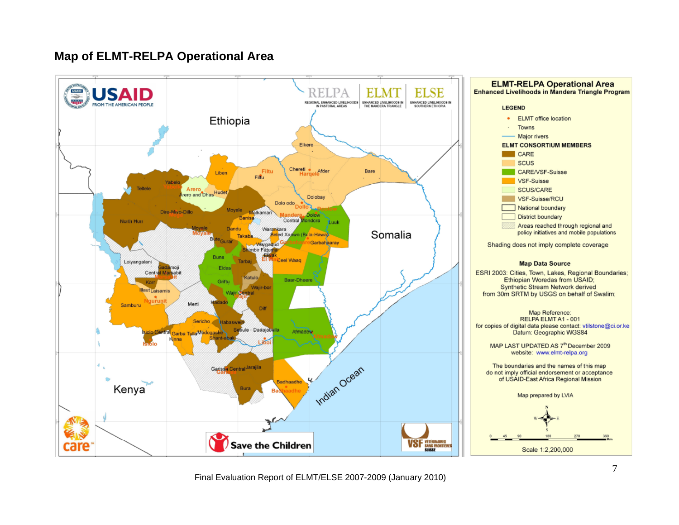# **Map of ELMT-RELPA Operational Area**

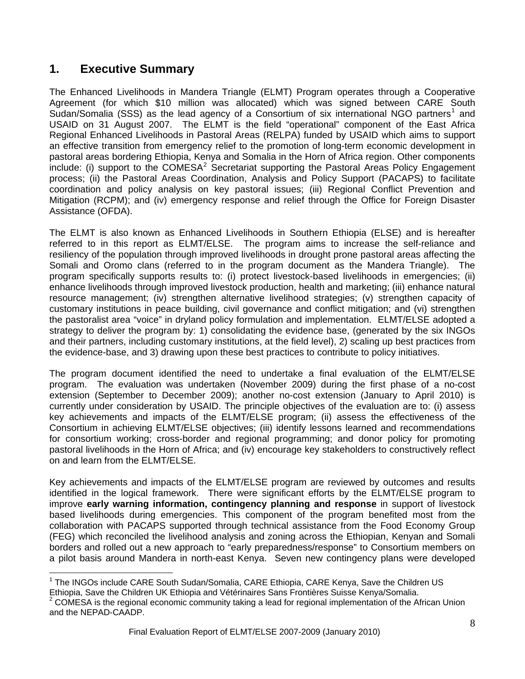# <span id="page-7-0"></span>**1. Executive Summary**

The Enhanced Livelihoods in Mandera Triangle (ELMT) Program operates through a Cooperative Agreement (for which \$10 million was allocated) which was signed between CARE South Sudan/Somalia (SSS) as the lead agency of a Consortium of six international NGO partners<sup>[1](#page-7-0)</sup> and USAID on 31 August 2007. The ELMT is the field "operational" component of the East Africa Regional Enhanced Livelihoods in Pastoral Areas (RELPA) funded by USAID which aims to support an effective transition from emergency relief to the promotion of long-term economic development in pastoral areas bordering Ethiopia, Kenya and Somalia in the Horn of Africa region. Other components include: (i) support to the COMESA<sup>[2](#page-7-0)</sup> Secretariat supporting the Pastoral Areas Policy Engagement process; (ii) the Pastoral Areas Coordination, Analysis and Policy Support (PACAPS) to facilitate coordination and policy analysis on key pastoral issues; (iii) Regional Conflict Prevention and Mitigation (RCPM); and (iv) emergency response and relief through the Office for Foreign Disaster Assistance (OFDA).

The ELMT is also known as Enhanced Livelihoods in Southern Ethiopia (ELSE) and is hereafter referred to in this report as ELMT/ELSE. The program aims to increase the self-reliance and resiliency of the population through improved livelihoods in drought prone pastoral areas affecting the Somali and Oromo clans (referred to in the program document as the Mandera Triangle). The program specifically supports results to: (i) protect livestock-based livelihoods in emergencies; (ii) enhance livelihoods through improved livestock production, health and marketing; (iii) enhance natural resource management; (iv) strengthen alternative livelihood strategies; (v) strengthen capacity of customary institutions in peace building, civil governance and conflict mitigation; and (vi) strengthen the pastoralist area "voice" in dryland policy formulation and implementation. ELMT/ELSE adopted a strategy to deliver the program by: 1) consolidating the evidence base, (generated by the six INGOs and their partners, including customary institutions, at the field level), 2) scaling up best practices from the evidence-base, and 3) drawing upon these best practices to contribute to policy initiatives.

The program document identified the need to undertake a final evaluation of the ELMT/ELSE program. The evaluation was undertaken (November 2009) during the first phase of a no-cost extension (September to December 2009); another no-cost extension (January to April 2010) is currently under consideration by USAID. The principle objectives of the evaluation are to: (i) assess key achievements and impacts of the ELMT/ELSE program; (ii) assess the effectiveness of the Consortium in achieving ELMT/ELSE objectives; (iii) identify lessons learned and recommendations for consortium working; cross-border and regional programming; and donor policy for promoting pastoral livelihoods in the Horn of Africa; and (iv) encourage key stakeholders to constructively reflect on and learn from the ELMT/ELSE.

Key achievements and impacts of the ELMT/ELSE program are reviewed by outcomes and results identified in the logical framework. There were significant efforts by the ELMT/ELSE program to improve **early warning information, contingency planning and response** in support of livestock based livelihoods during emergencies. This component of the program benefited most from the collaboration with PACAPS supported through technical assistance from the Food Economy Group (FEG) which reconciled the livelihood analysis and zoning across the Ethiopian, Kenyan and Somali borders and rolled out a new approach to "early preparedness/response" to Consortium members on a pilot basis around Mandera in north-east Kenya. Seven new contingency plans were developed

 $\overline{\phantom{a}}$ <sup>1</sup> The INGOs include CARE South Sudan/Somalia, CARE Ethiopia, CARE Kenya, Save the Children US Ethiopia, Save the Children UK Ethiopia and Vétérinaires Sans Frontières Suisse Kenya/Somalia.

 $2$  COMESA is the regional economic community taking a lead for regional implementation of the African Union and the NEPAD-CAADP.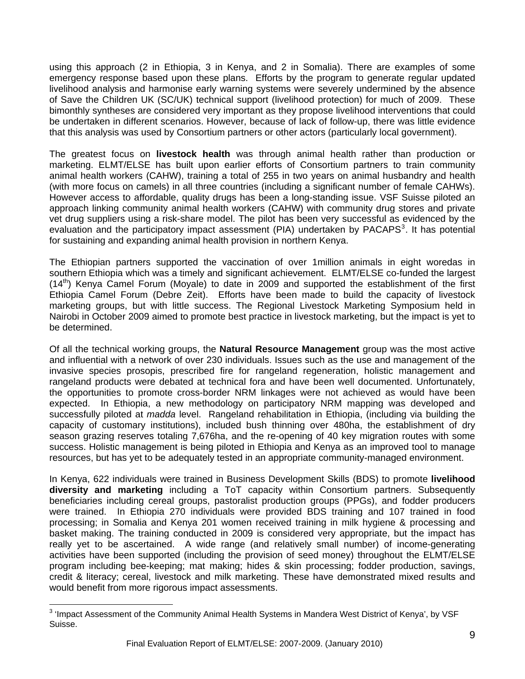<span id="page-8-0"></span>using this approach (2 in Ethiopia, 3 in Kenya, and 2 in Somalia). There are examples of some emergency response based upon these plans. Efforts by the program to generate regular updated livelihood analysis and harmonise early warning systems were severely undermined by the absence of Save the Children UK (SC/UK) technical support (livelihood protection) for much of 2009. These bimonthly syntheses are considered very important as they propose livelihood interventions that could be undertaken in different scenarios. However, because of lack of follow-up, there was little evidence that this analysis was used by Consortium partners or other actors (particularly local government).

. for sustaining and expanding animal health provision in northern Kenya The greatest focus on **livestock health** was through animal health rather than production or marketing. ELMT/ELSE has built upon earlier efforts of Consortium partners to train community animal health workers (CAHW), training a total of 255 in two years on animal husbandry and health (with more focus on camels) in all three countries (including a significant number of female CAHWs). However access to affordable, quality drugs has been a long-standing issue. VSF Suisse piloted an approach linking community animal health workers (CAHW) with community drug stores and private vet drug suppliers using a risk-share model. The pilot has been very successful as evidenced by the evaluation and the participatory impact assessment (PIA) undertaken by PACAPS<sup>[3](#page-8-0)</sup>. It has potential

The Ethiopian partners supported the vaccination of over 1million animals in eight woredas in southern Ethiopia which was a timely and significant achievement. ELMT/ELSE co-funded the largest  $(14<sup>th</sup>)$  Kenya Camel Forum (Moyale) to date in 2009 and supported the establishment of the first Ethiopia Camel Forum (Debre Zeit). Efforts have been made to build the capacity of livestock marketing groups, but with little success. The Regional Livestock Marketing Symposium held in Nairobi in October 2009 aimed to promote best practice in livestock marketing, but the impact is yet to be determined.

Of all the technical working groups, the **Natural Resource Management** group was the most active and influential with a network of over 230 individuals. Issues such as the use and management of the invasive species prosopis, prescribed fire for rangeland regeneration, holistic management and rangeland products were debated at technical fora and have been well documented. Unfortunately, the opportunities to promote cross-border NRM linkages were not achieved as would have been expected. In Ethiopia, a new methodology on participatory NRM mapping was developed and successfully piloted at *madda* level. Rangeland rehabilitation in Ethiopia, (including via building the capacity of customary institutions), included bush thinning over 480ha, the establishment of dry season grazing reserves totaling 7,676ha, and the re-opening of 40 key migration routes with some success. Holistic management is being piloted in Ethiopia and Kenya as an improved tool to manage resources, but has yet to be adequately tested in an appropriate community-managed environment.

In Kenya, 622 individuals were trained in Business Development Skills (BDS) to promote **livelihood diversity and marketing** including a ToT capacity within Consortium partners. Subsequently beneficiaries including cereal groups, pastoralist production groups (PPGs), and fodder producers were trained. In Ethiopia 270 individuals were provided BDS training and 107 trained in food processing; in Somalia and Kenya 201 women received training in milk hygiene & processing and basket making. The training conducted in 2009 is considered very appropriate, but the impact has really yet to be ascertained. A wide range (and relatively small number) of income-generating activities have been supported (including the provision of seed money) throughout the ELMT/ELSE program including bee-keeping; mat making; hides & skin processing; fodder production, savings, credit & literacy; cereal, livestock and milk marketing. These have demonstrated mixed results and would benefit from more rigorous impact assessments.

 3 'Impact Assessment of the Community Animal Health Systems in Mandera West District of Kenya', by VSF Suisse.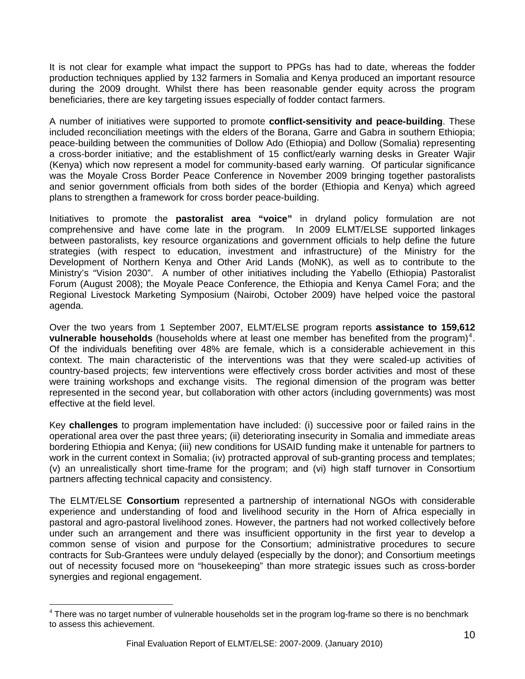<span id="page-9-0"></span>It is not clear for example what impact the support to PPGs has had to date, whereas the fodder production techniques applied by 132 farmers in Somalia and Kenya produced an important resource during the 2009 drought. Whilst there has been reasonable gender equity across the program beneficiaries, there are key targeting issues especially of fodder contact farmers.

A number of initiatives were supported to promote **conflict-sensitivity and peace-building**. These included reconciliation meetings with the elders of the Borana, Garre and Gabra in southern Ethiopia; peace-building between the communities of Dollow Ado (Ethiopia) and Dollow (Somalia) representing a cross-border initiative; and the establishment of 15 conflict/early warning desks in Greater Wajir (Kenya) which now represent a model for community-based early warning. Of particular significance was the Moyale Cross Border Peace Conference in November 2009 bringing together pastoralists and senior government officials from both sides of the border (Ethiopia and Kenya) which agreed plans to strengthen a framework for cross border peace-building.

Initiatives to promote the **pastoralist area "voice"** in dryland policy formulation are not comprehensive and have come late in the program. In 2009 ELMT/ELSE supported linkages between pastoralists, key resource organizations and government officials to help define the future strategies (with respect to education, investment and infrastructure) of the Ministry for the Development of Northern Kenya and Other Arid Lands (MoNK), as well as to contribute to the Ministry's "Vision 2030". A number of other initiatives including the Yabello (Ethiopia) Pastoralist Forum (August 2008); the Moyale Peace Conference, the Ethiopia and Kenya Camel Fora; and the Regional Livestock Marketing Symposium (Nairobi, October 2009) have helped voice the pastoral agenda.

Over the two years from 1 September 2007, ELMT/ELSE program reports **assistance to 159,612 vulnerable households** (households where at least one member has benefited from the program)<sup>[4](#page-9-0)</sup>. Of the individuals benefiting over 48% are female, which is a considerable achievement in this context. The main characteristic of the interventions was that they were scaled-up activities of country-based projects; few interventions were effectively cross border activities and most of these were training workshops and exchange visits. The regional dimension of the program was better represented in the second year, but collaboration with other actors (including governments) was most effective at the field level.

Key **challenges** to program implementation have included: (i) successive poor or failed rains in the operational area over the past three years; (ii) deteriorating insecurity in Somalia and immediate areas bordering Ethiopia and Kenya; (iii) new conditions for USAID funding make it untenable for partners to work in the current context in Somalia; (iv) protracted approval of sub-granting process and templates; (v) an unrealistically short time-frame for the program; and (vi) high staff turnover in Consortium partners affecting technical capacity and consistency.

The ELMT/ELSE **Consortium** represented a partnership of international NGOs with considerable experience and understanding of food and livelihood security in the Horn of Africa especially in pastoral and agro-pastoral livelihood zones. However, the partners had not worked collectively before under such an arrangement and there was insufficient opportunity in the first year to develop a common sense of vision and purpose for the Consortium; administrative procedures to secure contracts for Sub-Grantees were unduly delayed (especially by the donor); and Consortium meetings out of necessity focused more on "housekeeping" than more strategic issues such as cross-border synergies and regional engagement.

 $\overline{a}$ 

<sup>&</sup>lt;sup>4</sup> There was no target number of vulnerable households set in the program log-frame so there is no benchmark to assess this achievement.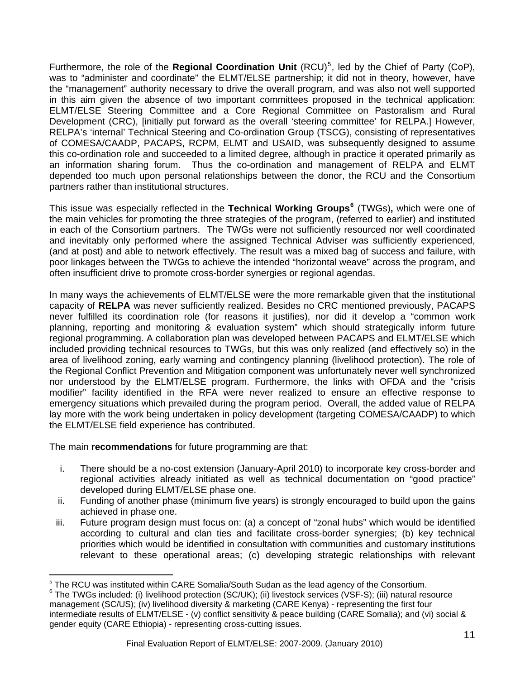<span id="page-10-0"></span>Furthermore, the role of the Regional Coordination Unit (RCU)<sup>[5](#page-10-0)</sup>, led by the Chief of Party (CoP), was to "administer and coordinate" the ELMT/ELSE partnership; it did not in theory, however, have the "management" authority necessary to drive the overall program, and was also not well supported in this aim given the absence of two important committees proposed in the technical application: ELMT/ELSE Steering Committee and a Core Regional Committee on Pastoralism and Rural Development (CRC), [initially put forward as the overall 'steering committee' for RELPA.] However, RELPA's 'internal' Technical Steering and Co-ordination Group (TSCG), consisting of representatives of COMESA/CAADP, PACAPS, RCPM, ELMT and USAID, was subsequently designed to assume this co-ordination role and succeeded to a limited degree, although in practice it operated primarily as an information sharing forum. Thus the co-ordination and management of RELPA and ELMT depended too much upon personal relationships between the donor, the RCU and the Consortium partners rather than institutional structures.

This issue was especially reflected in the **Technical Working Groups[6](#page-10-0)** (TWGs)**,** which were one of the main vehicles for promoting the three strategies of the program, (referred to earlier) and instituted in each of the Consortium partners. The TWGs were not sufficiently resourced nor well coordinated and inevitably only performed where the assigned Technical Adviser was sufficiently experienced, (and at post) and able to network effectively. The result was a mixed bag of success and failure, with poor linkages between the TWGs to achieve the intended "horizontal weave" across the program, and often insufficient drive to promote cross-border synergies or regional agendas.

In many ways the achievements of ELMT/ELSE were the more remarkable given that the institutional capacity of **RELPA** was never sufficiently realized. Besides no CRC mentioned previously, PACAPS never fulfilled its coordination role (for reasons it justifies), nor did it develop a "common work planning, reporting and monitoring & evaluation system" which should strategically inform future regional programming. A collaboration plan was developed between PACAPS and ELMT/ELSE which included providing technical resources to TWGs, but this was only realized (and effectively so) in the area of livelihood zoning, early warning and contingency planning (livelihood protection). The role of the Regional Conflict Prevention and Mitigation component was unfortunately never well synchronized nor understood by the ELMT/ELSE program. Furthermore, the links with OFDA and the "crisis modifier" facility identified in the RFA were never realized to ensure an effective response to emergency situations which prevailed during the program period. Overall, the added value of RELPA lay more with the work being undertaken in policy development (targeting COMESA/CAADP) to which the ELMT/ELSE field experience has contributed.

The main **recommendations** for future programming are that:

- i. There should be a no-cost extension (January-April 2010) to incorporate key cross-border and regional activities already initiated as well as technical documentation on "good practice" developed during ELMT/ELSE phase one.
- ii. Funding of another phase (minimum five years) is strongly encouraged to build upon the gains achieved in phase one.
- iii. Future program design must focus on: (a) a concept of "zonal hubs" which would be identified according to cultural and clan ties and facilitate cross-border synergies; (b) key technical priorities which would be identified in consultation with communities and customary institutions relevant to these operational areas; (c) developing strategic relationships with relevant

<sup>&</sup>lt;sup>5</sup> The RCU was instituted within CARE Somalia/South Sudan as the lead agency of the Consortium.<br><sup>6</sup> The TWCs instituted within CARE Somalia/South Sudan as the lead agency of the Consortium.

 $6$  The TWGs included: (i) livelihood protection (SC/UK); (ii) livestock services (VSF-S); (iii) natural resource management (SC/US); (iv) livelihood diversity & marketing (CARE Kenya) - representing the first four intermediate results of ELMT/ELSE - (v) conflict sensitivity & peace building (CARE Somalia); and (vi) social & gender equity (CARE Ethiopia) - representing cross-cutting issues.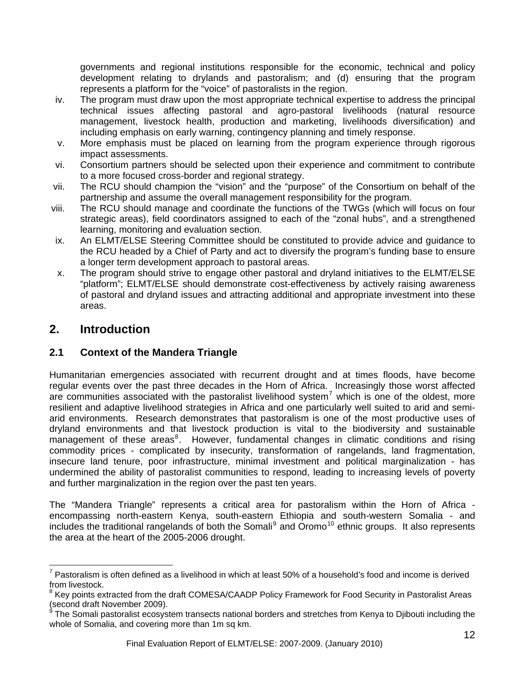<span id="page-11-0"></span>governments and regional institutions responsible for the economic, technical and policy development relating to drylands and pastoralism; and (d) ensuring that the program represents a platform for the "voice" of pastoralists in the region.

- iv. The program must draw upon the most appropriate technical expertise to address the principal technical issues affecting pastoral and agro-pastoral livelihoods (natural resource management, livestock health, production and marketing, livelihoods diversification) and including emphasis on early warning, contingency planning and timely response.
- v. More emphasis must be placed on learning from the program experience through rigorous impact assessments.
- vi. Consortium partners should be selected upon their experience and commitment to contribute to a more focused cross-border and regional strategy.
- vii. The RCU should champion the "vision" and the "purpose" of the Consortium on behalf of the partnership and assume the overall management responsibility for the program.
- viii. The RCU should manage and coordinate the functions of the TWGs (which will focus on four strategic areas), field coordinators assigned to each of the "zonal hubs", and a strengthened learning, monitoring and evaluation section.
- ix. An ELMT/ELSE Steering Committee should be constituted to provide advice and guidance to the RCU headed by a Chief of Party and act to diversify the program's funding base to ensure a longer term development approach to pastoral areas.
- x. The program should strive to engage other pastoral and dryland initiatives to the ELMT/ELSE "platform"; ELMT/ELSE should demonstrate cost-effectiveness by actively raising awareness of pastoral and dryland issues and attracting additional and appropriate investment into these areas.

# **2. Introduction**

 $\overline{a}$ 

# **2.1 Context of the Mandera Triangle**

Humanitarian emergencies associated with recurrent drought and at times floods, have become regular events over the past three decades in the Horn of Africa. Increasingly those worst affected are communities associated with the pastoralist livelihood system<sup>[7](#page-11-0)</sup> which is one of the oldest, more resilient and adaptive livelihood strategies in Africa and one particularly well suited to arid and semiarid environments. Research demonstrates that pastoralism is one of the most productive uses of dryland environments and that livestock production is vital to the biodiversity and sustainable management of these areas<sup>[8](#page-11-0)</sup>. However, fundamental changes in climatic conditions and rising commodity prices - complicated by insecurity, transformation of rangelands, land fragmentation, insecure land tenure, poor infrastructure, minimal investment and political marginalization - has undermined the ability of pastoralist communities to respond, leading to increasing levels of poverty and further marginalization in the region over the past ten years.

The "Mandera Triangle" represents a critical area for pastoralism within the Horn of Africa encompassing north-eastern Kenya, south-eastern Ethiopia and south-western Somalia - and includes the traditional rangelands of both the Somali $9$  and Oromo<sup>[10](#page-11-0)</sup> ethnic groups. It also represents the area at the heart of the 2005-2006 drought.

 $7$  Pastoralism is often defined as a livelihood in which at least 50% of a household's food and income is derived from livestock.

<sup>&</sup>lt;sup>8</sup> Key points extracted from the draft COMESA/CAADP Policy Framework for Food Security in Pastoralist Areas (second draft November 2009).<br><sup>9</sup> The Semali necteralist accever

The Somali pastoralist ecosystem transects national borders and stretches from Kenya to Djibouti including the whole of Somalia, and covering more than 1m sq km.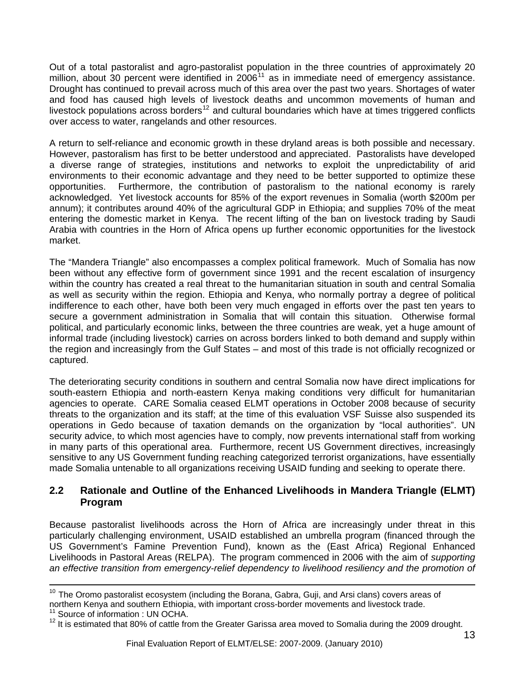<span id="page-12-0"></span>Out of a total pastoralist and agro-pastoralist population in the three countries of approximately 20 million, about 30 percent were identified in  $2006<sup>11</sup>$  $2006<sup>11</sup>$  $2006<sup>11</sup>$  as in immediate need of emergency assistance. Drought has continued to prevail across much of this area over the past two years. Shortages of water and food has caused high levels of livestock deaths and uncommon movements of human and livestock populations across borders<sup>[12](#page-12-0)</sup> and cultural boundaries which have at times triggered conflicts over access to water, rangelands and other resources.

A return to self-reliance and economic growth in these dryland areas is both possible and necessary. However, pastoralism has first to be better understood and appreciated. Pastoralists have developed a diverse range of strategies, institutions and networks to exploit the unpredictability of arid environments to their economic advantage and they need to be better supported to optimize these opportunities. Furthermore, the contribution of pastoralism to the national economy is rarely acknowledged. Yet livestock accounts for 85% of the export revenues in Somalia (worth \$200m per annum); it contributes around 40% of the agricultural GDP in Ethiopia; and supplies 70% of the meat entering the domestic market in Kenya. The recent lifting of the ban on livestock trading by Saudi Arabia with countries in the Horn of Africa opens up further economic opportunities for the livestock market.

The "Mandera Triangle" also encompasses a complex political framework. Much of Somalia has now been without any effective form of government since 1991 and the recent escalation of insurgency within the country has created a real threat to the humanitarian situation in south and central Somalia as well as security within the region. Ethiopia and Kenya, who normally portray a degree of political indifference to each other, have both been very much engaged in efforts over the past ten years to secure a government administration in Somalia that will contain this situation. Otherwise formal political, and particularly economic links, between the three countries are weak, yet a huge amount of informal trade (including livestock) carries on across borders linked to both demand and supply within the region and increasingly from the Gulf States – and most of this trade is not officially recognized or captured.

The deteriorating security conditions in southern and central Somalia now have direct implications for south-eastern Ethiopia and north-eastern Kenya making conditions very difficult for humanitarian agencies to operate. CARE Somalia ceased ELMT operations in October 2008 because of security threats to the organization and its staff; at the time of this evaluation VSF Suisse also suspended its operations in Gedo because of taxation demands on the organization by "local authorities". UN security advice, to which most agencies have to comply, now prevents international staff from working in many parts of this operational area. Furthermore, recent US Government directives, increasingly sensitive to any US Government funding reaching categorized terrorist organizations, have essentially made Somalia untenable to all organizations receiving USAID funding and seeking to operate there.

#### **2.2 Rationale and Outline of the Enhanced Livelihoods in Mandera Triangle (ELMT) Program**

Because pastoralist livelihoods across the Horn of Africa are increasingly under threat in this particularly challenging environment, USAID established an umbrella program (financed through the US Government's Famine Prevention Fund), known as the (East Africa) Regional Enhanced Livelihoods in Pastoral Areas (RELPA). The program commenced in 2006 with the aim of *supporting an effective transition from emergency-relief dependency to livelihood resiliency and the promotion of* 

 $\overline{a}$  $10$  The Oromo pastoralist ecosystem (including the Borana, Gabra, Guji, and Arsi clans) covers areas of northern Kenya and southern Ethiopia, with important cross-border movements and livestock trade.

<sup>&</sup>lt;sup>11</sup> Source of information : UN OCHA.

 $12$  It is estimated that 80% of cattle from the Greater Garissa area moved to Somalia during the 2009 drought.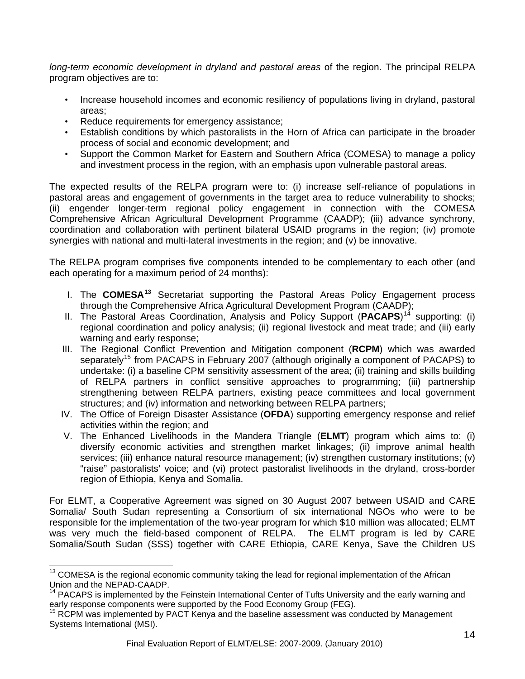<span id="page-13-0"></span>*long-term economic development in dryland and pastoral areas* of the region. The principal RELPA program objectives are to:

- Increase household incomes and economic resiliency of populations living in dryland, pastoral areas;
- Reduce requirements for emergency assistance;
- Establish conditions by which pastoralists in the Horn of Africa can participate in the broader process of social and economic development; and
- Support the Common Market for Eastern and Southern Africa (COMESA) to manage a policy and investment process in the region, with an emphasis upon vulnerable pastoral areas.

The expected results of the RELPA program were to: (i) increase self-reliance of populations in pastoral areas and engagement of governments in the target area to reduce vulnerability to shocks; (ii) engender longer-term regional policy engagement in connection with the COMESA Comprehensive African Agricultural Development Programme (CAADP); (iii) advance synchrony, coordination and collaboration with pertinent bilateral USAID programs in the region; (iv) promote synergies with national and multi-lateral investments in the region; and (v) be innovative.

The RELPA program comprises five components intended to be complementary to each other (and each operating for a maximum period of 24 months):

- I. The **COMESA[13](#page-13-0)** Secretariat supporting the Pastoral Areas Policy Engagement process through the Comprehensive Africa Agricultural Development Program (CAADP);
- II. The Pastoral Areas Coordination, Analysis and Policy Support (PACAPS)<sup>[14](#page-13-0)</sup> supporting: (i) regional coordination and policy analysis; (ii) regional livestock and meat trade; and (iii) early warning and early response;
- III. The Regional Conflict Prevention and Mitigation component (**RCPM**) which was awarded separately<sup>[15](#page-13-0)</sup> from PACAPS in February 2007 (although originally a component of PACAPS) to undertake: (i) a baseline CPM sensitivity assessment of the area; (ii) training and skills building of RELPA partners in conflict sensitive approaches to programming; (iii) partnership strengthening between RELPA partners, existing peace committees and local government structures; and (iv) information and networking between RELPA partners;
- IV. The Office of Foreign Disaster Assistance (**OFDA**) supporting emergency response and relief activities within the region; and
- V. The Enhanced Livelihoods in the Mandera Triangle (**ELMT**) program which aims to: (i) diversify economic activities and strengthen market linkages; (ii) improve animal health services; (iii) enhance natural resource management; (iv) strengthen customary institutions; (v) "raise" pastoralists' voice; and (vi) protect pastoralist livelihoods in the dryland, cross-border region of Ethiopia, Kenya and Somalia.

For ELMT, a Cooperative Agreement was signed on 30 August 2007 between USAID and CARE Somalia/ South Sudan representing a Consortium of six international NGOs who were to be responsible for the implementation of the two-year program for which \$10 million was allocated; ELMT was very much the field-based component of RELPA. The ELMT program is led by CARE Somalia/South Sudan (SSS) together with CARE Ethiopia, CARE Kenya, Save the Children US

 $\overline{a}$ 

<sup>&</sup>lt;sup>13</sup> COMESA is the regional economic community taking the lead for regional implementation of the African Union and the NEPAD-CAADP.

<sup>&</sup>lt;sup>14</sup> PACAPS is implemented by the Feinstein International Center of Tufts University and the early warning and early response components were supported by the Food Economy Group (FEG).

 $15$  RCPM was implemented by PACT Kenya and the baseline assessment was conducted by Management Systems International (MSI).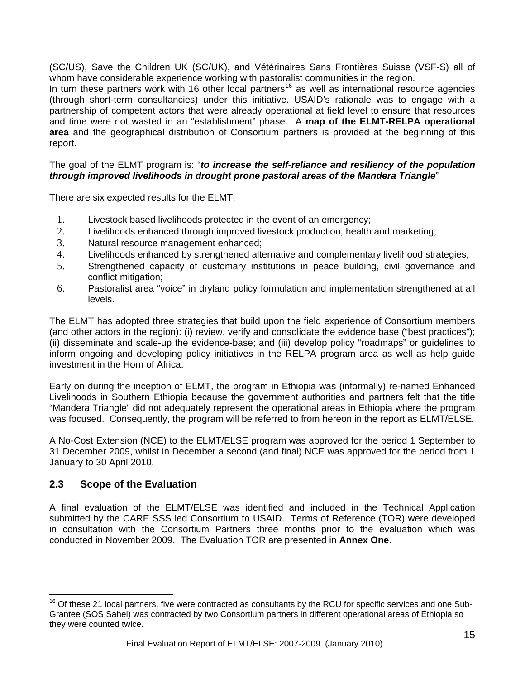<span id="page-14-0"></span>(SC/US), Save the Children UK (SC/UK), and Vétérinaires Sans Frontières Suisse (VSF-S) all of whom have considerable experience working with pastoralist communities in the region.

In turn these partners work with [16](#page-14-0) other local partners<sup>16</sup> as well as international resource agencies (through short-term consultancies) under this initiative. USAID's rationale was to engage with a partnership of competent actors that were already operational at field level to ensure that resources and time were not wasted in an "establishment" phase. A **map of the ELMT-RELPA operational area** and the geographical distribution of Consortium partners is provided at the beginning of this report.

#### The goal of the ELMT program is: "*to increase the self-reliance and resiliency of the population through improved livelihoods in drought prone pastoral areas of the Mandera Triangle*"

There are six expected results for the ELMT:

- 1. Livestock based livelihoods protected in the event of an emergency;
- 2. Livelihoods enhanced through improved livestock production, health and marketing;
- 3. Natural resource management enhanced;
- 4. Livelihoods enhanced by strengthened alternative and complementary livelihood strategies;
- 5. Strengthened capacity of customary institutions in peace building, civil governance and conflict mitigation;
- 6. Pastoralist area "voice" in dryland policy formulation and implementation strengthened at all levels.

The ELMT has adopted three strategies that build upon the field experience of Consortium members (and other actors in the region): (i) review, verify and consolidate the evidence base ("best practices"); (ii) disseminate and scale-up the evidence-base; and (iii) develop policy "roadmaps" or guidelines to inform ongoing and developing policy initiatives in the RELPA program area as well as help guide investment in the Horn of Africa.

Early on during the inception of ELMT, the program in Ethiopia was (informally) re-named Enhanced Livelihoods in Southern Ethiopia because the government authorities and partners felt that the title "Mandera Triangle" did not adequately represent the operational areas in Ethiopia where the program was focused. Consequently, the program will be referred to from hereon in the report as ELMT/ELSE.

A No-Cost Extension (NCE) to the ELMT/ELSE program was approved for the period 1 September to 31 December 2009, whilst in December a second (and final) NCE was approved for the period from 1 January to 30 April 2010.

#### **2.3 Scope of the Evaluation**

 $\overline{a}$ 

A final evaluation of the ELMT/ELSE was identified and included in the Technical Application submitted by the CARE SSS led Consortium to USAID. Terms of Reference (TOR) were developed in consultation with the Consortium Partners three months prior to the evaluation which was conducted in November 2009. The Evaluation TOR are presented in **Annex One**.

 $16$  Of these 21 local partners, five were contracted as consultants by the RCU for specific services and one Sub-Grantee (SOS Sahel) was contracted by two Consortium partners in different operational areas of Ethiopia so they were counted twice.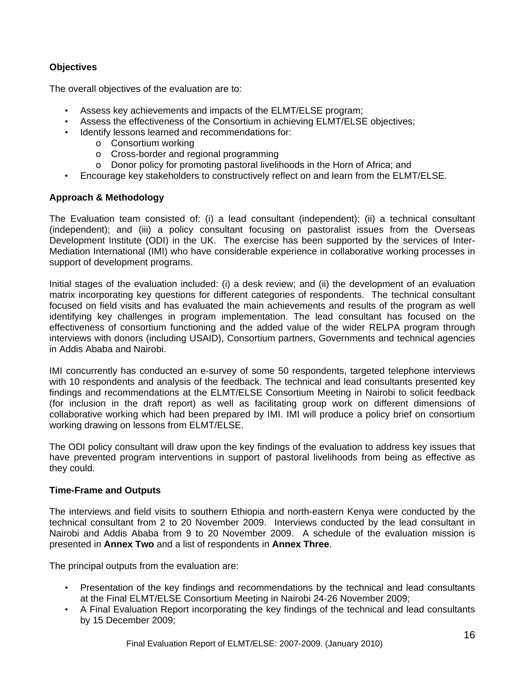#### **Objectives**

The overall objectives of the evaluation are to:

- Assess key achievements and impacts of the ELMT/ELSE program;
- Assess the effectiveness of the Consortium in achieving ELMT/ELSE objectives;
- Identify lessons learned and recommendations for:
	- o Consortium working
	- o Cross-border and regional programming
	- o Donor policy for promoting pastoral livelihoods in the Horn of Africa; and
- Encourage key stakeholders to constructively reflect on and learn from the ELMT/ELSE.

#### **Approach & Methodology**

The Evaluation team consisted of: (i) a lead consultant (independent); (ii) a technical consultant (independent); and (iii) a policy consultant focusing on pastoralist issues from the Overseas Development Institute (ODI) in the UK. The exercise has been supported by the services of Inter-Mediation International (IMI) who have considerable experience in collaborative working processes in support of development programs.

Initial stages of the evaluation included: (i) a desk review; and (ii) the development of an evaluation matrix incorporating key questions for different categories of respondents. The technical consultant focused on field visits and has evaluated the main achievements and results of the program as well identifying key challenges in program implementation. The lead consultant has focused on the effectiveness of consortium functioning and the added value of the wider RELPA program through interviews with donors (including USAID), Consortium partners, Governments and technical agencies in Addis Ababa and Nairobi.

IMI concurrently has conducted an e-survey of some 50 respondents, targeted telephone interviews with 10 respondents and analysis of the feedback. The technical and lead consultants presented key findings and recommendations at the ELMT/ELSE Consortium Meeting in Nairobi to solicit feedback (for inclusion in the draft report) as well as facilitating group work on different dimensions of collaborative working which had been prepared by IMI. IMI will produce a policy brief on consortium working drawing on lessons from ELMT/ELSE.

The ODI policy consultant will draw upon the key findings of the evaluation to address key issues that have prevented program interventions in support of pastoral livelihoods from being as effective as they could.

#### **Time-Frame and Outputs**

The interviews and field visits to southern Ethiopia and north-eastern Kenya were conducted by the technical consultant from 2 to 20 November 2009. Interviews conducted by the lead consultant in Nairobi and Addis Ababa from 9 to 20 November 2009. A schedule of the evaluation mission is presented in **Annex Two** and a list of respondents in **Annex Three**.

The principal outputs from the evaluation are:

- Presentation of the key findings and recommendations by the technical and lead consultants at the Final ELMT/ELSE Consortium Meeting in Nairobi 24-26 November 2009;
- A Final Evaluation Report incorporating the key findings of the technical and lead consultants by 15 December 2009;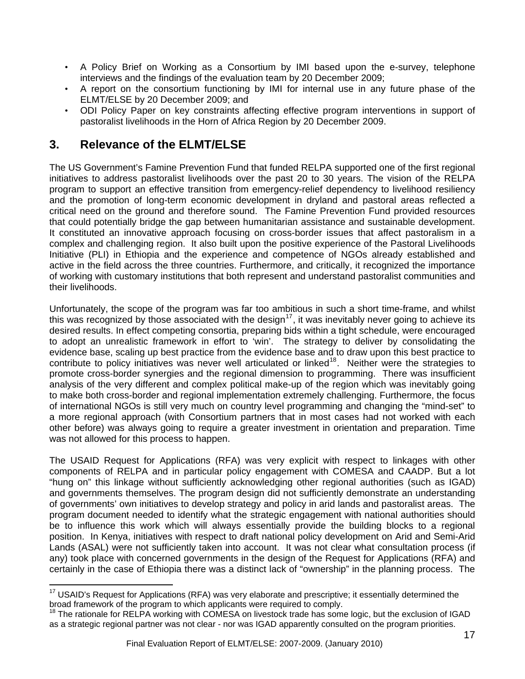- <span id="page-16-0"></span>• A Policy Brief on Working as a Consortium by IMI based upon the e-survey, telephone interviews and the findings of the evaluation team by 20 December 2009;
- A report on the consortium functioning by IMI for internal use in any future phase of the ELMT/ELSE by 20 December 2009; and
- ODI Policy Paper on key constraints affecting effective program interventions in support of pastoralist livelihoods in the Horn of Africa Region by 20 December 2009.

# **3. Relevance of the ELMT/ELSE**

The US Government's Famine Prevention Fund that funded RELPA supported one of the first regional initiatives to address pastoralist livelihoods over the past 20 to 30 years. The vision of the RELPA program to support an effective transition from emergency-relief dependency to livelihood resiliency and the promotion of long-term economic development in dryland and pastoral areas reflected a critical need on the ground and therefore sound. The Famine Prevention Fund provided resources that could potentially bridge the gap between humanitarian assistance and sustainable development. It constituted an innovative approach focusing on cross-border issues that affect pastoralism in a complex and challenging region. It also built upon the positive experience of the Pastoral Livelihoods Initiative (PLI) in Ethiopia and the experience and competence of NGOs already established and active in the field across the three countries. Furthermore, and critically, it recognized the importance of working with customary institutions that both represent and understand pastoralist communities and their livelihoods.

Unfortunately, the scope of the program was far too ambitious in such a short time-frame, and whilst this was recognized by those associated with the design<sup>[17](#page-16-0)</sup>, it was inevitably never going to achieve its desired results. In effect competing consortia, preparing bids within a tight schedule, were encouraged to adopt an unrealistic framework in effort to 'win'. The strategy to deliver by consolidating the evidence base, scaling up best practice from the evidence base and to draw upon this best practice to contribute to policy initiatives was never well articulated or linked<sup>[18](#page-16-0)</sup>. Neither were the strategies to promote cross-border synergies and the regional dimension to programming. There was insufficient analysis of the very different and complex political make-up of the region which was inevitably going to make both cross-border and regional implementation extremely challenging. Furthermore, the focus of international NGOs is still very much on country level programming and changing the "mind-set" to a more regional approach (with Consortium partners that in most cases had not worked with each other before) was always going to require a greater investment in orientation and preparation. Time was not allowed for this process to happen.

The USAID Request for Applications (RFA) was very explicit with respect to linkages with other components of RELPA and in particular policy engagement with COMESA and CAADP. But a lot "hung on" this linkage without sufficiently acknowledging other regional authorities (such as IGAD) and governments themselves. The program design did not sufficiently demonstrate an understanding of governments' own initiatives to develop strategy and policy in arid lands and pastoralist areas. The program document needed to identify what the strategic engagement with national authorities should be to influence this work which will always essentially provide the building blocks to a regional position. In Kenya, initiatives with respect to draft national policy development on Arid and Semi-Arid Lands (ASAL) were not sufficiently taken into account. It was not clear what consultation process (if any) took place with concerned governments in the design of the Request for Applications (RFA) and certainly in the case of Ethiopia there was a distinct lack of "ownership" in the planning process. The

 $\overline{a}$ <sup>17</sup> USAID's Request for Applications (RFA) was very elaborate and prescriptive; it essentially determined the broad framework of the program to which applicants were required to comply.

The rationale for RELPA working with COMESA on livestock trade has some logic, but the exclusion of IGAD as a strategic regional partner was not clear - nor was IGAD apparently consulted on the program priorities.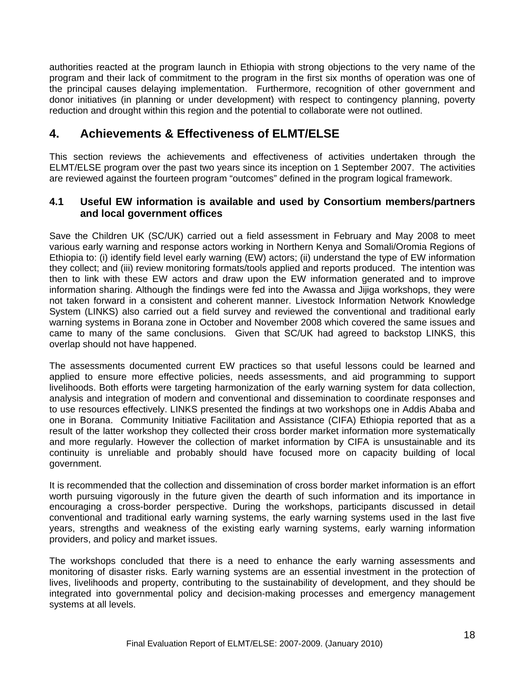authorities reacted at the program launch in Ethiopia with strong objections to the very name of the program and their lack of commitment to the program in the first six months of operation was one of the principal causes delaying implementation. Furthermore, recognition of other government and donor initiatives (in planning or under development) with respect to contingency planning, poverty reduction and drought within this region and the potential to collaborate were not outlined.

# **4. Achievements & Effectiveness of ELMT/ELSE**

This section reviews the achievements and effectiveness of activities undertaken through the ELMT/ELSE program over the past two years since its inception on 1 September 2007. The activities are reviewed against the fourteen program "outcomes" defined in the program logical framework.

#### **4.1 Useful EW information is available and used by Consortium members/partners and local government offices**

Save the Children UK (SC/UK) carried out a field assessment in February and May 2008 to meet various early warning and response actors working in Northern Kenya and Somali/Oromia Regions of Ethiopia to: (i) identify field level early warning (EW) actors; (ii) understand the type of EW information they collect; and (iii) review monitoring formats/tools applied and reports produced. The intention was then to link with these EW actors and draw upon the EW information generated and to improve information sharing. Although the findings were fed into the Awassa and Jijiga workshops, they were not taken forward in a consistent and coherent manner. Livestock Information Network Knowledge System (LINKS) also carried out a field survey and reviewed the conventional and traditional early warning systems in Borana zone in October and November 2008 which covered the same issues and came to many of the same conclusions. Given that SC/UK had agreed to backstop LINKS, this overlap should not have happened.

The assessments documented current EW practices so that useful lessons could be learned and applied to ensure more effective policies, needs assessments, and aid programming to support livelihoods. Both efforts were targeting harmonization of the early warning system for data collection, analysis and integration of modern and conventional and dissemination to coordinate responses and to use resources effectively. LINKS presented the findings at two workshops one in Addis Ababa and one in Borana. Community Initiative Facilitation and Assistance (CIFA) Ethiopia reported that as a result of the latter workshop they collected their cross border market information more systematically and more regularly. However the collection of market information by CIFA is unsustainable and its continuity is unreliable and probably should have focused more on capacity building of local government.

It is recommended that the collection and dissemination of cross border market information is an effort worth pursuing vigorously in the future given the dearth of such information and its importance in encouraging a cross-border perspective. During the workshops, participants discussed in detail conventional and traditional early warning systems, the early warning systems used in the last five years, strengths and weakness of the existing early warning systems, early warning information providers, and policy and market issues.

The workshops concluded that there is a need to enhance the early warning assessments and monitoring of disaster risks. Early warning systems are an essential investment in the protection of lives, livelihoods and property, contributing to the sustainability of development, and they should be integrated into governmental policy and decision-making processes and emergency management systems at all levels.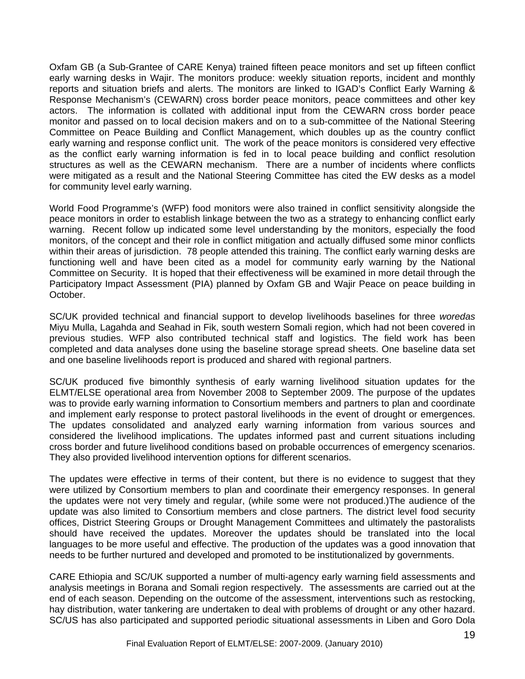Oxfam GB (a Sub-Grantee of CARE Kenya) trained fifteen peace monitors and set up fifteen conflict early warning desks in Wajir. The monitors produce: weekly situation reports, incident and monthly reports and situation briefs and alerts. The monitors are linked to IGAD's Conflict Early Warning & Response Mechanism's (CEWARN) cross border peace monitors, peace committees and other key actors. The information is collated with additional input from the CEWARN cross border peace monitor and passed on to local decision makers and on to a sub-committee of the National Steering Committee on Peace Building and Conflict Management, which doubles up as the country conflict early warning and response conflict unit. The work of the peace monitors is considered very effective as the conflict early warning information is fed in to local peace building and conflict resolution structures as well as the CEWARN mechanism. There are a number of incidents where conflicts were mitigated as a result and the National Steering Committee has cited the EW desks as a model for community level early warning.

World Food Programme's (WFP) food monitors were also trained in conflict sensitivity alongside the peace monitors in order to establish linkage between the two as a strategy to enhancing conflict early warning. Recent follow up indicated some level understanding by the monitors, especially the food monitors, of the concept and their role in conflict mitigation and actually diffused some minor conflicts within their areas of jurisdiction. 78 people attended this training. The conflict early warning desks are functioning well and have been cited as a model for community early warning by the National Committee on Security. It is hoped that their effectiveness will be examined in more detail through the Participatory Impact Assessment (PIA) planned by Oxfam GB and Wajir Peace on peace building in October.

SC/UK provided technical and financial support to develop livelihoods baselines for three *woredas* Miyu Mulla, Lagahda and Seahad in Fik, south western Somali region, which had not been covered in previous studies. WFP also contributed technical staff and logistics. The field work has been completed and data analyses done using the baseline storage spread sheets. One baseline data set and one baseline livelihoods report is produced and shared with regional partners.

SC/UK produced five bimonthly synthesis of early warning livelihood situation updates for the ELMT/ELSE operational area from November 2008 to September 2009. The purpose of the updates was to provide early warning information to Consortium members and partners to plan and coordinate and implement early response to protect pastoral livelihoods in the event of drought or emergences. The updates consolidated and analyzed early warning information from various sources and considered the livelihood implications. The updates informed past and current situations including cross border and future livelihood conditions based on probable occurrences of emergency scenarios. They also provided livelihood intervention options for different scenarios.

The updates were effective in terms of their content, but there is no evidence to suggest that they were utilized by Consortium members to plan and coordinate their emergency responses. In general the updates were not very timely and regular, (while some were not produced.)The audience of the update was also limited to Consortium members and close partners. The district level food security offices, District Steering Groups or Drought Management Committees and ultimately the pastoralists should have received the updates. Moreover the updates should be translated into the local languages to be more useful and effective. The production of the updates was a good innovation that needs to be further nurtured and developed and promoted to be institutionalized by governments.

CARE Ethiopia and SC/UK supported a number of multi-agency early warning field assessments and analysis meetings in Borana and Somali region respectively. The assessments are carried out at the end of each season. Depending on the outcome of the assessment, interventions such as restocking, hay distribution, water tankering are undertaken to deal with problems of drought or any other hazard. SC/US has also participated and supported periodic situational assessments in Liben and Goro Dola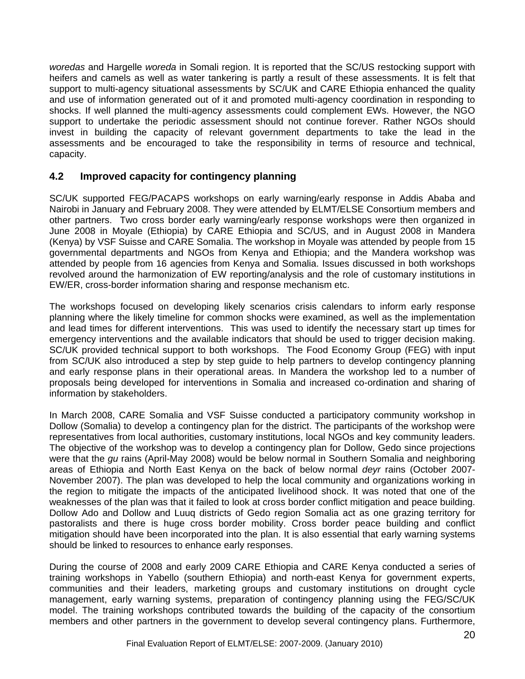*woredas* and Hargelle *woreda* in Somali region. It is reported that the SC/US restocking support with heifers and camels as well as water tankering is partly a result of these assessments. It is felt that support to multi-agency situational assessments by SC/UK and CARE Ethiopia enhanced the quality and use of information generated out of it and promoted multi-agency coordination in responding to shocks. If well planned the multi-agency assessments could complement EWs. However, the NGO support to undertake the periodic assessment should not continue forever. Rather NGOs should invest in building the capacity of relevant government departments to take the lead in the assessments and be encouraged to take the responsibility in terms of resource and technical, capacity.

### **4.2 Improved capacity for contingency planning**

SC/UK supported FEG/PACAPS workshops on early warning/early response in Addis Ababa and Nairobi in January and February 2008. They were attended by ELMT/ELSE Consortium members and other partners. Two cross border early warning/early response workshops were then organized in June 2008 in Moyale (Ethiopia) by CARE Ethiopia and SC/US, and in August 2008 in Mandera (Kenya) by VSF Suisse and CARE Somalia. The workshop in Moyale was attended by people from 15 governmental departments and NGOs from Kenya and Ethiopia; and the Mandera workshop was attended by people from 16 agencies from Kenya and Somalia. Issues discussed in both workshops revolved around the harmonization of EW reporting/analysis and the role of customary institutions in EW/ER, cross-border information sharing and response mechanism etc.

The workshops focused on developing likely scenarios crisis calendars to inform early response planning where the likely timeline for common shocks were examined, as well as the implementation and lead times for different interventions. This was used to identify the necessary start up times for emergency interventions and the available indicators that should be used to trigger decision making. SC/UK provided technical support to both workshops. The Food Economy Group (FEG) with input from SC/UK also introduced a step by step guide to help partners to develop contingency planning and early response plans in their operational areas. In Mandera the workshop led to a number of proposals being developed for interventions in Somalia and increased co-ordination and sharing of information by stakeholders.

In March 2008, CARE Somalia and VSF Suisse conducted a participatory community workshop in Dollow (Somalia) to develop a contingency plan for the district. The participants of the workshop were representatives from local authorities, customary institutions, local NGOs and key community leaders. The objective of the workshop was to develop a contingency plan for Dollow, Gedo since projections were that the *gu* rains (April-May 2008) would be below normal in Southern Somalia and neighboring areas of Ethiopia and North East Kenya on the back of below normal *deyr* rains (October 2007- November 2007). The plan was developed to help the local community and organizations working in the region to mitigate the impacts of the anticipated livelihood shock. It was noted that one of the weaknesses of the plan was that it failed to look at cross border conflict mitigation and peace building. Dollow Ado and Dollow and Luuq districts of Gedo region Somalia act as one grazing territory for pastoralists and there is huge cross border mobility. Cross border peace building and conflict mitigation should have been incorporated into the plan. It is also essential that early warning systems should be linked to resources to enhance early responses.

During the course of 2008 and early 2009 CARE Ethiopia and CARE Kenya conducted a series of training workshops in Yabello (southern Ethiopia) and north-east Kenya for government experts, communities and their leaders, marketing groups and customary institutions on drought cycle management, early warning systems, preparation of contingency planning using the FEG/SC/UK model. The training workshops contributed towards the building of the capacity of the consortium members and other partners in the government to develop several contingency plans. Furthermore,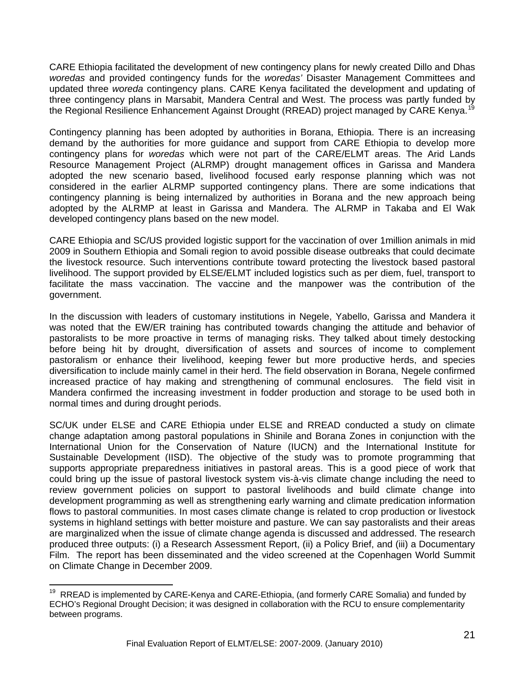<span id="page-20-0"></span>CARE Ethiopia facilitated the development of new contingency plans for newly created Dillo and Dhas *woredas* and provided contingency funds for the *woredas'* Disaster Management Committees and updated three *woreda* contingency plans. CARE Kenya facilitated the development and updating of three contingency plans in Marsabit, Mandera Central and West. The process was partly funded by the Regional Resilience Enhancement Against Drought (RREAD) project managed by CARE Kenya.<sup>[19](#page-20-0)</sup>

Contingency planning has been adopted by authorities in Borana, Ethiopia. There is an increasing demand by the authorities for more guidance and support from CARE Ethiopia to develop more contingency plans for *woredas* which were not part of the CARE/ELMT areas. The Arid Lands Resource Management Project (ALRMP) drought management offices in Garissa and Mandera adopted the new scenario based, livelihood focused early response planning which was not considered in the earlier ALRMP supported contingency plans. There are some indications that contingency planning is being internalized by authorities in Borana and the new approach being adopted by the ALRMP at least in Garissa and Mandera. The ALRMP in Takaba and El Wak developed contingency plans based on the new model.

CARE Ethiopia and SC/US provided logistic support for the vaccination of over 1million animals in mid 2009 in Southern Ethiopia and Somali region to avoid possible disease outbreaks that could decimate the livestock resource. Such interventions contribute toward protecting the livestock based pastoral livelihood. The support provided by ELSE/ELMT included logistics such as per diem, fuel, transport to facilitate the mass vaccination. The vaccine and the manpower was the contribution of the government.

In the discussion with leaders of customary institutions in Negele, Yabello, Garissa and Mandera it was noted that the EW/ER training has contributed towards changing the attitude and behavior of pastoralists to be more proactive in terms of managing risks. They talked about timely destocking before being hit by drought, diversification of assets and sources of income to complement pastoralism or enhance their livelihood, keeping fewer but more productive herds, and species diversification to include mainly camel in their herd. The field observation in Borana, Negele confirmed increased practice of hay making and strengthening of communal enclosures. The field visit in Mandera confirmed the increasing investment in fodder production and storage to be used both in normal times and during drought periods.

SC/UK under ELSE and CARE Ethiopia under ELSE and RREAD conducted a study on climate change adaptation among pastoral populations in Shinile and Borana Zones in conjunction with the International Union for the Conservation of Nature (IUCN) and the International Institute for Sustainable Development (IISD). The objective of the study was to promote programming that supports appropriate preparedness initiatives in pastoral areas. This is a good piece of work that could bring up the issue of pastoral livestock system vis-à-vis climate change including the need to review government policies on support to pastoral livelihoods and build climate change into development programming as well as strengthening early warning and climate predication information flows to pastoral communities. In most cases climate change is related to crop production or livestock systems in highland settings with better moisture and pasture. We can say pastoralists and their areas are marginalized when the issue of climate change agenda is discussed and addressed. The research produced three outputs: (i) a Research Assessment Report, (ii) a Policy Brief, and (iii) a Documentary Film. The report has been disseminated and the video screened at the Copenhagen World Summit on Climate Change in December 2009.

 $\overline{a}$ 

 $19$  RREAD is implemented by CARE-Kenya and CARE-Ethiopia, (and formerly CARE Somalia) and funded by ECHO's Regional Drought Decision; it was designed in collaboration with the RCU to ensure complementarity between programs.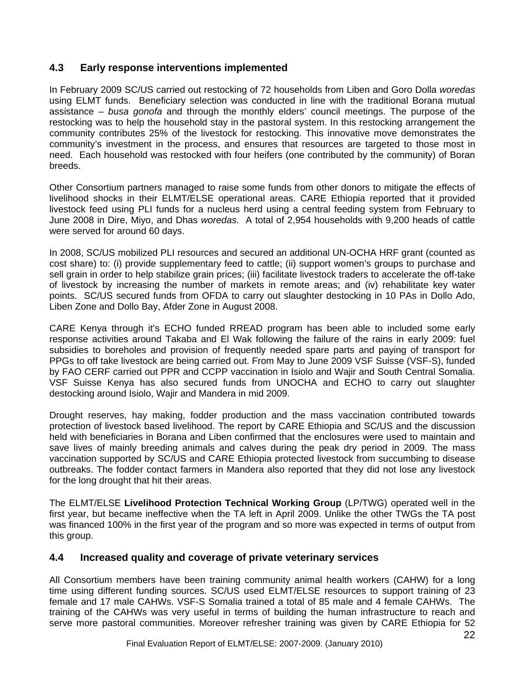### **4.3 Early response interventions implemented**

In February 2009 SC/US carried out restocking of 72 households from Liben and Goro Dolla *woredas*  using ELMT funds. Beneficiary selection was conducted in line with the traditional Borana mutual assistance – *busa gonofa* and through the monthly elders' council meetings. The purpose of the restocking was to help the household stay in the pastoral system. In this restocking arrangement the community contributes 25% of the livestock for restocking. This innovative move demonstrates the community's investment in the process, and ensures that resources are targeted to those most in need. Each household was restocked with four heifers (one contributed by the community) of Boran breeds.

Other Consortium partners managed to raise some funds from other donors to mitigate the effects of livelihood shocks in their ELMT/ELSE operational areas. CARE Ethiopia reported that it provided livestock feed using PLI funds for a nucleus herd using a central feeding system from February to June 2008 in Dire, Miyo, and Dhas *woredas.* A total of 2,954 households with 9,200 heads of cattle were served for around 60 days.

In 2008, SC/US mobilized PLI resources and secured an additional UN-OCHA HRF grant (counted as cost share) to: (i) provide supplementary feed to cattle; (ii) support women's groups to purchase and sell grain in order to help stabilize grain prices; (iii) facilitate livestock traders to accelerate the off-take of livestock by increasing the number of markets in remote areas; and (iv) rehabilitate key water points. SC/US secured funds from OFDA to carry out slaughter destocking in 10 PAs in Dollo Ado, Liben Zone and Dollo Bay, Afder Zone in August 2008.

CARE Kenya through it's ECHO funded RREAD program has been able to included some early response activities around Takaba and El Wak following the failure of the rains in early 2009: fuel subsidies to boreholes and provision of frequently needed spare parts and paying of transport for PPGs to off take livestock are being carried out. From May to June 2009 VSF Suisse (VSF-S), funded by FAO CERF carried out PPR and CCPP vaccination in Isiolo and Wajir and South Central Somalia. VSF Suisse Kenya has also secured funds from UNOCHA and ECHO to carry out slaughter destocking around Isiolo, Wajir and Mandera in mid 2009.

Drought reserves, hay making, fodder production and the mass vaccination contributed towards protection of livestock based livelihood. The report by CARE Ethiopia and SC/US and the discussion held with beneficiaries in Borana and Liben confirmed that the enclosures were used to maintain and save lives of mainly breeding animals and calves during the peak dry period in 2009. The mass vaccination supported by SC/US and CARE Ethiopia protected livestock from succumbing to disease outbreaks. The fodder contact farmers in Mandera also reported that they did not lose any livestock for the long drought that hit their areas.

The ELMT/ELSE **Livelihood Protection Technical Working Group** (LP/TWG) operated well in the first year, but became ineffective when the TA left in April 2009. Unlike the other TWGs the TA post was financed 100% in the first year of the program and so more was expected in terms of output from this group.

#### **4.4 Increased quality and coverage of private veterinary services**

All Consortium members have been training community animal health workers (CAHW) for a long time using different funding sources. SC/US used ELMT/ELSE resources to support training of 23 female and 17 male CAHWs. VSF-S Somalia trained a total of 85 male and 4 female CAHWs. The training of the CAHWs was very useful in terms of building the human infrastructure to reach and serve more pastoral communities. Moreover refresher training was given by CARE Ethiopia for 52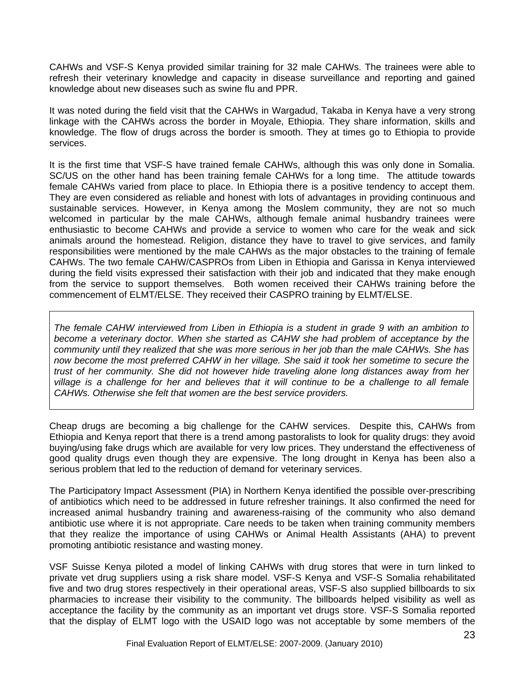CAHWs and VSF-S Kenya provided similar training for 32 male CAHWs. The trainees were able to refresh their veterinary knowledge and capacity in disease surveillance and reporting and gained knowledge about new diseases such as swine flu and PPR.

It was noted during the field visit that the CAHWs in Wargadud, Takaba in Kenya have a very strong linkage with the CAHWs across the border in Moyale, Ethiopia. They share information, skills and knowledge. The flow of drugs across the border is smooth. They at times go to Ethiopia to provide services.

It is the first time that VSF-S have trained female CAHWs, although this was only done in Somalia. SC/US on the other hand has been training female CAHWs for a long time. The attitude towards female CAHWs varied from place to place. In Ethiopia there is a positive tendency to accept them. They are even considered as reliable and honest with lots of advantages in providing continuous and sustainable services. However, in Kenya among the Moslem community, they are not so much welcomed in particular by the male CAHWs, although female animal husbandry trainees were enthusiastic to become CAHWs and provide a service to women who care for the weak and sick animals around the homestead. Religion, distance they have to travel to give services, and family responsibilities were mentioned by the male CAHWs as the major obstacles to the training of female CAHWs. The two female CAHW/CASPROs from Liben in Ethiopia and Garissa in Kenya interviewed during the field visits expressed their satisfaction with their job and indicated that they make enough from the service to support themselves. Both women received their CAHWs training before the commencement of ELMT/ELSE. They received their CASPRO training by ELMT/ELSE.

*The female CAHW interviewed from Liben in Ethiopia is a student in grade 9 with an ambition to become a veterinary doctor. When she started as CAHW she had problem of acceptance by the community until they realized that she was more serious in her job than the male CAHWs. She has now become the most preferred CAHW in her village. She said it took her sometime to secure the trust of her community. She did not however hide traveling alone long distances away from her village is a challenge for her and believes that it will continue to be a challenge to all female CAHWs. Otherwise she felt that women are the best service providers.* 

Cheap drugs are becoming a big challenge for the CAHW services. Despite this, CAHWs from Ethiopia and Kenya report that there is a trend among pastoralists to look for quality drugs: they avoid buying/using fake drugs which are available for very low prices. They understand the effectiveness of good quality drugs even though they are expensive. The long drought in Kenya has been also a serious problem that led to the reduction of demand for veterinary services.

The Participatory Impact Assessment (PIA) in Northern Kenya identified the possible over-prescribing of antibiotics which need to be addressed in future refresher trainings. It also confirmed the need for increased animal husbandry training and awareness-raising of the community who also demand antibiotic use where it is not appropriate. Care needs to be taken when training community members that they realize the importance of using CAHWs or Animal Health Assistants (AHA) to prevent promoting antibiotic resistance and wasting money.

VSF Suisse Kenya piloted a model of linking CAHWs with drug stores that were in turn linked to private vet drug suppliers using a risk share model. VSF-S Kenya and VSF-S Somalia rehabilitated five and two drug stores respectively in their operational areas, VSF-S also supplied billboards to six pharmacies to increase their visibility to the community. The billboards helped visibility as well as acceptance the facility by the community as an important vet drugs store. VSF-S Somalia reported that the display of ELMT logo with the USAID logo was not acceptable by some members of the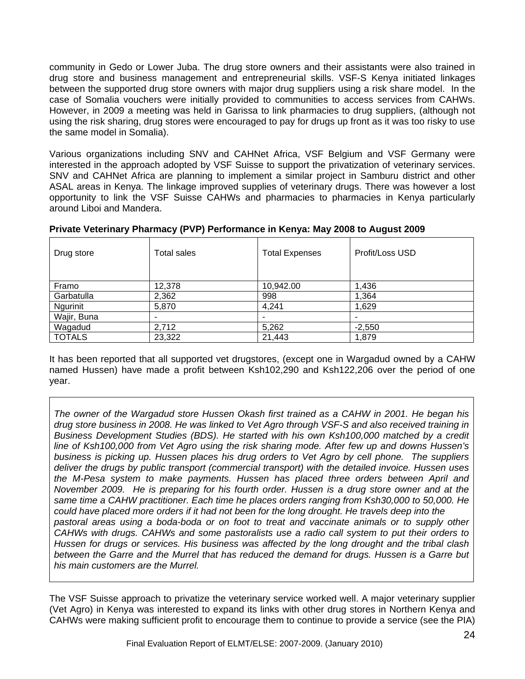community in Gedo or Lower Juba. The drug store owners and their assistants were also trained in drug store and business management and entrepreneurial skills. VSF-S Kenya initiated linkages between the supported drug store owners with major drug suppliers using a risk share model. In the case of Somalia vouchers were initially provided to communities to access services from CAHWs. However, in 2009 a meeting was held in Garissa to link pharmacies to drug suppliers, (although not using the risk sharing, drug stores were encouraged to pay for drugs up front as it was too risky to use the same model in Somalia).

Various organizations including SNV and CAHNet Africa, VSF Belgium and VSF Germany were interested in the approach adopted by VSF Suisse to support the privatization of veterinary services. SNV and CAHNet Africa are planning to implement a similar project in Samburu district and other ASAL areas in Kenya. The linkage improved supplies of veterinary drugs. There was however a lost opportunity to link the VSF Suisse CAHWs and pharmacies to pharmacies in Kenya particularly around Liboi and Mandera.

| Drug store      | Total sales              | <b>Total Expenses</b>    | Profit/Loss USD |
|-----------------|--------------------------|--------------------------|-----------------|
| Framo           | 12,378                   | 10,942.00                | 1,436           |
| Garbatulla      | 2,362                    | 998                      | 1,364           |
| <b>Ngurinit</b> | 5,870                    | 4,241                    | 1,629           |
| Wajir, Buna     | $\overline{\phantom{0}}$ | $\overline{\phantom{0}}$ |                 |
| Wagadud         | 2,712                    | 5,262                    | $-2,550$        |
| <b>TOTALS</b>   | 23,322                   | 21,443                   | 1,879           |

#### **Private Veterinary Pharmacy (PVP) Performance in Kenya: May 2008 to August 2009**

It has been reported that all supported vet drugstores, (except one in Wargadud owned by a CAHW named Hussen) have made a profit between Ksh102,290 and Ksh122,206 over the period of one year.

*The owner of the Wargadud store Hussen Okash first trained as a CAHW in 2001. He began his drug store business in 2008. He was linked to Vet Agro through VSF-S and also received training in Business Development Studies (BDS). He started with his own Ksh100,000 matched by a credit line of Ksh100,000 from Vet Agro using the risk sharing mode. After few up and downs Hussen's business is picking up. Hussen places his drug orders to Vet Agro by cell phone. The suppliers deliver the drugs by public transport (commercial transport) with the detailed invoice. Hussen uses the M-Pesa system to make payments. Hussen has placed three orders between April and November 2009. He is preparing for his fourth order. Hussen is a drug store owner and at the same time a CAHW practitioner. Each time he places orders ranging from Ksh30,000 to 50,000. He could have placed more orders if it had not been for the long drought. He travels deep into the pastoral areas using a boda-boda or on foot to treat and vaccinate animals or to supply other CAHWs with drugs. CAHWs and some pastoralists use a radio call system to put their orders to Hussen for drugs or services. His business was affected by the long drought and the tribal clash between the Garre and the Murrel that has reduced the demand for drugs. Hussen is a Garre but his main customers are the Murrel.* 

The VSF Suisse approach to privatize the veterinary service worked well. A major veterinary supplier (Vet Agro) in Kenya was interested to expand its links with other drug stores in Northern Kenya and CAHWs were making sufficient profit to encourage them to continue to provide a service (see the PIA)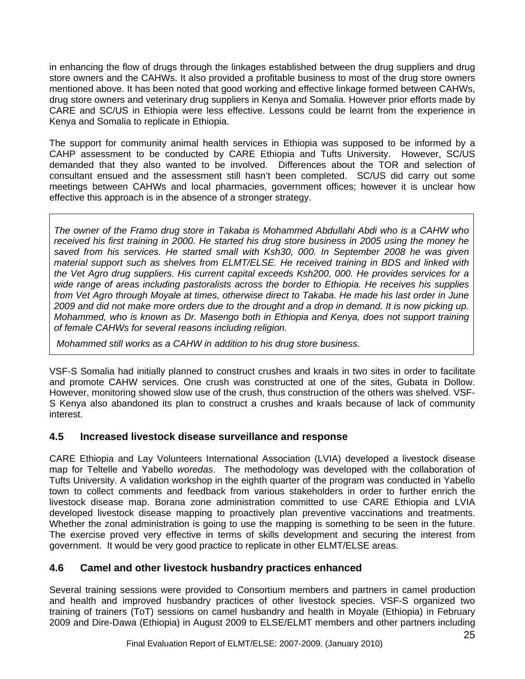in enhancing the flow of drugs through the linkages established between the drug suppliers and drug store owners and the CAHWs. It also provided a profitable business to most of the drug store owners mentioned above. It has been noted that good working and effective linkage formed between CAHWs, drug store owners and veterinary drug suppliers in Kenya and Somalia. However prior efforts made by CARE and SC/US in Ethiopia were less effective. Lessons could be learnt from the experience in Kenya and Somalia to replicate in Ethiopia.

The support for community animal health services in Ethiopia was supposed to be informed by a CAHP assessment to be conducted by CARE Ethiopia and Tufts University. However, SC/US demanded that they also wanted to be involved. Differences about the TOR and selection of consultant ensued and the assessment still hasn't been completed. SC/US did carry out some meetings between CAHWs and local pharmacies, government offices; however it is unclear how effective this approach is in the absence of a stronger strategy.

*The owner of the Framo drug store in Takaba is Mohammed Abdullahi Abdi who is a CAHW who received his first training in 2000. He started his drug store business in 2005 using the money he saved from his services. He started small with Ksh30, 000. In September 2008 he was given material support such as shelves from ELMT/ELSE. He received training in BDS and linked with the Vet Agro drug suppliers. His current capital exceeds Ksh200, 000. He provides services for a wide range of areas including pastoralists across the border to Ethiopia. He receives his supplies from Vet Agro through Moyale at times, otherwise direct to Takaba. He made his last order in June 2009 and did not make more orders due to the drought and a drop in demand. It is now picking up. Mohammed, who is known as Dr. Masengo both in Ethiopia and Kenya, does not support training of female CAHWs for several reasons including religion.* 

 *Mohammed still works as a CAHW in addition to his drug store business.*

VSF-S Somalia had initially planned to construct crushes and kraals in two sites in order to facilitate and promote CAHW services. One crush was constructed at one of the sites, Gubata in Dollow. However, monitoring showed slow use of the crush, thus construction of the others was shelved. VSF-S Kenya also abandoned its plan to construct a crushes and kraals because of lack of community interest.

# **4.5 Increased livestock disease surveillance and response**

CARE Ethiopia and Lay Volunteers International Association (LVIA) developed a livestock disease map for Teltelle and Yabello *woredas*. The methodology was developed with the collaboration of Tufts University. A validation workshop in the eighth quarter of the program was conducted in Yabello town to collect comments and feedback from various stakeholders in order to further enrich the livestock disease map. Borana zone administration committed to use CARE Ethiopia and LVIA developed livestock disease mapping to proactively plan preventive vaccinations and treatments. Whether the zonal administration is going to use the mapping is something to be seen in the future. The exercise proved very effective in terms of skills development and securing the interest from government. It would be very good practice to replicate in other ELMT/ELSE areas.

# **4.6 Camel and other livestock husbandry practices enhanced**

Several training sessions were provided to Consortium members and partners in camel production and health and improved husbandry practices of other livestock species. VSF-S organized two training of trainers (ToT) sessions on camel husbandry and health in Moyale (Ethiopia) in February 2009 and Dire-Dawa (Ethiopia) in August 2009 to ELSE/ELMT members and other partners including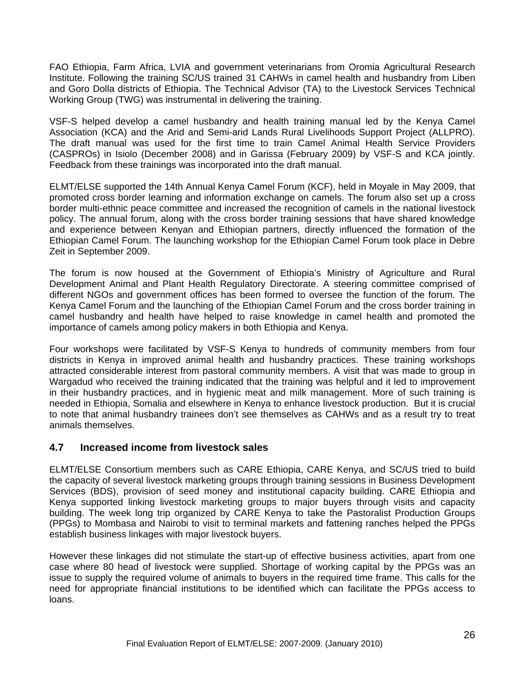FAO Ethiopia, Farm Africa, LVIA and government veterinarians from Oromia Agricultural Research Institute. Following the training SC/US trained 31 CAHWs in camel health and husbandry from Liben and Goro Dolla districts of Ethiopia. The Technical Advisor (TA) to the Livestock Services Technical Working Group (TWG) was instrumental in delivering the training.

VSF-S helped develop a camel husbandry and health training manual led by the Kenya Camel Association (KCA) and the Arid and Semi-arid Lands Rural Livelihoods Support Project (ALLPRO). The draft manual was used for the first time to train Camel Animal Health Service Providers (CASPROs) in Isiolo (December 2008) and in Garissa (February 2009) by VSF-S and KCA jointly. Feedback from these trainings was incorporated into the draft manual.

ELMT/ELSE supported the 14th Annual Kenya Camel Forum (KCF), held in Moyale in May 2009, that promoted cross border learning and information exchange on camels. The forum also set up a cross border multi-ethnic peace committee and increased the recognition of camels in the national livestock policy. The annual forum, along with the cross border training sessions that have shared knowledge and experience between Kenyan and Ethiopian partners, directly influenced the formation of the Ethiopian Camel Forum. The launching workshop for the Ethiopian Camel Forum took place in Debre Zeit in September 2009.

The forum is now housed at the Government of Ethiopia's Ministry of Agriculture and Rural Development Animal and Plant Health Regulatory Directorate. A steering committee comprised of different NGOs and government offices has been formed to oversee the function of the forum. The Kenya Camel Forum and the launching of the Ethiopian Camel Forum and the cross border training in camel husbandry and health have helped to raise knowledge in camel health and promoted the importance of camels among policy makers in both Ethiopia and Kenya.

Four workshops were facilitated by VSF-S Kenya to hundreds of community members from four districts in Kenya in improved animal health and husbandry practices. These training workshops attracted considerable interest from pastoral community members. A visit that was made to group in Wargadud who received the training indicated that the training was helpful and it led to improvement in their husbandry practices, and in hygienic meat and milk management. More of such training is needed in Ethiopia, Somalia and elsewhere in Kenya to enhance livestock production. But it is crucial to note that animal husbandry trainees don't see themselves as CAHWs and as a result try to treat animals themselves.

#### **4.7 Increased income from livestock sales**

ELMT/ELSE Consortium members such as CARE Ethiopia, CARE Kenya, and SC/US tried to build the capacity of several livestock marketing groups through training sessions in Business Development Services (BDS), provision of seed money and institutional capacity building. CARE Ethiopia and Kenya supported linking livestock marketing groups to major buyers through visits and capacity building. The week long trip organized by CARE Kenya to take the Pastoralist Production Groups (PPGs) to Mombasa and Nairobi to visit to terminal markets and fattening ranches helped the PPGs establish business linkages with major livestock buyers.

However these linkages did not stimulate the start-up of effective business activities, apart from one case where 80 head of livestock were supplied. Shortage of working capital by the PPGs was an issue to supply the required volume of animals to buyers in the required time frame. This calls for the need for appropriate financial institutions to be identified which can facilitate the PPGs access to loans.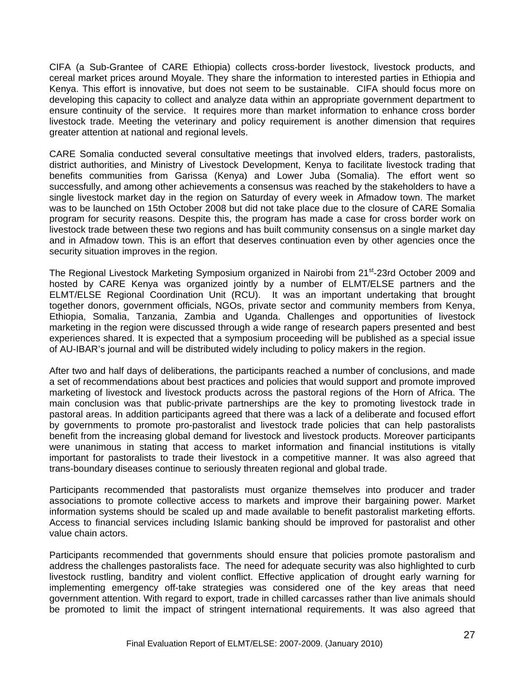CIFA (a Sub-Grantee of CARE Ethiopia) collects cross-border livestock, livestock products, and cereal market prices around Moyale. They share the information to interested parties in Ethiopia and Kenya. This effort is innovative, but does not seem to be sustainable. CIFA should focus more on developing this capacity to collect and analyze data within an appropriate government department to ensure continuity of the service. It requires more than market information to enhance cross border livestock trade. Meeting the veterinary and policy requirement is another dimension that requires greater attention at national and regional levels.

CARE Somalia conducted several consultative meetings that involved elders, traders, pastoralists, district authorities, and Ministry of Livestock Development, Kenya to facilitate livestock trading that benefits communities from Garissa (Kenya) and Lower Juba (Somalia). The effort went so successfully, and among other achievements a consensus was reached by the stakeholders to have a single livestock market day in the region on Saturday of every week in Afmadow town. The market was to be launched on 15th October 2008 but did not take place due to the closure of CARE Somalia program for security reasons. Despite this, the program has made a case for cross border work on livestock trade between these two regions and has built community consensus on a single market day and in Afmadow town. This is an effort that deserves continuation even by other agencies once the security situation improves in the region.

The Regional Livestock Marketing Symposium organized in Nairobi from 21<sup>st</sup>-23rd October 2009 and hosted by CARE Kenya was organized jointly by a number of ELMT/ELSE partners and the ELMT/ELSE Regional Coordination Unit (RCU). It was an important undertaking that brought together donors, government officials, NGOs, private sector and community members from Kenya, Ethiopia, Somalia, Tanzania, Zambia and Uganda. Challenges and opportunities of livestock marketing in the region were discussed through a wide range of research papers presented and best experiences shared. It is expected that a symposium proceeding will be published as a special issue of AU-IBAR's journal and will be distributed widely including to policy makers in the region.

After two and half days of deliberations, the participants reached a number of conclusions, and made a set of recommendations about best practices and policies that would support and promote improved marketing of livestock and livestock products across the pastoral regions of the Horn of Africa. The main conclusion was that public-private partnerships are the key to promoting livestock trade in pastoral areas. In addition participants agreed that there was a lack of a deliberate and focused effort by governments to promote pro-pastoralist and livestock trade policies that can help pastoralists benefit from the increasing global demand for livestock and livestock products. Moreover participants were unanimous in stating that access to market information and financial institutions is vitally important for pastoralists to trade their livestock in a competitive manner. It was also agreed that trans-boundary diseases continue to seriously threaten regional and global trade.

Participants recommended that pastoralists must organize themselves into producer and trader associations to promote collective access to markets and improve their bargaining power. Market information systems should be scaled up and made available to benefit pastoralist marketing efforts. Access to financial services including Islamic banking should be improved for pastoralist and other value chain actors.

Participants recommended that governments should ensure that policies promote pastoralism and address the challenges pastoralists face. The need for adequate security was also highlighted to curb livestock rustling, banditry and violent conflict. Effective application of drought early warning for implementing emergency off-take strategies was considered one of the key areas that need government attention. With regard to export, trade in chilled carcasses rather than live animals should be promoted to limit the impact of stringent international requirements. It was also agreed that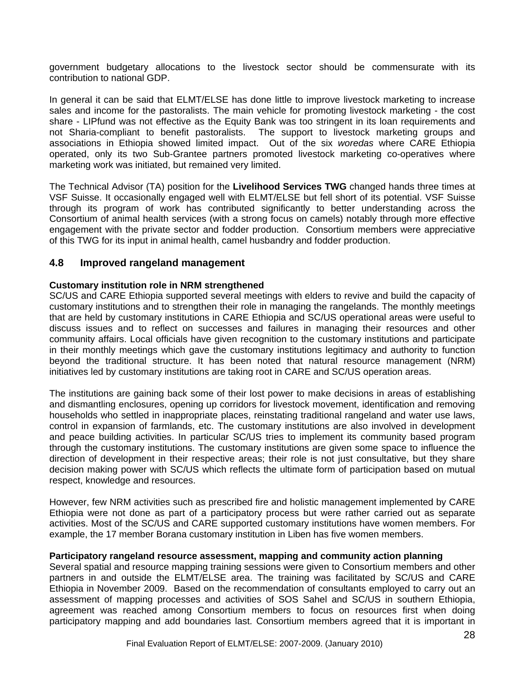government budgetary allocations to the livestock sector should be commensurate with its contribution to national GDP.

In general it can be said that ELMT/ELSE has done little to improve livestock marketing to increase sales and income for the pastoralists. The main vehicle for promoting livestock marketing - the cost share - LIPfund was not effective as the Equity Bank was too stringent in its loan requirements and not Sharia-compliant to benefit pastoralists. The support to livestock marketing groups and associations in Ethiopia showed limited impact. Out of the six *woredas* where CARE Ethiopia operated, only its two Sub-Grantee partners promoted livestock marketing co-operatives where marketing work was initiated, but remained very limited.

The Technical Advisor (TA) position for the **Livelihood Services TWG** changed hands three times at VSF Suisse. It occasionally engaged well with ELMT/ELSE but fell short of its potential. VSF Suisse through its program of work has contributed significantly to better understanding across the Consortium of animal health services (with a strong focus on camels) notably through more effective engagement with the private sector and fodder production. Consortium members were appreciative of this TWG for its input in animal health, camel husbandry and fodder production.

#### **4.8 Improved rangeland management**

#### **Customary institution role in NRM strengthened**

SC/US and CARE Ethiopia supported several meetings with elders to revive and build the capacity of customary institutions and to strengthen their role in managing the rangelands. The monthly meetings that are held by customary institutions in CARE Ethiopia and SC/US operational areas were useful to discuss issues and to reflect on successes and failures in managing their resources and other community affairs. Local officials have given recognition to the customary institutions and participate in their monthly meetings which gave the customary institutions legitimacy and authority to function beyond the traditional structure. It has been noted that natural resource management (NRM) initiatives led by customary institutions are taking root in CARE and SC/US operation areas.

The institutions are gaining back some of their lost power to make decisions in areas of establishing and dismantling enclosures, opening up corridors for livestock movement, identification and removing households who settled in inappropriate places, reinstating traditional rangeland and water use laws, control in expansion of farmlands, etc. The customary institutions are also involved in development and peace building activities. In particular SC/US tries to implement its community based program through the customary institutions. The customary institutions are given some space to influence the direction of development in their respective areas; their role is not just consultative, but they share decision making power with SC/US which reflects the ultimate form of participation based on mutual respect, knowledge and resources.

However, few NRM activities such as prescribed fire and holistic management implemented by CARE Ethiopia were not done as part of a participatory process but were rather carried out as separate activities. Most of the SC/US and CARE supported customary institutions have women members. For example, the 17 member Borana customary institution in Liben has five women members.

#### **Participatory rangeland resource assessment, mapping and community action planning**

Several spatial and resource mapping training sessions were given to Consortium members and other partners in and outside the ELMT/ELSE area. The training was facilitated by SC/US and CARE Ethiopia in November 2009. Based on the recommendation of consultants employed to carry out an assessment of mapping processes and activities of SOS Sahel and SC/US in southern Ethiopia, agreement was reached among Consortium members to focus on resources first when doing participatory mapping and add boundaries last. Consortium members agreed that it is important in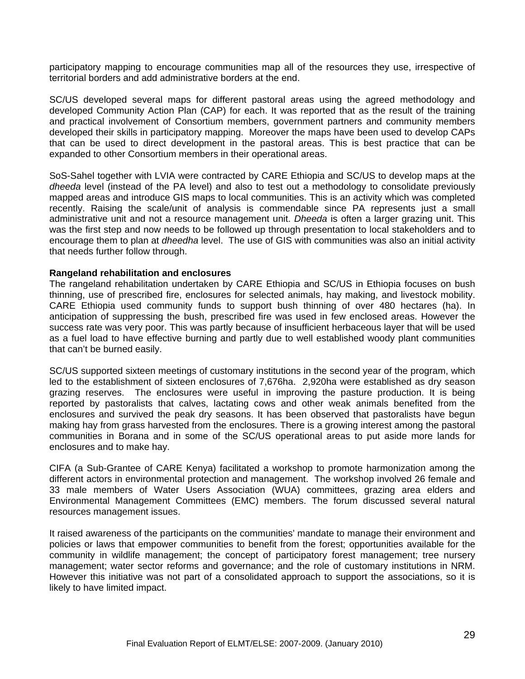participatory mapping to encourage communities map all of the resources they use, irrespective of territorial borders and add administrative borders at the end.

SC/US developed several maps for different pastoral areas using the agreed methodology and developed Community Action Plan (CAP) for each. It was reported that as the result of the training and practical involvement of Consortium members, government partners and community members developed their skills in participatory mapping. Moreover the maps have been used to develop CAPs that can be used to direct development in the pastoral areas. This is best practice that can be expanded to other Consortium members in their operational areas.

SoS-Sahel together with LVIA were contracted by CARE Ethiopia and SC/US to develop maps at the *dheeda* level (instead of the PA level) and also to test out a methodology to consolidate previously mapped areas and introduce GIS maps to local communities. This is an activity which was completed recently. Raising the scale/unit of analysis is commendable since PA represents just a small administrative unit and not a resource management unit. *Dheeda* is often a larger grazing unit. This was the first step and now needs to be followed up through presentation to local stakeholders and to encourage them to plan at *dheedha* level. The use of GIS with communities was also an initial activity that needs further follow through.

#### **Rangeland rehabilitation and enclosures**

The rangeland rehabilitation undertaken by CARE Ethiopia and SC/US in Ethiopia focuses on bush thinning, use of prescribed fire, enclosures for selected animals, hay making, and livestock mobility. CARE Ethiopia used community funds to support bush thinning of over 480 hectares (ha). In anticipation of suppressing the bush, prescribed fire was used in few enclosed areas. However the success rate was very poor. This was partly because of insufficient herbaceous layer that will be used as a fuel load to have effective burning and partly due to well established woody plant communities that can't be burned easily.

SC/US supported sixteen meetings of customary institutions in the second year of the program, which led to the establishment of sixteen enclosures of 7,676ha. 2,920ha were established as dry season grazing reserves. The enclosures were useful in improving the pasture production. It is being reported by pastoralists that calves, lactating cows and other weak animals benefited from the enclosures and survived the peak dry seasons. It has been observed that pastoralists have begun making hay from grass harvested from the enclosures. There is a growing interest among the pastoral communities in Borana and in some of the SC/US operational areas to put aside more lands for enclosures and to make hay.

CIFA (a Sub-Grantee of CARE Kenya) facilitated a workshop to promote harmonization among the different actors in environmental protection and management. The workshop involved 26 female and 33 male members of Water Users Association (WUA) committees, grazing area elders and Environmental Management Committees (EMC) members. The forum discussed several natural resources management issues.

It raised awareness of the participants on the communities' mandate to manage their environment and policies or laws that empower communities to benefit from the forest; opportunities available for the community in wildlife management; the concept of participatory forest management; tree nursery management; water sector reforms and governance; and the role of customary institutions in NRM. However this initiative was not part of a consolidated approach to support the associations, so it is likely to have limited impact.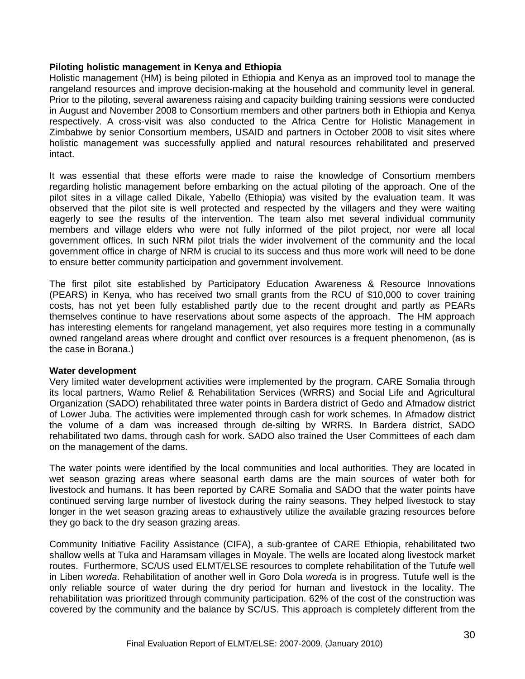#### **Piloting holistic management in Kenya and Ethiopia**

Holistic management (HM) is being piloted in Ethiopia and Kenya as an improved tool to manage the rangeland resources and improve decision-making at the household and community level in general. Prior to the piloting, several awareness raising and capacity building training sessions were conducted in August and November 2008 to Consortium members and other partners both in Ethiopia and Kenya respectively. A cross-visit was also conducted to the Africa Centre for Holistic Management in Zimbabwe by senior Consortium members, USAID and partners in October 2008 to visit sites where holistic management was successfully applied and natural resources rehabilitated and preserved intact.

It was essential that these efforts were made to raise the knowledge of Consortium members regarding holistic management before embarking on the actual piloting of the approach. One of the pilot sites in a village called Dikale, Yabello (Ethiopia) was visited by the evaluation team. It was observed that the pilot site is well protected and respected by the villagers and they were waiting eagerly to see the results of the intervention. The team also met several individual community members and village elders who were not fully informed of the pilot project, nor were all local government offices. In such NRM pilot trials the wider involvement of the community and the local government office in charge of NRM is crucial to its success and thus more work will need to be done to ensure better community participation and government involvement.

The first pilot site established by Participatory Education Awareness & Resource Innovations (PEARS) in Kenya, who has received two small grants from the RCU of \$10,000 to cover training costs, has not yet been fully established partly due to the recent drought and partly as PEARs themselves continue to have reservations about some aspects of the approach. The HM approach has interesting elements for rangeland management, yet also requires more testing in a communally owned rangeland areas where drought and conflict over resources is a frequent phenomenon, (as is the case in Borana.)

#### **Water development**

Very limited water development activities were implemented by the program. CARE Somalia through its local partners, Wamo Relief & Rehabilitation Services (WRRS) and Social Life and Agricultural Organization (SADO) rehabilitated three water points in Bardera district of Gedo and Afmadow district of Lower Juba. The activities were implemented through cash for work schemes. In Afmadow district the volume of a dam was increased through de-silting by WRRS. In Bardera district, SADO rehabilitated two dams, through cash for work. SADO also trained the User Committees of each dam on the management of the dams.

The water points were identified by the local communities and local authorities. They are located in wet season grazing areas where seasonal earth dams are the main sources of water both for livestock and humans. It has been reported by CARE Somalia and SADO that the water points have continued serving large number of livestock during the rainy seasons. They helped livestock to stay longer in the wet season grazing areas to exhaustively utilize the available grazing resources before they go back to the dry season grazing areas.

Community Initiative Facility Assistance (CIFA), a sub-grantee of CARE Ethiopia, rehabilitated two shallow wells at Tuka and Haramsam villages in Moyale. The wells are located along livestock market routes. Furthermore, SC/US used ELMT/ELSE resources to complete rehabilitation of the Tutufe well in Liben *woreda*. Rehabilitation of another well in Goro Dola *woreda* is in progress. Tutufe well is the only reliable source of water during the dry period for human and livestock in the locality. The rehabilitation was prioritized through community participation. 62% of the cost of the construction was covered by the community and the balance by SC/US. This approach is completely different from the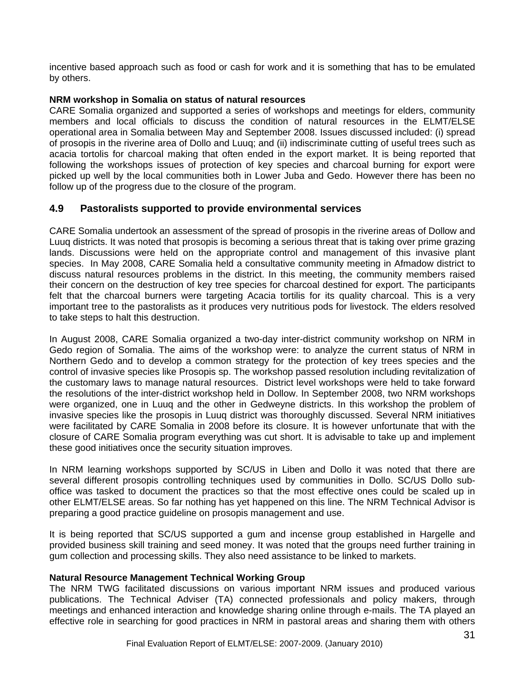incentive based approach such as food or cash for work and it is something that has to be emulated by others.

#### **NRM workshop in Somalia on status of natural resources**

CARE Somalia organized and supported a series of workshops and meetings for elders, community members and local officials to discuss the condition of natural resources in the ELMT/ELSE operational area in Somalia between May and September 2008. Issues discussed included: (i) spread of prosopis in the riverine area of Dollo and Luuq; and (ii) indiscriminate cutting of useful trees such as acacia tortolis for charcoal making that often ended in the export market. It is being reported that following the workshops issues of protection of key species and charcoal burning for export were picked up well by the local communities both in Lower Juba and Gedo. However there has been no follow up of the progress due to the closure of the program.

### **4.9 Pastoralists supported to provide environmental services**

CARE Somalia undertook an assessment of the spread of prosopis in the riverine areas of Dollow and Luuq districts. It was noted that prosopis is becoming a serious threat that is taking over prime grazing lands. Discussions were held on the appropriate control and management of this invasive plant species. In May 2008, CARE Somalia held a consultative community meeting in Afmadow district to discuss natural resources problems in the district. In this meeting, the community members raised their concern on the destruction of key tree species for charcoal destined for export. The participants felt that the charcoal burners were targeting Acacia tortilis for its quality charcoal. This is a very important tree to the pastoralists as it produces very nutritious pods for livestock. The elders resolved to take steps to halt this destruction.

In August 2008, CARE Somalia organized a two-day inter-district community workshop on NRM in Gedo region of Somalia. The aims of the workshop were: to analyze the current status of NRM in Northern Gedo and to develop a common strategy for the protection of key trees species and the control of invasive species like Prosopis sp. The workshop passed resolution including revitalization of the customary laws to manage natural resources. District level workshops were held to take forward the resolutions of the inter-district workshop held in Dollow. In September 2008, two NRM workshops were organized, one in Luuq and the other in Gedweyne districts. In this workshop the problem of invasive species like the prosopis in Luuq district was thoroughly discussed. Several NRM initiatives were facilitated by CARE Somalia in 2008 before its closure. It is however unfortunate that with the closure of CARE Somalia program everything was cut short. It is advisable to take up and implement these good initiatives once the security situation improves.

In NRM learning workshops supported by SC/US in Liben and Dollo it was noted that there are several different prosopis controlling techniques used by communities in Dollo. SC/US Dollo suboffice was tasked to document the practices so that the most effective ones could be scaled up in other ELMT/ELSE areas. So far nothing has yet happened on this line. The NRM Technical Advisor is preparing a good practice guideline on prosopis management and use.

It is being reported that SC/US supported a gum and incense group established in Hargelle and provided business skill training and seed money. It was noted that the groups need further training in gum collection and processing skills. They also need assistance to be linked to markets.

#### **Natural Resource Management Technical Working Group**

The NRM TWG facilitated discussions on various important NRM issues and produced various publications. The Technical Adviser (TA) connected professionals and policy makers, through meetings and enhanced interaction and knowledge sharing online through e-mails. The TA played an effective role in searching for good practices in NRM in pastoral areas and sharing them with others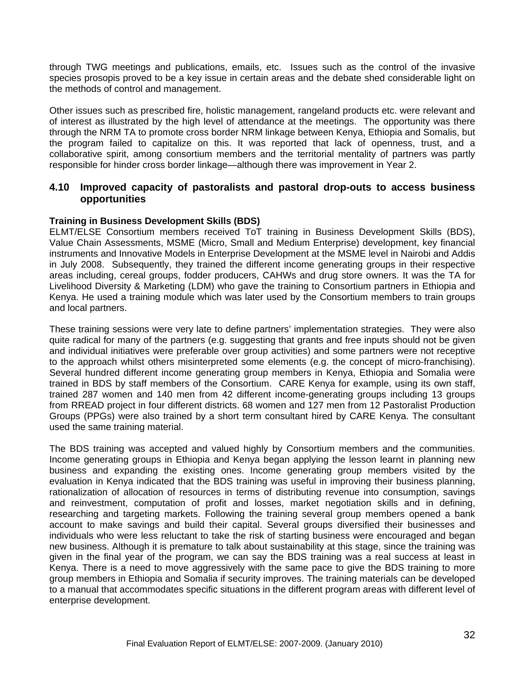through TWG meetings and publications, emails, etc. Issues such as the control of the invasive species prosopis proved to be a key issue in certain areas and the debate shed considerable light on the methods of control and management.

Other issues such as prescribed fire, holistic management, rangeland products etc. were relevant and of interest as illustrated by the high level of attendance at the meetings. The opportunity was there through the NRM TA to promote cross border NRM linkage between Kenya, Ethiopia and Somalis, but the program failed to capitalize on this. It was reported that lack of openness, trust, and a collaborative spirit, among consortium members and the territorial mentality of partners was partly responsible for hinder cross border linkage—although there was improvement in Year 2.

#### **4.10 Improved capacity of pastoralists and pastoral drop-outs to access business opportunities**

#### **Training in Business Development Skills (BDS)**

ELMT/ELSE Consortium members received ToT training in Business Development Skills (BDS), Value Chain Assessments, MSME (Micro, Small and Medium Enterprise) development, key financial instruments and Innovative Models in Enterprise Development at the MSME level in Nairobi and Addis in July 2008. Subsequently, they trained the different income generating groups in their respective areas including, cereal groups, fodder producers, CAHWs and drug store owners. It was the TA for Livelihood Diversity & Marketing (LDM) who gave the training to Consortium partners in Ethiopia and Kenya. He used a training module which was later used by the Consortium members to train groups and local partners.

These training sessions were very late to define partners' implementation strategies. They were also quite radical for many of the partners (e.g. suggesting that grants and free inputs should not be given and individual initiatives were preferable over group activities) and some partners were not receptive to the approach whilst others misinterpreted some elements (e.g. the concept of micro-franchising). Several hundred different income generating group members in Kenya, Ethiopia and Somalia were trained in BDS by staff members of the Consortium. CARE Kenya for example, using its own staff, trained 287 women and 140 men from 42 different income-generating groups including 13 groups from RREAD project in four different districts. 68 women and 127 men from 12 Pastoralist Production Groups (PPGs) were also trained by a short term consultant hired by CARE Kenya. The consultant used the same training material.

The BDS training was accepted and valued highly by Consortium members and the communities. Income generating groups in Ethiopia and Kenya began applying the lesson learnt in planning new business and expanding the existing ones. Income generating group members visited by the evaluation in Kenya indicated that the BDS training was useful in improving their business planning, rationalization of allocation of resources in terms of distributing revenue into consumption, savings and reinvestment, computation of profit and losses, market negotiation skills and in defining, researching and targeting markets. Following the training several group members opened a bank account to make savings and build their capital. Several groups diversified their businesses and individuals who were less reluctant to take the risk of starting business were encouraged and began new business. Although it is premature to talk about sustainability at this stage, since the training was given in the final year of the program, we can say the BDS training was a real success at least in Kenya. There is a need to move aggressively with the same pace to give the BDS training to more group members in Ethiopia and Somalia if security improves. The training materials can be developed to a manual that accommodates specific situations in the different program areas with different level of enterprise development.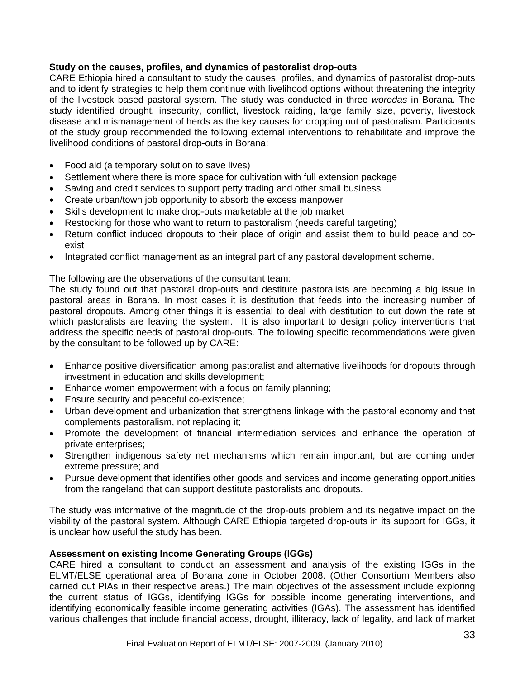#### **Study on the causes, profiles, and dynamics of pastoralist drop-outs**

CARE Ethiopia hired a consultant to study the causes, profiles, and dynamics of pastoralist drop-outs and to identify strategies to help them continue with livelihood options without threatening the integrity of the livestock based pastoral system. The study was conducted in three *woredas* in Borana. The study identified drought, insecurity, conflict, livestock raiding, large family size, poverty, livestock disease and mismanagement of herds as the key causes for dropping out of pastoralism. Participants of the study group recommended the following external interventions to rehabilitate and improve the livelihood conditions of pastoral drop-outs in Borana:

- Food aid (a temporary solution to save lives)
- Settlement where there is more space for cultivation with full extension package
- Saving and credit services to support petty trading and other small business
- Create urban/town job opportunity to absorb the excess manpower
- Skills development to make drop-outs marketable at the job market
- Restocking for those who want to return to pastoralism (needs careful targeting)
- Return conflict induced dropouts to their place of origin and assist them to build peace and coexist
- Integrated conflict management as an integral part of any pastoral development scheme.

The following are the observations of the consultant team:

The study found out that pastoral drop-outs and destitute pastoralists are becoming a big issue in pastoral areas in Borana. In most cases it is destitution that feeds into the increasing number of pastoral dropouts. Among other things it is essential to deal with destitution to cut down the rate at which pastoralists are leaving the system. It is also important to design policy interventions that address the specific needs of pastoral drop-outs. The following specific recommendations were given by the consultant to be followed up by CARE:

- Enhance positive diversification among pastoralist and alternative livelihoods for dropouts through investment in education and skills development;
- Enhance women empowerment with a focus on family planning;
- Ensure security and peaceful co-existence;
- Urban development and urbanization that strengthens linkage with the pastoral economy and that complements pastoralism, not replacing it;
- Promote the development of financial intermediation services and enhance the operation of private enterprises;
- Strengthen indigenous safety net mechanisms which remain important, but are coming under extreme pressure; and
- Pursue development that identifies other goods and services and income generating opportunities from the rangeland that can support destitute pastoralists and dropouts.

The study was informative of the magnitude of the drop-outs problem and its negative impact on the viability of the pastoral system. Although CARE Ethiopia targeted drop-outs in its support for IGGs, it is unclear how useful the study has been.

#### **Assessment on existing Income Generating Groups (IGGs)**

CARE hired a consultant to conduct an assessment and analysis of the existing IGGs in the ELMT/ELSE operational area of Borana zone in October 2008. (Other Consortium Members also carried out PIAs in their respective areas.) The main objectives of the assessment include exploring the current status of IGGs, identifying IGGs for possible income generating interventions, and identifying economically feasible income generating activities (IGAs). The assessment has identified various challenges that include financial access, drought, illiteracy, lack of legality, and lack of market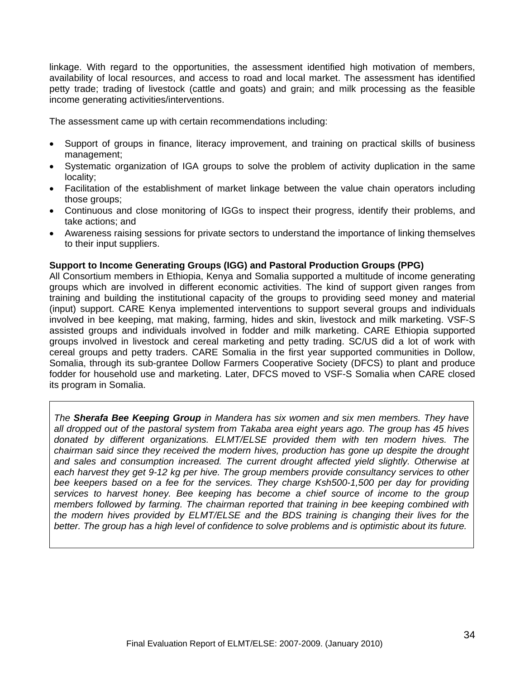linkage. With regard to the opportunities, the assessment identified high motivation of members, availability of local resources, and access to road and local market. The assessment has identified petty trade; trading of livestock (cattle and goats) and grain; and milk processing as the feasible income generating activities/interventions.

The assessment came up with certain recommendations including:

- Support of groups in finance, literacy improvement, and training on practical skills of business management;
- Systematic organization of IGA groups to solve the problem of activity duplication in the same locality;
- Facilitation of the establishment of market linkage between the value chain operators including those groups;
- Continuous and close monitoring of IGGs to inspect their progress, identify their problems, and take actions; and
- Awareness raising sessions for private sectors to understand the importance of linking themselves to their input suppliers.

#### **Support to Income Generating Groups (IGG) and Pastoral Production Groups (PPG)**

All Consortium members in Ethiopia, Kenya and Somalia supported a multitude of income generating groups which are involved in different economic activities. The kind of support given ranges from training and building the institutional capacity of the groups to providing seed money and material (input) support. CARE Kenya implemented interventions to support several groups and individuals involved in bee keeping, mat making, farming, hides and skin, livestock and milk marketing. VSF-S assisted groups and individuals involved in fodder and milk marketing. CARE Ethiopia supported groups involved in livestock and cereal marketing and petty trading. SC/US did a lot of work with cereal groups and petty traders. CARE Somalia in the first year supported communities in Dollow, Somalia, through its sub-grantee Dollow Farmers Cooperative Society (DFCS) to plant and produce fodder for household use and marketing. Later, DFCS moved to VSF-S Somalia when CARE closed its program in Somalia.

*The Sherafa Bee Keeping Group in Mandera has six women and six men members. They have all dropped out of the pastoral system from Takaba area eight years ago. The group has 45 hives donated by different organizations. ELMT/ELSE provided them with ten modern hives. The chairman said since they received the modern hives, production has gone up despite the drought and sales and consumption increased. The current drought affected yield slightly. Otherwise at*  each harvest they get 9-12 kg per hive. The group members provide consultancy services to other *bee keepers based on a fee for the services. They charge Ksh500-1,500 per day for providing services to harvest honey. Bee keeping has become a chief source of income to the group members followed by farming. The chairman reported that training in bee keeping combined with the modern hives provided by ELMT/ELSE and the BDS training is changing their lives for the better. The group has a high level of confidence to solve problems and is optimistic about its future.*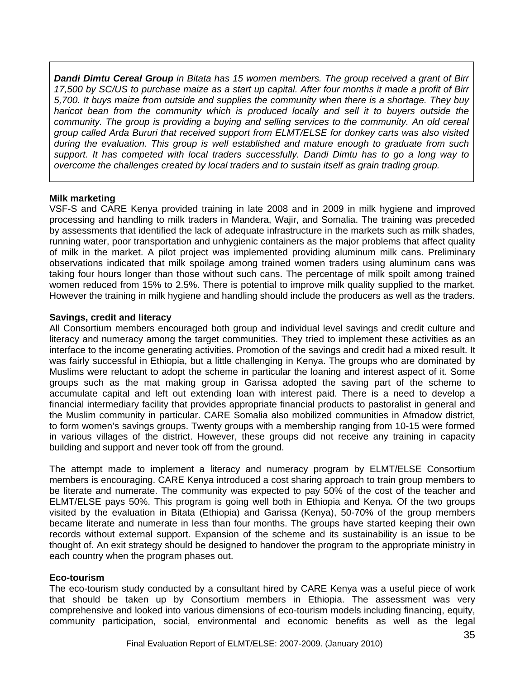*Dandi Dimtu Cereal Group in Bitata has 15 women members. The group received a grant of Birr 17,500 by SC/US to purchase maize as a start up capital. After four months it made a profit of Birr 5,700. It buys maize from outside and supplies the community when there is a shortage. They buy*  haricot bean from the community which is produced locally and sell it to buyers outside the *community. The group is providing a buying and selling services to the community. An old cereal group called Arda Bururi that received support from ELMT/ELSE for donkey carts was also visited during the evaluation. This group is well established and mature enough to graduate from such support. It has competed with local traders successfully. Dandi Dimtu has to go a long way to overcome the challenges created by local traders and to sustain itself as grain trading group.* 

#### **Milk marketing**

VSF-S and CARE Kenya provided training in late 2008 and in 2009 in milk hygiene and improved processing and handling to milk traders in Mandera, Wajir, and Somalia. The training was preceded by assessments that identified the lack of adequate infrastructure in the markets such as milk shades, running water, poor transportation and unhygienic containers as the major problems that affect quality of milk in the market. A pilot project was implemented providing aluminum milk cans. Preliminary observations indicated that milk spoilage among trained women traders using aluminum cans was taking four hours longer than those without such cans. The percentage of milk spoilt among trained women reduced from 15% to 2.5%. There is potential to improve milk quality supplied to the market. However the training in milk hygiene and handling should include the producers as well as the traders.

#### **Savings, credit and literacy**

All Consortium members encouraged both group and individual level savings and credit culture and literacy and numeracy among the target communities. They tried to implement these activities as an interface to the income generating activities. Promotion of the savings and credit had a mixed result. It was fairly successful in Ethiopia, but a little challenging in Kenya. The groups who are dominated by Muslims were reluctant to adopt the scheme in particular the loaning and interest aspect of it. Some groups such as the mat making group in Garissa adopted the saving part of the scheme to accumulate capital and left out extending loan with interest paid. There is a need to develop a financial intermediary facility that provides appropriate financial products to pastoralist in general and the Muslim community in particular. CARE Somalia also mobilized communities in Afmadow district, to form women's savings groups. Twenty groups with a membership ranging from 10-15 were formed in various villages of the district. However, these groups did not receive any training in capacity building and support and never took off from the ground.

The attempt made to implement a literacy and numeracy program by ELMT/ELSE Consortium members is encouraging. CARE Kenya introduced a cost sharing approach to train group members to be literate and numerate. The community was expected to pay 50% of the cost of the teacher and ELMT/ELSE pays 50%. This program is going well both in Ethiopia and Kenya. Of the two groups visited by the evaluation in Bitata (Ethiopia) and Garissa (Kenya), 50-70% of the group members became literate and numerate in less than four months. The groups have started keeping their own records without external support. Expansion of the scheme and its sustainability is an issue to be thought of. An exit strategy should be designed to handover the program to the appropriate ministry in each country when the program phases out.

#### **Eco-tourism**

The eco-tourism study conducted by a consultant hired by CARE Kenya was a useful piece of work that should be taken up by Consortium members in Ethiopia. The assessment was very comprehensive and looked into various dimensions of eco-tourism models including financing, equity, community participation, social, environmental and economic benefits as well as the legal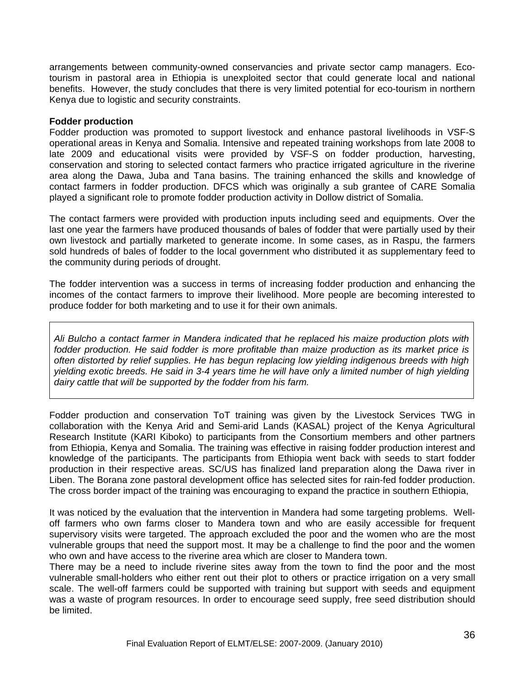arrangements between community-owned conservancies and private sector camp managers. Ecotourism in pastoral area in Ethiopia is unexploited sector that could generate local and national benefits. However, the study concludes that there is very limited potential for eco-tourism in northern Kenya due to logistic and security constraints.

#### **Fodder production**

Fodder production was promoted to support livestock and enhance pastoral livelihoods in VSF-S operational areas in Kenya and Somalia. Intensive and repeated training workshops from late 2008 to late 2009 and educational visits were provided by VSF-S on fodder production, harvesting, conservation and storing to selected contact farmers who practice irrigated agriculture in the riverine area along the Dawa, Juba and Tana basins. The training enhanced the skills and knowledge of contact farmers in fodder production. DFCS which was originally a sub grantee of CARE Somalia played a significant role to promote fodder production activity in Dollow district of Somalia.

The contact farmers were provided with production inputs including seed and equipments. Over the last one year the farmers have produced thousands of bales of fodder that were partially used by their own livestock and partially marketed to generate income. In some cases, as in Raspu, the farmers sold hundreds of bales of fodder to the local government who distributed it as supplementary feed to the community during periods of drought.

The fodder intervention was a success in terms of increasing fodder production and enhancing the incomes of the contact farmers to improve their livelihood. More people are becoming interested to produce fodder for both marketing and to use it for their own animals.

*Ali Bulcho a contact farmer in Mandera indicated that he replaced his maize production plots with fodder production. He said fodder is more profitable than maize production as its market price is often distorted by relief supplies. He has begun replacing low yielding indigenous breeds with high yielding exotic breeds. He said in 3-4 years time he will have only a limited number of high yielding dairy cattle that will be supported by the fodder from his farm.* 

Fodder production and conservation ToT training was given by the Livestock Services TWG in collaboration with the Kenya Arid and Semi-arid Lands (KASAL) project of the Kenya Agricultural Research Institute (KARI Kiboko) to participants from the Consortium members and other partners from Ethiopia, Kenya and Somalia. The training was effective in raising fodder production interest and knowledge of the participants. The participants from Ethiopia went back with seeds to start fodder production in their respective areas. SC/US has finalized land preparation along the Dawa river in Liben. The Borana zone pastoral development office has selected sites for rain-fed fodder production. The cross border impact of the training was encouraging to expand the practice in southern Ethiopia,

It was noticed by the evaluation that the intervention in Mandera had some targeting problems. Welloff farmers who own farms closer to Mandera town and who are easily accessible for frequent supervisory visits were targeted. The approach excluded the poor and the women who are the most vulnerable groups that need the support most. It may be a challenge to find the poor and the women who own and have access to the riverine area which are closer to Mandera town.

There may be a need to include riverine sites away from the town to find the poor and the most vulnerable small-holders who either rent out their plot to others or practice irrigation on a very small scale. The well-off farmers could be supported with training but support with seeds and equipment was a waste of program resources. In order to encourage seed supply, free seed distribution should be limited.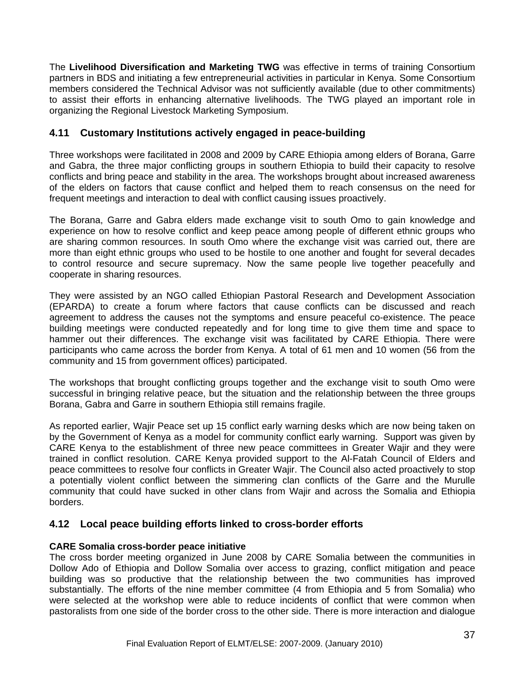The **Livelihood Diversification and Marketing TWG** was effective in terms of training Consortium partners in BDS and initiating a few entrepreneurial activities in particular in Kenya. Some Consortium members considered the Technical Advisor was not sufficiently available (due to other commitments) to assist their efforts in enhancing alternative livelihoods. The TWG played an important role in organizing the Regional Livestock Marketing Symposium.

### **4.11 Customary Institutions actively engaged in peace-building**

Three workshops were facilitated in 2008 and 2009 by CARE Ethiopia among elders of Borana, Garre and Gabra, the three major conflicting groups in southern Ethiopia to build their capacity to resolve conflicts and bring peace and stability in the area. The workshops brought about increased awareness of the elders on factors that cause conflict and helped them to reach consensus on the need for frequent meetings and interaction to deal with conflict causing issues proactively.

The Borana, Garre and Gabra elders made exchange visit to south Omo to gain knowledge and experience on how to resolve conflict and keep peace among people of different ethnic groups who are sharing common resources. In south Omo where the exchange visit was carried out, there are more than eight ethnic groups who used to be hostile to one another and fought for several decades to control resource and secure supremacy. Now the same people live together peacefully and cooperate in sharing resources.

They were assisted by an NGO called Ethiopian Pastoral Research and Development Association (EPARDA) to create a forum where factors that cause conflicts can be discussed and reach agreement to address the causes not the symptoms and ensure peaceful co-existence. The peace building meetings were conducted repeatedly and for long time to give them time and space to hammer out their differences. The exchange visit was facilitated by CARE Ethiopia. There were participants who came across the border from Kenya. A total of 61 men and 10 women (56 from the community and 15 from government offices) participated.

The workshops that brought conflicting groups together and the exchange visit to south Omo were successful in bringing relative peace, but the situation and the relationship between the three groups Borana, Gabra and Garre in southern Ethiopia still remains fragile.

As reported earlier, Wajir Peace set up 15 conflict early warning desks which are now being taken on by the Government of Kenya as a model for community conflict early warning. Support was given by CARE Kenya to the establishment of three new peace committees in Greater Wajir and they were trained in conflict resolution. CARE Kenya provided support to the Al-Fatah Council of Elders and peace committees to resolve four conflicts in Greater Wajir. The Council also acted proactively to stop a potentially violent conflict between the simmering clan conflicts of the Garre and the Murulle community that could have sucked in other clans from Wajir and across the Somalia and Ethiopia borders.

#### **4.12 Local peace building efforts linked to cross-border efforts**

#### **CARE Somalia cross-border peace initiative**

The cross border meeting organized in June 2008 by CARE Somalia between the communities in Dollow Ado of Ethiopia and Dollow Somalia over access to grazing, conflict mitigation and peace building was so productive that the relationship between the two communities has improved substantially. The efforts of the nine member committee (4 from Ethiopia and 5 from Somalia) who were selected at the workshop were able to reduce incidents of conflict that were common when pastoralists from one side of the border cross to the other side. There is more interaction and dialogue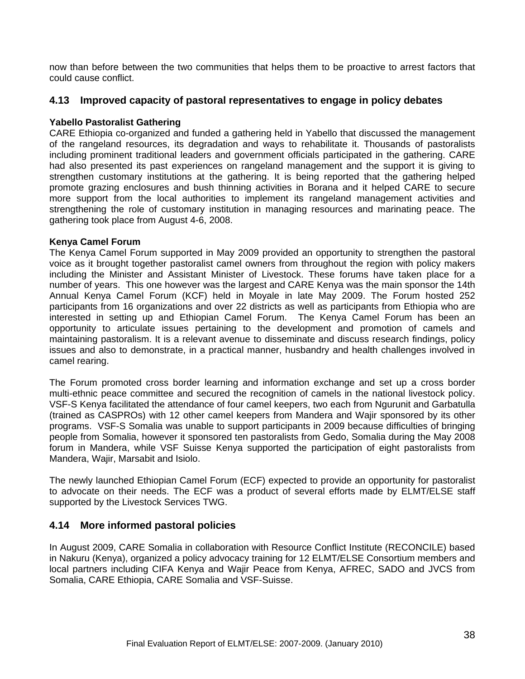now than before between the two communities that helps them to be proactive to arrest factors that could cause conflict.

#### **4.13 Improved capacity of pastoral representatives to engage in policy debates**

#### **Yabello Pastoralist Gathering**

CARE Ethiopia co-organized and funded a gathering held in Yabello that discussed the management of the rangeland resources, its degradation and ways to rehabilitate it. Thousands of pastoralists including prominent traditional leaders and government officials participated in the gathering. CARE had also presented its past experiences on rangeland management and the support it is giving to strengthen customary institutions at the gathering. It is being reported that the gathering helped promote grazing enclosures and bush thinning activities in Borana and it helped CARE to secure more support from the local authorities to implement its rangeland management activities and strengthening the role of customary institution in managing resources and marinating peace. The gathering took place from August 4-6, 2008.

#### **Kenya Camel Forum**

The Kenya Camel Forum supported in May 2009 provided an opportunity to strengthen the pastoral voice as it brought together pastoralist camel owners from throughout the region with policy makers including the Minister and Assistant Minister of Livestock. These forums have taken place for a number of years. This one however was the largest and CARE Kenya was the main sponsor the 14th Annual Kenya Camel Forum (KCF) held in Moyale in late May 2009. The Forum hosted 252 participants from 16 organizations and over 22 districts as well as participants from Ethiopia who are interested in setting up and Ethiopian Camel Forum. The Kenya Camel Forum has been an opportunity to articulate issues pertaining to the development and promotion of camels and maintaining pastoralism. It is a relevant avenue to disseminate and discuss research findings, policy issues and also to demonstrate, in a practical manner, husbandry and health challenges involved in camel rearing.

The Forum promoted cross border learning and information exchange and set up a cross border multi-ethnic peace committee and secured the recognition of camels in the national livestock policy. VSF-S Kenya facilitated the attendance of four camel keepers, two each from Ngurunit and Garbatulla (trained as CASPROs) with 12 other camel keepers from Mandera and Wajir sponsored by its other programs. VSF-S Somalia was unable to support participants in 2009 because difficulties of bringing people from Somalia, however it sponsored ten pastoralists from Gedo, Somalia during the May 2008 forum in Mandera, while VSF Suisse Kenya supported the participation of eight pastoralists from Mandera, Wajir, Marsabit and Isiolo.

The newly launched Ethiopian Camel Forum (ECF) expected to provide an opportunity for pastoralist to advocate on their needs. The ECF was a product of several efforts made by ELMT/ELSE staff supported by the Livestock Services TWG.

#### **4.14 More informed pastoral policies**

In August 2009, CARE Somalia in collaboration with Resource Conflict Institute (RECONCILE) based in Nakuru (Kenya), organized a policy advocacy training for 12 ELMT/ELSE Consortium members and local partners including CIFA Kenya and Wajir Peace from Kenya, AFREC, SADO and JVCS from Somalia, CARE Ethiopia, CARE Somalia and VSF-Suisse.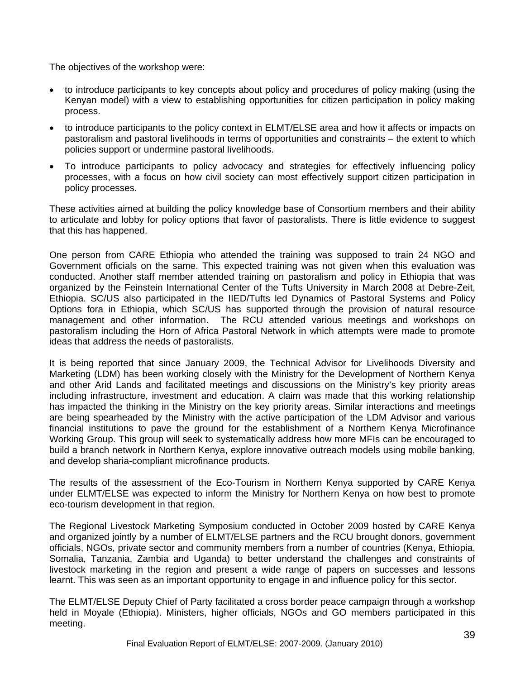The objectives of the workshop were:

- to introduce participants to key concepts about policy and procedures of policy making (using the Kenyan model) with a view to establishing opportunities for citizen participation in policy making process.
- to introduce participants to the policy context in ELMT/ELSE area and how it affects or impacts on pastoralism and pastoral livelihoods in terms of opportunities and constraints – the extent to which policies support or undermine pastoral livelihoods.
- To introduce participants to policy advocacy and strategies for effectively influencing policy processes, with a focus on how civil society can most effectively support citizen participation in policy processes.

These activities aimed at building the policy knowledge base of Consortium members and their ability to articulate and lobby for policy options that favor of pastoralists. There is little evidence to suggest that this has happened.

One person from CARE Ethiopia who attended the training was supposed to train 24 NGO and Government officials on the same. This expected training was not given when this evaluation was conducted. Another staff member attended training on pastoralism and policy in Ethiopia that was organized by the Feinstein International Center of the Tufts University in March 2008 at Debre-Zeit, Ethiopia. SC/US also participated in the IIED/Tufts led Dynamics of Pastoral Systems and Policy Options fora in Ethiopia, which SC/US has supported through the provision of natural resource management and other information. The RCU attended various meetings and workshops on pastoralism including the Horn of Africa Pastoral Network in which attempts were made to promote ideas that address the needs of pastoralists.

It is being reported that since January 2009, the Technical Advisor for Livelihoods Diversity and Marketing (LDM) has been working closely with the Ministry for the Development of Northern Kenya and other Arid Lands and facilitated meetings and discussions on the Ministry's key priority areas including infrastructure, investment and education. A claim was made that this working relationship has impacted the thinking in the Ministry on the key priority areas. Similar interactions and meetings are being spearheaded by the Ministry with the active participation of the LDM Advisor and various financial institutions to pave the ground for the establishment of a Northern Kenya Microfinance Working Group. This group will seek to systematically address how more MFIs can be encouraged to build a branch network in Northern Kenya, explore innovative outreach models using mobile banking, and develop sharia-compliant microfinance products.

The results of the assessment of the Eco-Tourism in Northern Kenya supported by CARE Kenya under ELMT/ELSE was expected to inform the Ministry for Northern Kenya on how best to promote eco-tourism development in that region.

The Regional Livestock Marketing Symposium conducted in October 2009 hosted by CARE Kenya and organized jointly by a number of ELMT/ELSE partners and the RCU brought donors, government officials, NGOs, private sector and community members from a number of countries (Kenya, Ethiopia, Somalia, Tanzania, Zambia and Uganda) to better understand the challenges and constraints of livestock marketing in the region and present a wide range of papers on successes and lessons learnt. This was seen as an important opportunity to engage in and influence policy for this sector.

The ELMT/ELSE Deputy Chief of Party facilitated a cross border peace campaign through a workshop held in Moyale (Ethiopia). Ministers, higher officials, NGOs and GO members participated in this meeting.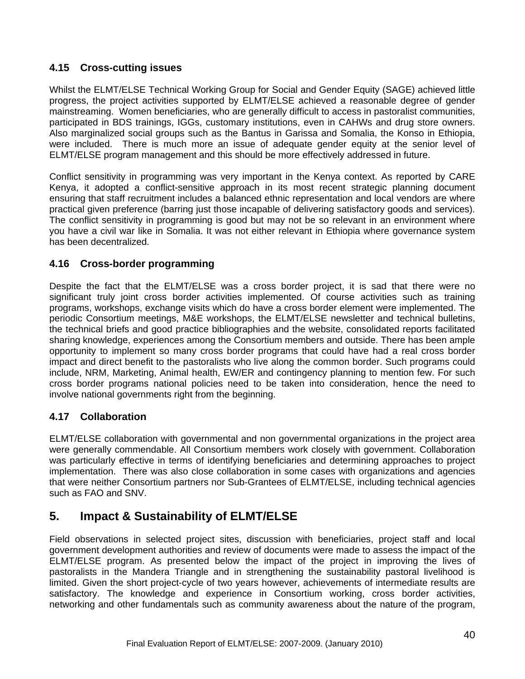### **4.15 Cross-cutting issues**

Whilst the ELMT/ELSE Technical Working Group for Social and Gender Equity (SAGE) achieved little progress, the project activities supported by ELMT/ELSE achieved a reasonable degree of gender mainstreaming. Women beneficiaries, who are generally difficult to access in pastoralist communities, participated in BDS trainings, IGGs, customary institutions, even in CAHWs and drug store owners. Also marginalized social groups such as the Bantus in Garissa and Somalia, the Konso in Ethiopia, were included. There is much more an issue of adequate gender equity at the senior level of ELMT/ELSE program management and this should be more effectively addressed in future.

Conflict sensitivity in programming was very important in the Kenya context. As reported by CARE Kenya, it adopted a conflict-sensitive approach in its most recent strategic planning document ensuring that staff recruitment includes a balanced ethnic representation and local vendors are where practical given preference (barring just those incapable of delivering satisfactory goods and services). The conflict sensitivity in programming is good but may not be so relevant in an environment where you have a civil war like in Somalia. It was not either relevant in Ethiopia where governance system has been decentralized.

# **4.16 Cross-border programming**

Despite the fact that the ELMT/ELSE was a cross border project, it is sad that there were no significant truly joint cross border activities implemented. Of course activities such as training programs, workshops, exchange visits which do have a cross border element were implemented. The periodic Consortium meetings, M&E workshops, the ELMT/ELSE newsletter and technical bulletins, the technical briefs and good practice bibliographies and the website, consolidated reports facilitated sharing knowledge, experiences among the Consortium members and outside. There has been ample opportunity to implement so many cross border programs that could have had a real cross border impact and direct benefit to the pastoralists who live along the common border. Such programs could include, NRM, Marketing, Animal health, EW/ER and contingency planning to mention few. For such cross border programs national policies need to be taken into consideration, hence the need to involve national governments right from the beginning.

#### **4.17 Collaboration**

ELMT/ELSE collaboration with governmental and non governmental organizations in the project area were generally commendable. All Consortium members work closely with government. Collaboration was particularly effective in terms of identifying beneficiaries and determining approaches to project implementation. There was also close collaboration in some cases with organizations and agencies that were neither Consortium partners nor Sub-Grantees of ELMT/ELSE, including technical agencies such as FAO and SNV.

# **5. Impact & Sustainability of ELMT/ELSE**

Field observations in selected project sites, discussion with beneficiaries, project staff and local government development authorities and review of documents were made to assess the impact of the ELMT/ELSE program. As presented below the impact of the project in improving the lives of pastoralists in the Mandera Triangle and in strengthening the sustainability pastoral livelihood is limited. Given the short project-cycle of two years however, achievements of intermediate results are satisfactory. The knowledge and experience in Consortium working, cross border activities, networking and other fundamentals such as community awareness about the nature of the program,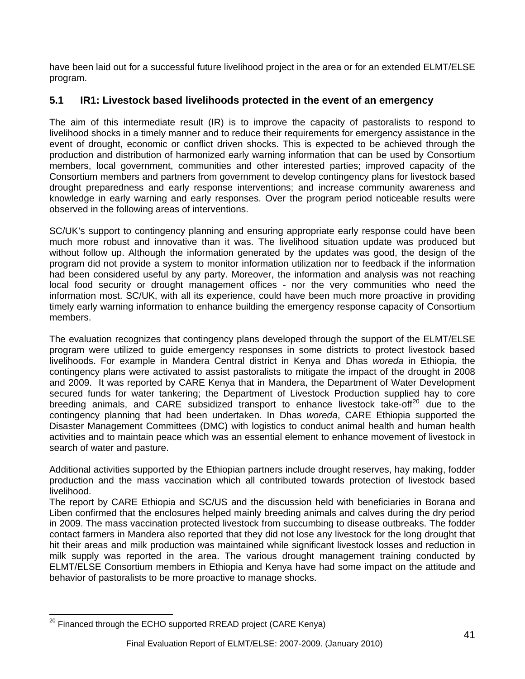<span id="page-40-0"></span>have been laid out for a successful future livelihood project in the area or for an extended ELMT/ELSE program.

# **5.1 IR1: Livestock based livelihoods protected in the event of an emergency**

The aim of this intermediate result (IR) is to improve the capacity of pastoralists to respond to livelihood shocks in a timely manner and to reduce their requirements for emergency assistance in the event of drought, economic or conflict driven shocks. This is expected to be achieved through the production and distribution of harmonized early warning information that can be used by Consortium members, local government, communities and other interested parties; improved capacity of the Consortium members and partners from government to develop contingency plans for livestock based drought preparedness and early response interventions; and increase community awareness and knowledge in early warning and early responses. Over the program period noticeable results were observed in the following areas of interventions.

SC/UK's support to contingency planning and ensuring appropriate early response could have been much more robust and innovative than it was. The livelihood situation update was produced but without follow up. Although the information generated by the updates was good, the design of the program did not provide a system to monitor information utilization nor to feedback if the information had been considered useful by any party. Moreover, the information and analysis was not reaching local food security or drought management offices - nor the very communities who need the information most. SC/UK, with all its experience, could have been much more proactive in providing timely early warning information to enhance building the emergency response capacity of Consortium members.

The evaluation recognizes that contingency plans developed through the support of the ELMT/ELSE program were utilized to guide emergency responses in some districts to protect livestock based livelihoods. For example in Mandera Central district in Kenya and Dhas *woreda* in Ethiopia, the contingency plans were activated to assist pastoralists to mitigate the impact of the drought in 2008 and 2009. It was reported by CARE Kenya that in Mandera, the Department of Water Development secured funds for water tankering; the Department of Livestock Production supplied hay to core breeding animals, and CARE subsidized transport to enhance livestock take-off $20$  due to the contingency planning that had been undertaken. In Dhas *woreda*, CARE Ethiopia supported the Disaster Management Committees (DMC) with logistics to conduct animal health and human health activities and to maintain peace which was an essential element to enhance movement of livestock in search of water and pasture.

Additional activities supported by the Ethiopian partners include drought reserves, hay making, fodder production and the mass vaccination which all contributed towards protection of livestock based livelihood.

The report by CARE Ethiopia and SC/US and the discussion held with beneficiaries in Borana and Liben confirmed that the enclosures helped mainly breeding animals and calves during the dry period in 2009. The mass vaccination protected livestock from succumbing to disease outbreaks. The fodder contact farmers in Mandera also reported that they did not lose any livestock for the long drought that hit their areas and milk production was maintained while significant livestock losses and reduction in milk supply was reported in the area. The various drought management training conducted by ELMT/ELSE Consortium members in Ethiopia and Kenya have had some impact on the attitude and behavior of pastoralists to be more proactive to manage shocks.

 $\overline{a}$  $^{20}$  Financed through the ECHO supported RREAD project (CARE Kenya)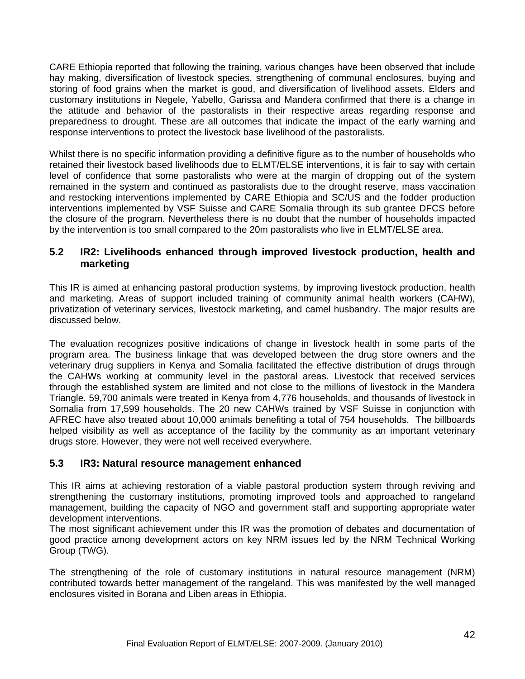CARE Ethiopia reported that following the training, various changes have been observed that include hay making, diversification of livestock species, strengthening of communal enclosures, buying and storing of food grains when the market is good, and diversification of livelihood assets. Elders and customary institutions in Negele, Yabello, Garissa and Mandera confirmed that there is a change in the attitude and behavior of the pastoralists in their respective areas regarding response and preparedness to drought. These are all outcomes that indicate the impact of the early warning and response interventions to protect the livestock base livelihood of the pastoralists.

Whilst there is no specific information providing a definitive figure as to the number of households who retained their livestock based livelihoods due to ELMT/ELSE interventions, it is fair to say with certain level of confidence that some pastoralists who were at the margin of dropping out of the system remained in the system and continued as pastoralists due to the drought reserve, mass vaccination and restocking interventions implemented by CARE Ethiopia and SC/US and the fodder production interventions implemented by VSF Suisse and CARE Somalia through its sub grantee DFCS before the closure of the program. Nevertheless there is no doubt that the number of households impacted by the intervention is too small compared to the 20m pastoralists who live in ELMT/ELSE area.

### **5.2 IR2: Livelihoods enhanced through improved livestock production, health and marketing**

This IR is aimed at enhancing pastoral production systems, by improving livestock production, health and marketing. Areas of support included training of community animal health workers (CAHW), privatization of veterinary services, livestock marketing, and camel husbandry. The major results are discussed below.

The evaluation recognizes positive indications of change in livestock health in some parts of the program area. The business linkage that was developed between the drug store owners and the veterinary drug suppliers in Kenya and Somalia facilitated the effective distribution of drugs through the CAHWs working at community level in the pastoral areas. Livestock that received services through the established system are limited and not close to the millions of livestock in the Mandera Triangle. 59,700 animals were treated in Kenya from 4,776 households, and thousands of livestock in Somalia from 17,599 households. The 20 new CAHWs trained by VSF Suisse in conjunction with AFREC have also treated about 10,000 animals benefiting a total of 754 households. The billboards helped visibility as well as acceptance of the facility by the community as an important veterinary drugs store. However, they were not well received everywhere.

#### **5.3 IR3: Natural resource management enhanced**

This IR aims at achieving restoration of a viable pastoral production system through reviving and strengthening the customary institutions, promoting improved tools and approached to rangeland management, building the capacity of NGO and government staff and supporting appropriate water development interventions.

The most significant achievement under this IR was the promotion of debates and documentation of good practice among development actors on key NRM issues led by the NRM Technical Working Group (TWG).

The strengthening of the role of customary institutions in natural resource management (NRM) contributed towards better management of the rangeland. This was manifested by the well managed enclosures visited in Borana and Liben areas in Ethiopia.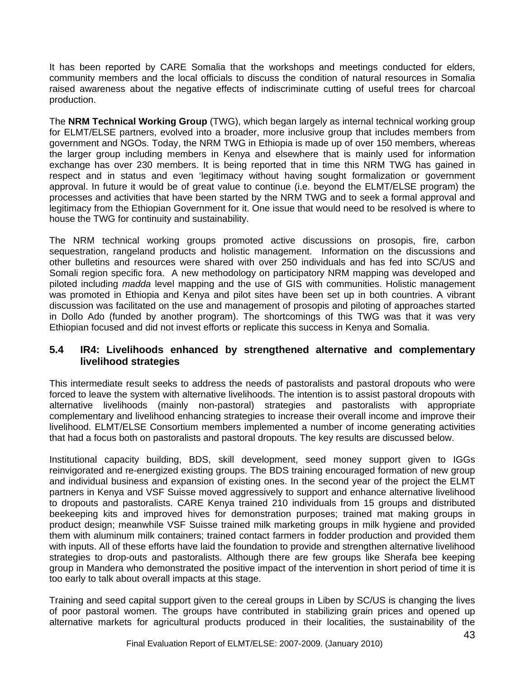It has been reported by CARE Somalia that the workshops and meetings conducted for elders, community members and the local officials to discuss the condition of natural resources in Somalia raised awareness about the negative effects of indiscriminate cutting of useful trees for charcoal production.

The **NRM Technical Working Group** (TWG), which began largely as internal technical working group for ELMT/ELSE partners, evolved into a broader, more inclusive group that includes members from government and NGOs. Today, the NRM TWG in Ethiopia is made up of over 150 members, whereas the larger group including members in Kenya and elsewhere that is mainly used for information exchange has over 230 members. It is being reported that in time this NRM TWG has gained in respect and in status and even 'legitimacy without having sought formalization or government approval. In future it would be of great value to continue (i.e. beyond the ELMT/ELSE program) the processes and activities that have been started by the NRM TWG and to seek a formal approval and legitimacy from the Ethiopian Government for it. One issue that would need to be resolved is where to house the TWG for continuity and sustainability.

The NRM technical working groups promoted active discussions on prosopis, fire, carbon sequestration, rangeland products and holistic management. Information on the discussions and other bulletins and resources were shared with over 250 individuals and has fed into SC/US and Somali region specific fora. A new methodology on participatory NRM mapping was developed and piloted including *madda* level mapping and the use of GIS with communities. Holistic management was promoted in Ethiopia and Kenya and pilot sites have been set up in both countries. A vibrant discussion was facilitated on the use and management of prosopis and piloting of approaches started in Dollo Ado (funded by another program). The shortcomings of this TWG was that it was very Ethiopian focused and did not invest efforts or replicate this success in Kenya and Somalia.

#### **5.4 IR4: Livelihoods enhanced by strengthened alternative and complementary livelihood strategies**

This intermediate result seeks to address the needs of pastoralists and pastoral dropouts who were forced to leave the system with alternative livelihoods. The intention is to assist pastoral dropouts with alternative livelihoods (mainly non-pastoral) strategies and pastoralists with appropriate complementary and livelihood enhancing strategies to increase their overall income and improve their livelihood. ELMT/ELSE Consortium members implemented a number of income generating activities that had a focus both on pastoralists and pastoral dropouts. The key results are discussed below.

Institutional capacity building, BDS, skill development, seed money support given to IGGs reinvigorated and re-energized existing groups. The BDS training encouraged formation of new group and individual business and expansion of existing ones. In the second year of the project the ELMT partners in Kenya and VSF Suisse moved aggressively to support and enhance alternative livelihood to dropouts and pastoralists. CARE Kenya trained 210 individuals from 15 groups and distributed beekeeping kits and improved hives for demonstration purposes; trained mat making groups in product design; meanwhile VSF Suisse trained milk marketing groups in milk hygiene and provided them with aluminum milk containers; trained contact farmers in fodder production and provided them with inputs. All of these efforts have laid the foundation to provide and strengthen alternative livelihood strategies to drop-outs and pastoralists. Although there are few groups like Sherafa bee keeping group in Mandera who demonstrated the positive impact of the intervention in short period of time it is too early to talk about overall impacts at this stage.

Training and seed capital support given to the cereal groups in Liben by SC/US is changing the lives of poor pastoral women. The groups have contributed in stabilizing grain prices and opened up alternative markets for agricultural products produced in their localities, the sustainability of the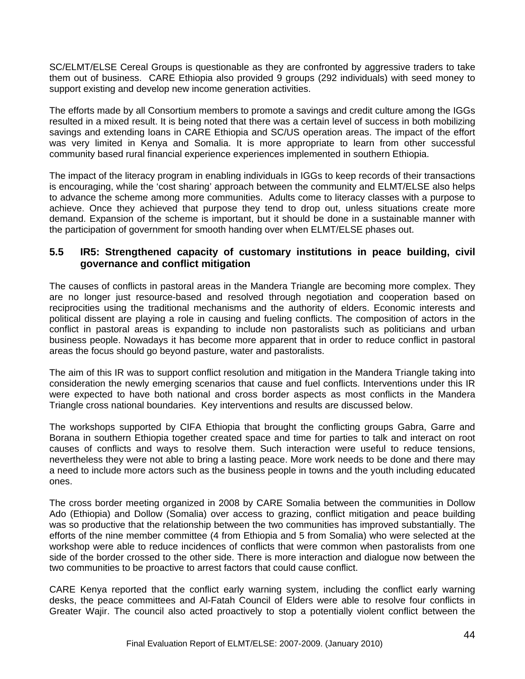SC/ELMT/ELSE Cereal Groups is questionable as they are confronted by aggressive traders to take them out of business. CARE Ethiopia also provided 9 groups (292 individuals) with seed money to support existing and develop new income generation activities.

The efforts made by all Consortium members to promote a savings and credit culture among the IGGs resulted in a mixed result. It is being noted that there was a certain level of success in both mobilizing savings and extending loans in CARE Ethiopia and SC/US operation areas. The impact of the effort was very limited in Kenya and Somalia. It is more appropriate to learn from other successful community based rural financial experience experiences implemented in southern Ethiopia.

The impact of the literacy program in enabling individuals in IGGs to keep records of their transactions is encouraging, while the 'cost sharing' approach between the community and ELMT/ELSE also helps to advance the scheme among more communities. Adults come to literacy classes with a purpose to achieve. Once they achieved that purpose they tend to drop out, unless situations create more demand. Expansion of the scheme is important, but it should be done in a sustainable manner with the participation of government for smooth handing over when ELMT/ELSE phases out.

#### **5.5 IR5: Strengthened capacity of customary institutions in peace building, civil governance and conflict mitigation**

The causes of conflicts in pastoral areas in the Mandera Triangle are becoming more complex. They are no longer just resource-based and resolved through negotiation and cooperation based on reciprocities using the traditional mechanisms and the authority of elders. Economic interests and political dissent are playing a role in causing and fueling conflicts. The composition of actors in the conflict in pastoral areas is expanding to include non pastoralists such as politicians and urban business people. Nowadays it has become more apparent that in order to reduce conflict in pastoral areas the focus should go beyond pasture, water and pastoralists.

The aim of this IR was to support conflict resolution and mitigation in the Mandera Triangle taking into consideration the newly emerging scenarios that cause and fuel conflicts. Interventions under this IR were expected to have both national and cross border aspects as most conflicts in the Mandera Triangle cross national boundaries. Key interventions and results are discussed below.

The workshops supported by CIFA Ethiopia that brought the conflicting groups Gabra, Garre and Borana in southern Ethiopia together created space and time for parties to talk and interact on root causes of conflicts and ways to resolve them. Such interaction were useful to reduce tensions, nevertheless they were not able to bring a lasting peace. More work needs to be done and there may a need to include more actors such as the business people in towns and the youth including educated ones.

The cross border meeting organized in 2008 by CARE Somalia between the communities in Dollow Ado (Ethiopia) and Dollow (Somalia) over access to grazing, conflict mitigation and peace building was so productive that the relationship between the two communities has improved substantially. The efforts of the nine member committee (4 from Ethiopia and 5 from Somalia) who were selected at the workshop were able to reduce incidences of conflicts that were common when pastoralists from one side of the border crossed to the other side. There is more interaction and dialogue now between the two communities to be proactive to arrest factors that could cause conflict.

CARE Kenya reported that the conflict early warning system, including the conflict early warning desks, the peace committees and Al-Fatah Council of Elders were able to resolve four conflicts in Greater Wajir. The council also acted proactively to stop a potentially violent conflict between the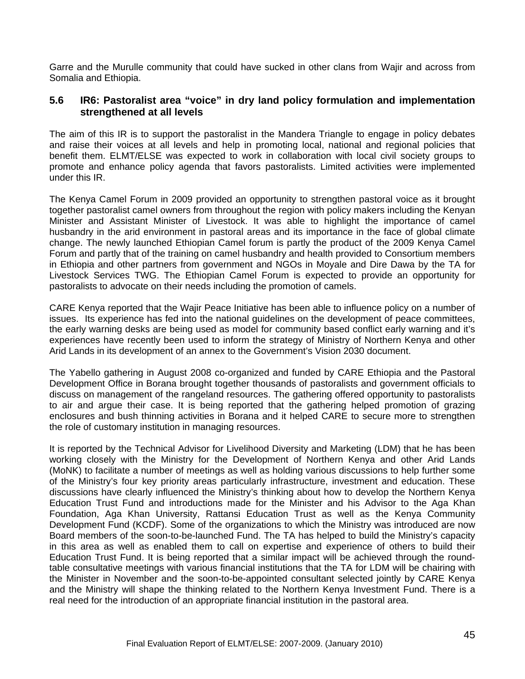Garre and the Murulle community that could have sucked in other clans from Wajir and across from Somalia and Ethiopia.

#### **5.6 IR6: Pastoralist area "voice" in dry land policy formulation and implementation strengthened at all levels**

The aim of this IR is to support the pastoralist in the Mandera Triangle to engage in policy debates and raise their voices at all levels and help in promoting local, national and regional policies that benefit them. ELMT/ELSE was expected to work in collaboration with local civil society groups to promote and enhance policy agenda that favors pastoralists. Limited activities were implemented under this IR.

The Kenya Camel Forum in 2009 provided an opportunity to strengthen pastoral voice as it brought together pastoralist camel owners from throughout the region with policy makers including the Kenyan Minister and Assistant Minister of Livestock. It was able to highlight the importance of camel husbandry in the arid environment in pastoral areas and its importance in the face of global climate change. The newly launched Ethiopian Camel forum is partly the product of the 2009 Kenya Camel Forum and partly that of the training on camel husbandry and health provided to Consortium members in Ethiopia and other partners from government and NGOs in Moyale and Dire Dawa by the TA for Livestock Services TWG. The Ethiopian Camel Forum is expected to provide an opportunity for pastoralists to advocate on their needs including the promotion of camels.

CARE Kenya reported that the Wajir Peace Initiative has been able to influence policy on a number of issues. Its experience has fed into the national guidelines on the development of peace committees, the early warning desks are being used as model for community based conflict early warning and it's experiences have recently been used to inform the strategy of Ministry of Northern Kenya and other Arid Lands in its development of an annex to the Government's Vision 2030 document.

The Yabello gathering in August 2008 co-organized and funded by CARE Ethiopia and the Pastoral Development Office in Borana brought together thousands of pastoralists and government officials to discuss on management of the rangeland resources. The gathering offered opportunity to pastoralists to air and argue their case. It is being reported that the gathering helped promotion of grazing enclosures and bush thinning activities in Borana and it helped CARE to secure more to strengthen the role of customary institution in managing resources.

It is reported by the Technical Advisor for Livelihood Diversity and Marketing (LDM) that he has been working closely with the Ministry for the Development of Northern Kenya and other Arid Lands (MoNK) to facilitate a number of meetings as well as holding various discussions to help further some of the Ministry's four key priority areas particularly infrastructure, investment and education. These discussions have clearly influenced the Ministry's thinking about how to develop the Northern Kenya Education Trust Fund and introductions made for the Minister and his Advisor to the Aga Khan Foundation, Aga Khan University, Rattansi Education Trust as well as the Kenya Community Development Fund (KCDF). Some of the organizations to which the Ministry was introduced are now Board members of the soon-to-be-launched Fund. The TA has helped to build the Ministry's capacity in this area as well as enabled them to call on expertise and experience of others to build their Education Trust Fund. It is being reported that a similar impact will be achieved through the roundtable consultative meetings with various financial institutions that the TA for LDM will be chairing with the Minister in November and the soon-to-be-appointed consultant selected jointly by CARE Kenya and the Ministry will shape the thinking related to the Northern Kenya Investment Fund. There is a real need for the introduction of an appropriate financial institution in the pastoral area.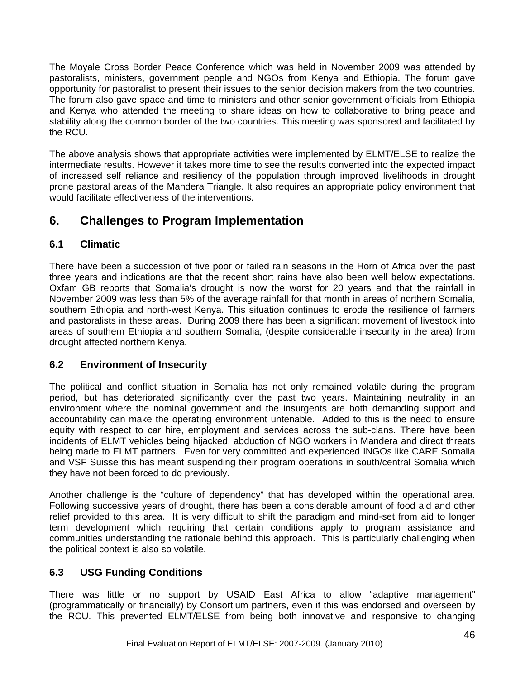The Moyale Cross Border Peace Conference which was held in November 2009 was attended by pastoralists, ministers, government people and NGOs from Kenya and Ethiopia. The forum gave opportunity for pastoralist to present their issues to the senior decision makers from the two countries. The forum also gave space and time to ministers and other senior government officials from Ethiopia and Kenya who attended the meeting to share ideas on how to collaborative to bring peace and stability along the common border of the two countries. This meeting was sponsored and facilitated by the RCU.

The above analysis shows that appropriate activities were implemented by ELMT/ELSE to realize the intermediate results. However it takes more time to see the results converted into the expected impact of increased self reliance and resiliency of the population through improved livelihoods in drought prone pastoral areas of the Mandera Triangle. It also requires an appropriate policy environment that would facilitate effectiveness of the interventions.

# **6. Challenges to Program Implementation**

# **6.1 Climatic**

There have been a succession of five poor or failed rain seasons in the Horn of Africa over the past three years and indications are that the recent short rains have also been well below expectations. Oxfam GB reports that Somalia's drought is now the worst for 20 years and that the rainfall in November 2009 was less than 5% of the average rainfall for that month in areas of northern Somalia, southern Ethiopia and north-west Kenya. This situation continues to erode the resilience of farmers and pastoralists in these areas. During 2009 there has been a significant movement of livestock into areas of southern Ethiopia and southern Somalia, (despite considerable insecurity in the area) from drought affected northern Kenya.

# **6.2 Environment of Insecurity**

The political and conflict situation in Somalia has not only remained volatile during the program period, but has deteriorated significantly over the past two years. Maintaining neutrality in an environment where the nominal government and the insurgents are both demanding support and accountability can make the operating environment untenable. Added to this is the need to ensure equity with respect to car hire, employment and services across the sub-clans. There have been incidents of ELMT vehicles being hijacked, abduction of NGO workers in Mandera and direct threats being made to ELMT partners. Even for very committed and experienced INGOs like CARE Somalia and VSF Suisse this has meant suspending their program operations in south/central Somalia which they have not been forced to do previously.

Another challenge is the "culture of dependency" that has developed within the operational area. Following successive years of drought, there has been a considerable amount of food aid and other relief provided to this area. It is very difficult to shift the paradigm and mind-set from aid to longer term development which requiring that certain conditions apply to program assistance and communities understanding the rationale behind this approach. This is particularly challenging when the political context is also so volatile.

# **6.3 USG Funding Conditions**

There was little or no support by USAID East Africa to allow "adaptive management" (programmatically or financially) by Consortium partners, even if this was endorsed and overseen by the RCU. This prevented ELMT/ELSE from being both innovative and responsive to changing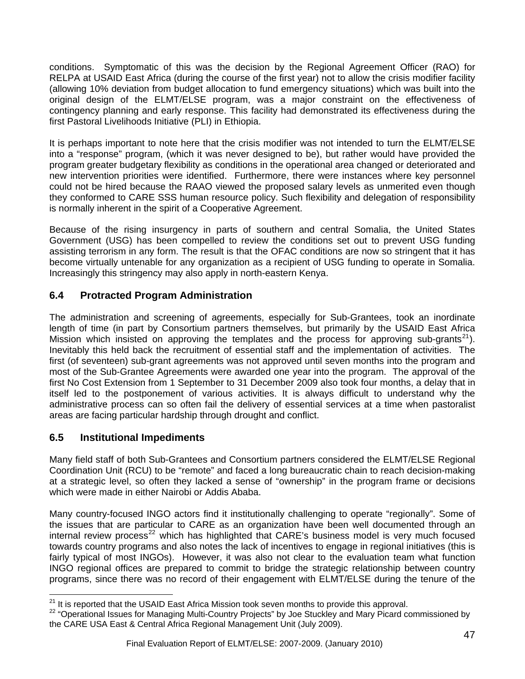<span id="page-46-0"></span>conditions. Symptomatic of this was the decision by the Regional Agreement Officer (RAO) for RELPA at USAID East Africa (during the course of the first year) not to allow the crisis modifier facility (allowing 10% deviation from budget allocation to fund emergency situations) which was built into the original design of the ELMT/ELSE program, was a major constraint on the effectiveness of contingency planning and early response. This facility had demonstrated its effectiveness during the first Pastoral Livelihoods Initiative (PLI) in Ethiopia.

It is perhaps important to note here that the crisis modifier was not intended to turn the ELMT/ELSE into a "response" program, (which it was never designed to be), but rather would have provided the program greater budgetary flexibility as conditions in the operational area changed or deteriorated and new intervention priorities were identified. Furthermore, there were instances where key personnel could not be hired because the RAAO viewed the proposed salary levels as unmerited even though they conformed to CARE SSS human resource policy. Such flexibility and delegation of responsibility is normally inherent in the spirit of a Cooperative Agreement.

Because of the rising insurgency in parts of southern and central Somalia, the United States Government (USG) has been compelled to review the conditions set out to prevent USG funding assisting terrorism in any form. The result is that the OFAC conditions are now so stringent that it has become virtually untenable for any organization as a recipient of USG funding to operate in Somalia. Increasingly this stringency may also apply in north-eastern Kenya.

# **6.4 Protracted Program Administration**

The administration and screening of agreements, especially for Sub-Grantees, took an inordinate length of time (in part by Consortium partners themselves, but primarily by the USAID East Africa Mission which insisted on approving the templates and the process for approving sub-grants<sup>[21](#page-46-0)</sup>). Inevitably this held back the recruitment of essential staff and the implementation of activities. The first (of seventeen) sub-grant agreements was not approved until seven months into the program and most of the Sub-Grantee Agreements were awarded one year into the program. The approval of the first No Cost Extension from 1 September to 31 December 2009 also took four months, a delay that in itself led to the postponement of various activities. It is always difficult to understand why the administrative process can so often fail the delivery of essential services at a time when pastoralist areas are facing particular hardship through drought and conflict.

# **6.5 Institutional Impediments**

Many field staff of both Sub-Grantees and Consortium partners considered the ELMT/ELSE Regional Coordination Unit (RCU) to be "remote" and faced a long bureaucratic chain to reach decision-making at a strategic level, so often they lacked a sense of "ownership" in the program frame or decisions which were made in either Nairobi or Addis Ababa.

Many country-focused INGO actors find it institutionally challenging to operate "regionally". Some of the issues that are particular to CARE as an organization have been well documented through an internal review process $^{22}$  $^{22}$  $^{22}$  which has highlighted that CARE's business model is very much focused towards country programs and also notes the lack of incentives to engage in regional initiatives (this is fairly typical of most INGOs). However, it was also not clear to the evaluation team what function INGO regional offices are prepared to commit to bridge the strategic relationship between country programs, since there was no record of their engagement with ELMT/ELSE during the tenure of the

<sup>&</sup>lt;sup>21</sup> It is reported that the USAID East Africa Mission took seven months to provide this approval.

<sup>&</sup>lt;sup>22</sup> "Operational Issues for Managing Multi-Country Projects" by Joe Stuckley and Mary Picard commissioned by the CARE USA East & Central Africa Regional Management Unit (July 2009).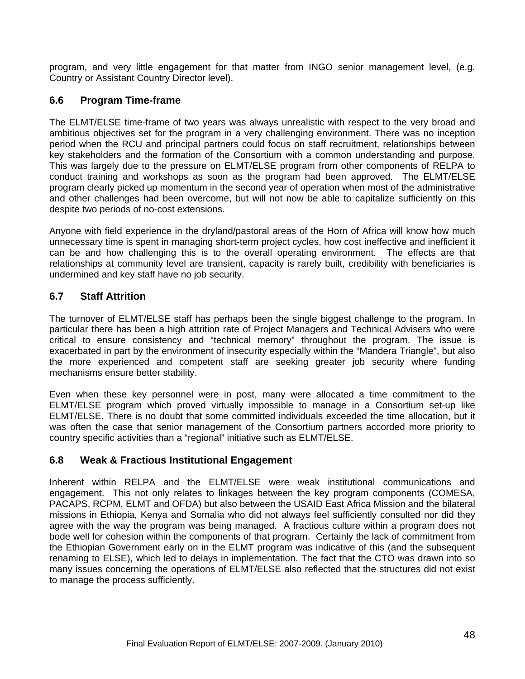program, and very little engagement for that matter from INGO senior management level, (e.g. Country or Assistant Country Director level).

### **6.6 Program Time-frame**

The ELMT/ELSE time-frame of two years was always unrealistic with respect to the very broad and ambitious objectives set for the program in a very challenging environment. There was no inception period when the RCU and principal partners could focus on staff recruitment, relationships between key stakeholders and the formation of the Consortium with a common understanding and purpose. This was largely due to the pressure on ELMT/ELSE program from other components of RELPA to conduct training and workshops as soon as the program had been approved. The ELMT/ELSE program clearly picked up momentum in the second year of operation when most of the administrative and other challenges had been overcome, but will not now be able to capitalize sufficiently on this despite two periods of no-cost extensions.

Anyone with field experience in the dryland/pastoral areas of the Horn of Africa will know how much unnecessary time is spent in managing short-term project cycles, how cost ineffective and inefficient it can be and how challenging this is to the overall operating environment. The effects are that relationships at community level are transient, capacity is rarely built, credibility with beneficiaries is undermined and key staff have no job security.

### **6.7 Staff Attrition**

The turnover of ELMT/ELSE staff has perhaps been the single biggest challenge to the program. In particular there has been a high attrition rate of Project Managers and Technical Advisers who were critical to ensure consistency and "technical memory" throughout the program. The issue is exacerbated in part by the environment of insecurity especially within the "Mandera Triangle", but also the more experienced and competent staff are seeking greater job security where funding mechanisms ensure better stability.

Even when these key personnel were in post, many were allocated a time commitment to the ELMT/ELSE program which proved virtually impossible to manage in a Consortium set-up like ELMT/ELSE. There is no doubt that some committed individuals exceeded the time allocation, but it was often the case that senior management of the Consortium partners accorded more priority to country specific activities than a "regional" initiative such as ELMT/ELSE.

#### **6.8 Weak & Fractious Institutional Engagement**

Inherent within RELPA and the ELMT/ELSE were weak institutional communications and engagement. This not only relates to linkages between the key program components (COMESA, PACAPS, RCPM, ELMT and OFDA) but also between the USAID East Africa Mission and the bilateral missions in Ethiopia, Kenya and Somalia who did not always feel sufficiently consulted nor did they agree with the way the program was being managed. A fractious culture within a program does not bode well for cohesion within the components of that program. Certainly the lack of commitment from the Ethiopian Government early on in the ELMT program was indicative of this (and the subsequent renaming to ELSE), which led to delays in implementation. The fact that the CTO was drawn into so many issues concerning the operations of ELMT/ELSE also reflected that the structures did not exist to manage the process sufficiently.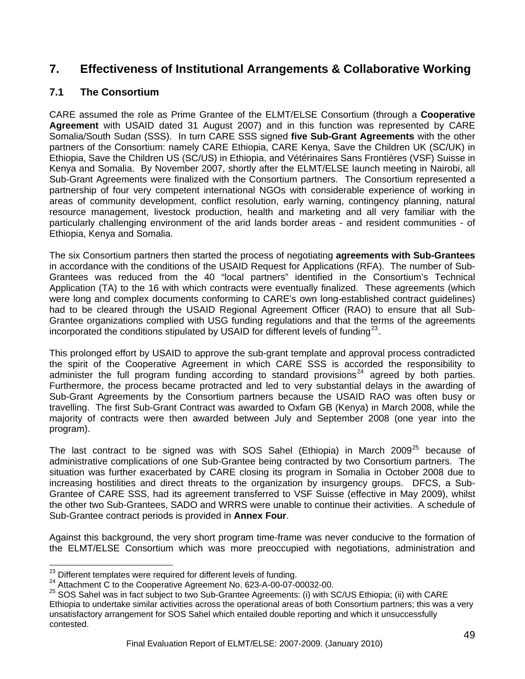# <span id="page-48-0"></span>**7. Effectiveness of Institutional Arrangements & Collaborative Working**

### **7.1 The Consortium**

CARE assumed the role as Prime Grantee of the ELMT/ELSE Consortium (through a **Cooperative Agreement** with USAID dated 31 August 2007) and in this function was represented by CARE Somalia/South Sudan (SSS). In turn CARE SSS signed **five Sub-Grant Agreements** with the other partners of the Consortium: namely CARE Ethiopia, CARE Kenya, Save the Children UK (SC/UK) in Ethiopia, Save the Children US (SC/US) in Ethiopia, and Vétérinaires Sans Frontières (VSF) Suisse in Kenya and Somalia. By November 2007, shortly after the ELMT/ELSE launch meeting in Nairobi, all Sub-Grant Agreements were finalized with the Consortium partners. The Consortium represented a partnership of four very competent international NGOs with considerable experience of working in areas of community development, conflict resolution, early warning, contingency planning, natural resource management, livestock production, health and marketing and all very familiar with the particularly challenging environment of the arid lands border areas - and resident communities - of Ethiopia, Kenya and Somalia.

The six Consortium partners then started the process of negotiating **agreements with Sub-Grantees** in accordance with the conditions of the USAID Request for Applications (RFA). The number of Sub-Grantees was reduced from the 40 "local partners" identified in the Consortium's Technical Application (TA) to the 16 with which contracts were eventually finalized. These agreements (which were long and complex documents conforming to CARE's own long-established contract guidelines) had to be cleared through the USAID Regional Agreement Officer (RAO) to ensure that all Sub-Grantee organizations complied with USG funding regulations and that the terms of the agreements incorporated the conditions stipulated by USAID for different levels of funding $^{23}$  $^{23}$  $^{23}$ .

This prolonged effort by USAID to approve the sub-grant template and approval process contradicted the spirit of the Cooperative Agreement in which CARE SSS is accorded the responsibility to administer the full program funding according to standard provisions<sup>[24](#page-48-0)</sup> agreed by both parties. Furthermore, the process became protracted and led to very substantial delays in the awarding of Sub-Grant Agreements by the Consortium partners because the USAID RAO was often busy or travelling. The first Sub-Grant Contract was awarded to Oxfam GB (Kenya) in March 2008, while the majority of contracts were then awarded between July and September 2008 (one year into the program).

The last contract to be signed was with SOS Sahel (Ethiopia) in March  $2009^{25}$  $2009^{25}$  $2009^{25}$  because of administrative complications of one Sub-Grantee being contracted by two Consortium partners. The situation was further exacerbated by CARE closing its program in Somalia in October 2008 due to increasing hostilities and direct threats to the organization by insurgency groups. DFCS, a Sub-Grantee of CARE SSS, had its agreement transferred to VSF Suisse (effective in May 2009), whilst the other two Sub-Grantees, SADO and WRRS were unable to continue their activities. A schedule of Sub-Grantee contract periods is provided in **Annex Four**.

Against this background, the very short program time-frame was never conducive to the formation of the ELMT/ELSE Consortium which was more preoccupied with negotiations, administration and

<sup>&</sup>lt;sup>23</sup> Different templates were required for different levels of funding.

<sup>24</sup> Attachment C to the Cooperative Agreement No. 623-A-00-07-00032-00.<br>25 SOS Sahel was in fact subject to two Sub-Grantee Agreements: (i) with SC/US Ethiopia; (ii) with CARE Ethiopia to undertake similar activities across the operational areas of both Consortium partners; this was a very unsatisfactory arrangement for SOS Sahel which entailed double reporting and which it unsuccessfully contested.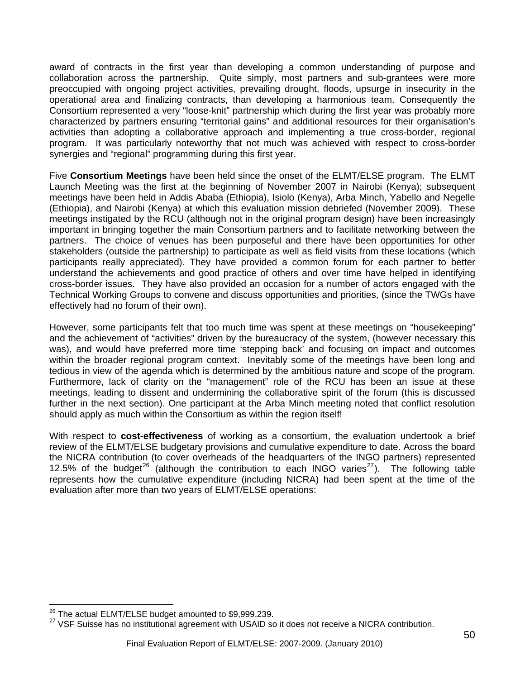<span id="page-49-0"></span>award of contracts in the first year than developing a common understanding of purpose and collaboration across the partnership. Quite simply, most partners and sub-grantees were more preoccupied with ongoing project activities, prevailing drought, floods, upsurge in insecurity in the operational area and finalizing contracts, than developing a harmonious team. Consequently the Consortium represented a very "loose-knit" partnership which during the first year was probably more characterized by partners ensuring "territorial gains" and additional resources for their organisation's activities than adopting a collaborative approach and implementing a true cross-border, regional program. It was particularly noteworthy that not much was achieved with respect to cross-border synergies and "regional" programming during this first year.

Five **Consortium Meetings** have been held since the onset of the ELMT/ELSE program. The ELMT Launch Meeting was the first at the beginning of November 2007 in Nairobi (Kenya); subsequent meetings have been held in Addis Ababa (Ethiopia), Isiolo (Kenya), Arba Minch, Yabello and Negelle (Ethiopia), and Nairobi (Kenya) at which this evaluation mission debriefed (November 2009). These meetings instigated by the RCU (although not in the original program design) have been increasingly important in bringing together the main Consortium partners and to facilitate networking between the partners. The choice of venues has been purposeful and there have been opportunities for other stakeholders (outside the partnership) to participate as well as field visits from these locations (which participants really appreciated). They have provided a common forum for each partner to better understand the achievements and good practice of others and over time have helped in identifying cross-border issues. They have also provided an occasion for a number of actors engaged with the Technical Working Groups to convene and discuss opportunities and priorities, (since the TWGs have effectively had no forum of their own).

However, some participants felt that too much time was spent at these meetings on "housekeeping" and the achievement of "activities" driven by the bureaucracy of the system, (however necessary this was), and would have preferred more time 'stepping back' and focusing on impact and outcomes within the broader regional program context. Inevitably some of the meetings have been long and tedious in view of the agenda which is determined by the ambitious nature and scope of the program. Furthermore, lack of clarity on the "management" role of the RCU has been an issue at these meetings, leading to dissent and undermining the collaborative spirit of the forum (this is discussed further in the next section). One participant at the Arba Minch meeting noted that conflict resolution should apply as much within the Consortium as within the region itself!

With respect to **cost-effectiveness** of working as a consortium, the evaluation undertook a brief review of the ELMT/ELSE budgetary provisions and cumulative expenditure to date. Across the board the NICRA contribution (to cover overheads of the headquarters of the INGO partners) represented 12.5% of the budget<sup>[26](#page-49-0)</sup> (although the contribution to each INGO varies<sup>[27](#page-49-0)</sup>). The following table represents how the cumulative expenditure (including NICRA) had been spent at the time of the evaluation after more than two years of ELMT/ELSE operations:

<sup>&</sup>lt;sup>26</sup> The actual ELMT/ELSE budget amounted to \$9,999,239.

 $27$  VSF Suisse has no institutional agreement with USAID so it does not receive a NICRA contribution.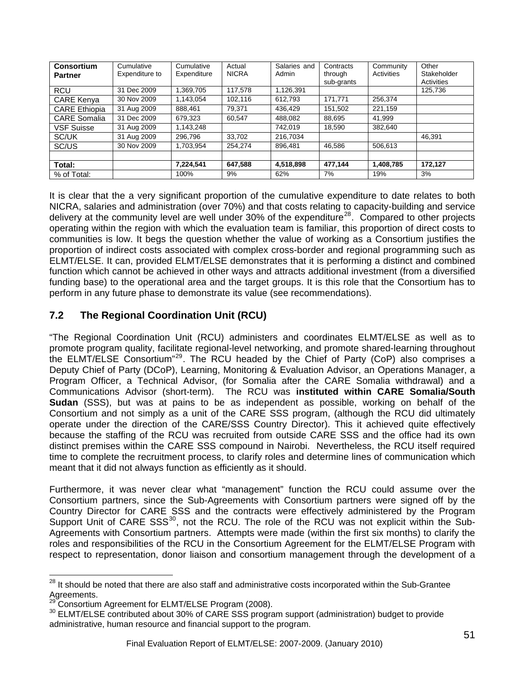<span id="page-50-0"></span>

| Consortium           | Cumulative     | Cumulative  | Actual       | Salaries and | Contracts  | Community  | Other       |
|----------------------|----------------|-------------|--------------|--------------|------------|------------|-------------|
| <b>Partner</b>       | Expenditure to | Expenditure | <b>NICRA</b> | Admin        | through    | Activities | Stakeholder |
|                      |                |             |              |              | sub-grants |            | Activities  |
| <b>RCU</b>           | 31 Dec 2009    | 1.369.705   | 117.578      | 1,126,391    |            |            | 125,736     |
| <b>CARE Kenya</b>    | 30 Nov 2009    | 1.143.054   | 102.116      | 612.793      | 171.771    | 256.374    |             |
| <b>CARE Ethiopia</b> | 31 Aug 2009    | 888.461     | 79,371       | 436.429      | 151.502    | 221,159    |             |
| <b>CARE Somalia</b>  | 31 Dec 2009    | 679.323     | 60.547       | 488,082      | 88.695     | 41.999     |             |
| <b>VSF Suisse</b>    | 31 Aug 2009    | 1.143.248   |              | 742.019      | 18.590     | 382.640    |             |
| SC/UK                | 31 Aug 2009    | 296.796     | 33.702       | 216.7034     |            |            | 46.391      |
| SC/US                | 30 Nov 2009    | 1.703.954   | 254.274      | 896.481      | 46.586     | 506.613    |             |
|                      |                |             |              |              |            |            |             |
| Total:               |                | 7,224,541   | 647,588      | 4,518,898    | 477,144    | 1,408,785  | 172,127     |
| % of Total:          |                | 100%        | 9%           | 62%          | 7%         | 19%        | 3%          |

It is clear that the a very significant proportion of the cumulative expenditure to date relates to both NICRA, salaries and administration (over 70%) and that costs relating to capacity-building and service delivery at the community level are well under  $30\%$  of the expenditure<sup>[28](#page-50-0)</sup>. Compared to other projects operating within the region with which the evaluation team is familiar, this proportion of direct costs to communities is low. It begs the question whether the value of working as a Consortium justifies the proportion of indirect costs associated with complex cross-border and regional programming such as ELMT/ELSE. It can, provided ELMT/ELSE demonstrates that it is performing a distinct and combined function which cannot be achieved in other ways and attracts additional investment (from a diversified funding base) to the operational area and the target groups. It is this role that the Consortium has to perform in any future phase to demonstrate its value (see recommendations).

# **7.2 The Regional Coordination Unit (RCU)**

"The Regional Coordination Unit (RCU) administers and coordinates ELMT/ELSE as well as to promote program quality, facilitate regional-level networking, and promote shared-learning throughout the ELMT/ELSE Consortium"[29](#page-50-0). The RCU headed by the Chief of Party (CoP) also comprises a Deputy Chief of Party (DCoP), Learning, Monitoring & Evaluation Advisor, an Operations Manager, a Program Officer, a Technical Advisor, (for Somalia after the CARE Somalia withdrawal) and a Communications Advisor (short-term). The RCU was **instituted within CARE Somalia/South Sudan** (SSS), but was at pains to be as independent as possible, working on behalf of the Consortium and not simply as a unit of the CARE SSS program, (although the RCU did ultimately operate under the direction of the CARE/SSS Country Director). This it achieved quite effectively because the staffing of the RCU was recruited from outside CARE SSS and the office had its own distinct premises within the CARE SSS compound in Nairobi. Nevertheless, the RCU itself required time to complete the recruitment process, to clarify roles and determine lines of communication which meant that it did not always function as efficiently as it should.

Furthermore, it was never clear what "management" function the RCU could assume over the Consortium partners, since the Sub-Agreements with Consortium partners were signed off by the Country Director for CARE SSS and the contracts were effectively administered by the Program Support Unit of CARE SSS<sup>[30](#page-50-0)</sup>, not the RCU. The role of the RCU was not explicit within the Sub-Agreements with Consortium partners. Attempts were made (within the first six months) to clarify the roles and responsibilities of the RCU in the Consortium Agreement for the ELMT/ELSE Program with respect to representation, donor liaison and consortium management through the development of a

 $\overline{a}$ 

 $^{28}$  It should be noted that there are also staff and administrative costs incorporated within the Sub-Grantee Agreements.<br><sup>29</sup> Consortium Agreement for ELMT/ELSE Program (2008).

<sup>&</sup>lt;sup>30</sup> ELMT/ELSE contributed about 30% of CARE SSS program support (administration) budget to provide administrative, human resource and financial support to the program.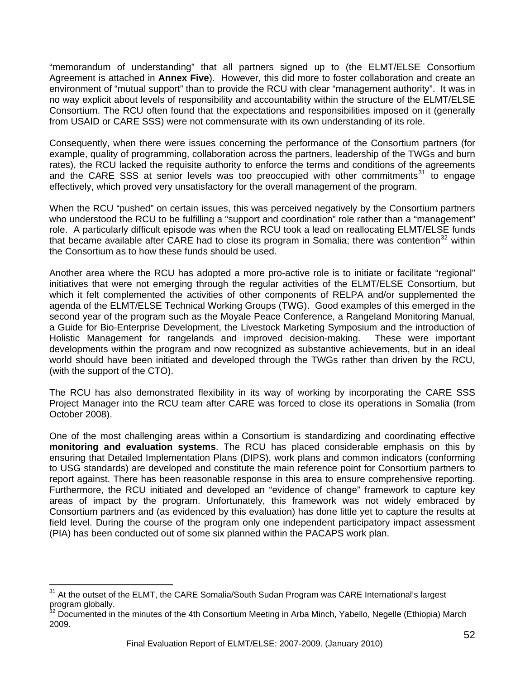<span id="page-51-0"></span>"memorandum of understanding" that all partners signed up to (the ELMT/ELSE Consortium Agreement is attached in **Annex Five**). However, this did more to foster collaboration and create an environment of "mutual support" than to provide the RCU with clear "management authority". It was in no way explicit about levels of responsibility and accountability within the structure of the ELMT/ELSE Consortium. The RCU often found that the expectations and responsibilities imposed on it (generally from USAID or CARE SSS) were not commensurate with its own understanding of its role.

Consequently, when there were issues concerning the performance of the Consortium partners (for example, quality of programming, collaboration across the partners, leadership of the TWGs and burn rates), the RCU lacked the requisite authority to enforce the terms and conditions of the agreements and the CARE SSS at senior levels was too preoccupied with other commitments<sup>[31](#page-51-0)</sup> to engage effectively, which proved very unsatisfactory for the overall management of the program.

When the RCU "pushed" on certain issues, this was perceived negatively by the Consortium partners who understood the RCU to be fulfilling a "support and coordination" role rather than a "management" role. A particularly difficult episode was when the RCU took a lead on reallocating ELMT/ELSE funds that became available after CARE had to close its program in Somalia; there was contention<sup>[32](#page-51-0)</sup> within the Consortium as to how these funds should be used.

Another area where the RCU has adopted a more pro-active role is to initiate or facilitate "regional" initiatives that were not emerging through the regular activities of the ELMT/ELSE Consortium, but which it felt complemented the activities of other components of RELPA and/or supplemented the agenda of the ELMT/ELSE Technical Working Groups (TWG). Good examples of this emerged in the second year of the program such as the Moyale Peace Conference, a Rangeland Monitoring Manual, a Guide for Bio-Enterprise Development, the Livestock Marketing Symposium and the introduction of Holistic Management for rangelands and improved decision-making. These were important developments within the program and now recognized as substantive achievements, but in an ideal world should have been initiated and developed through the TWGs rather than driven by the RCU, (with the support of the CTO).

The RCU has also demonstrated flexibility in its way of working by incorporating the CARE SSS Project Manager into the RCU team after CARE was forced to close its operations in Somalia (from October 2008).

One of the most challenging areas within a Consortium is standardizing and coordinating effective **monitoring and evaluation systems**. The RCU has placed considerable emphasis on this by ensuring that Detailed Implementation Plans (DIPS), work plans and common indicators (conforming to USG standards) are developed and constitute the main reference point for Consortium partners to report against. There has been reasonable response in this area to ensure comprehensive reporting. Furthermore, the RCU initiated and developed an "evidence of change" framework to capture key areas of impact by the program. Unfortunately, this framework was not widely embraced by Consortium partners and (as evidenced by this evaluation) has done little yet to capture the results at field level. During the course of the program only one independent participatory impact assessment (PIA) has been conducted out of some six planned within the PACAPS work plan.

 $\overline{a}$ 

<sup>&</sup>lt;sup>31</sup> At the outset of the ELMT, the CARE Somalia/South Sudan Program was CARE International's largest program globally.

<sup>&</sup>lt;sup>2</sup> Documented in the minutes of the 4th Consortium Meeting in Arba Minch, Yabello, Negelle (Ethiopia) March 2009.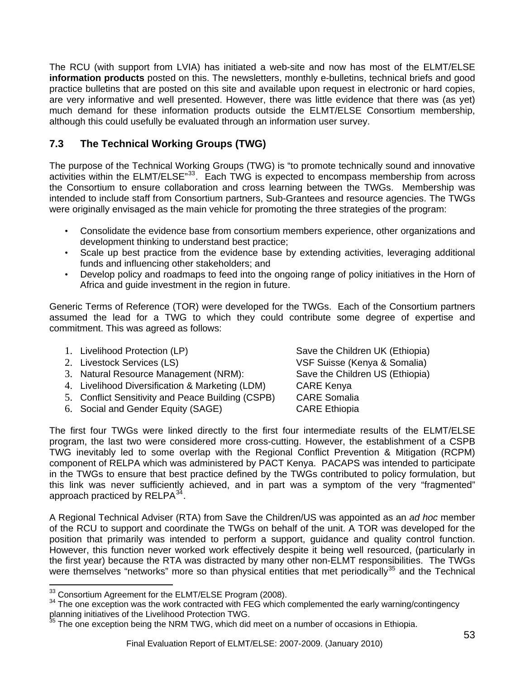<span id="page-52-0"></span>The RCU (with support from LVIA) has initiated a web-site and now has most of the ELMT/ELSE **information products** posted on this. The newsletters, monthly e-bulletins, technical briefs and good practice bulletins that are posted on this site and available upon request in electronic or hard copies, are very informative and well presented. However, there was little evidence that there was (as yet) much demand for these information products outside the ELMT/ELSE Consortium membership, although this could usefully be evaluated through an information user survey.

# **7.3 The Technical Working Groups (TWG)**

The purpose of the Technical Working Groups (TWG) is "to promote technically sound and innovative activities within the ELMT/ELSE<sup>[33](#page-52-0)</sup>. Each TWG is expected to encompass membership from across the Consortium to ensure collaboration and cross learning between the TWGs. Membership was intended to include staff from Consortium partners, Sub-Grantees and resource agencies. The TWGs were originally envisaged as the main vehicle for promoting the three strategies of the program:

- Consolidate the evidence base from consortium members experience, other organizations and development thinking to understand best practice;
- Scale up best practice from the evidence base by extending activities, leveraging additional funds and influencing other stakeholders; and
- Develop policy and roadmaps to feed into the ongoing range of policy initiatives in the Horn of Africa and guide investment in the region in future.

Generic Terms of Reference (TOR) were developed for the TWGs. Each of the Consortium partners assumed the lead for a TWG to which they could contribute some degree of expertise and commitment. This was agreed as follows:

- 
- 
- 3. Natural Resource Management (NRM): Save the Children US (Ethiopia)
- 4. Livelihood Diversification & Marketing (LDM) CARE Kenya
- 5. Conflict Sensitivity and Peace Building (CSPB) CARE Somalia
- 6. Social and Gender Equity (SAGE) CARE Ethiopia

1. Livelihood Protection (LP) Save the Children UK (Ethiopia) 2. Livestock Services (LS) VSF Suisse (Kenya & Somalia)

The first four TWGs were linked directly to the first four intermediate results of the ELMT/ELSE program, the last two were considered more cross-cutting. However, the establishment of a CSPB TWG inevitably led to some overlap with the Regional Conflict Prevention & Mitigation (RCPM) component of RELPA which was administered by PACT Kenya. PACAPS was intended to participate in the TWGs to ensure that best practice defined by the TWGs contributed to policy formulation, but this link was never sufficiently achieved, and in part was a symptom of the very "fragmented" approach practiced by  $RELPA^{34}$  $RELPA^{34}$  $RELPA^{34}$ .

A Regional Technical Adviser (RTA) from Save the Children/US was appointed as an *ad hoc* member of the RCU to support and coordinate the TWGs on behalf of the unit. A TOR was developed for the position that primarily was intended to perform a support, guidance and quality control function. However, this function never worked work effectively despite it being well resourced, (particularly in the first year) because the RTA was distracted by many other non-ELMT responsibilities. The TWGs were themselves "networks" more so than physical entities that met periodically<sup>[35](#page-52-0)</sup> and the Technical

 $\overline{a}$ 

 $33$  Consortium Agreement for the ELMT/ELSE Program (2008).<br> $34$  The one exception was the work contracted with FEG which complemented the early warning/contingency planning initiatives of the Livelihood Protection TWG.

 $35$  The one exception being the NRM TWG, which did meet on a number of occasions in Ethiopia.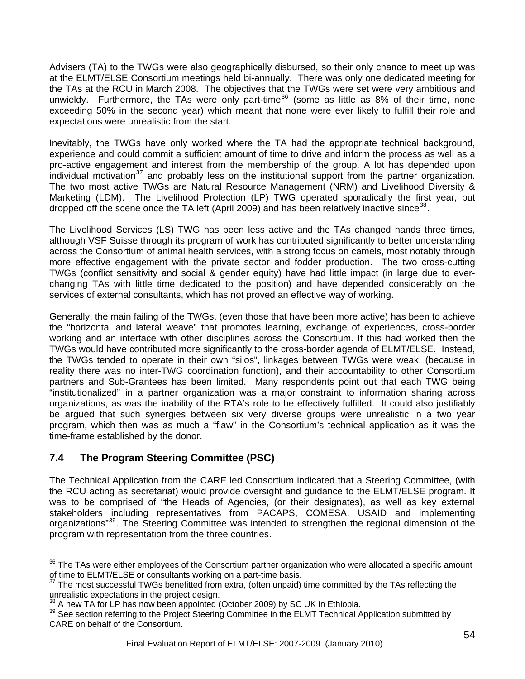<span id="page-53-0"></span>Advisers (TA) to the TWGs were also geographically disbursed, so their only chance to meet up was at the ELMT/ELSE Consortium meetings held bi-annually. There was only one dedicated meeting for the TAs at the RCU in March 2008. The objectives that the TWGs were set were very ambitious and unwieldy. Furthermore, the TAs were only part-time<sup>[36](#page-53-0)</sup> (some as little as 8% of their time, none exceeding 50% in the second year) which meant that none were ever likely to fulfill their role and expectations were unrealistic from the start.

Inevitably, the TWGs have only worked where the TA had the appropriate technical background, experience and could commit a sufficient amount of time to drive and inform the process as well as a pro-active engagement and interest from the membership of the group. A lot has depended upon individual motivation<sup>[37](#page-53-0)</sup> and probably less on the institutional support from the partner organization. The two most active TWGs are Natural Resource Management (NRM) and Livelihood Diversity & Marketing (LDM). The Livelihood Protection (LP) TWG operated sporadically the first year, but dropped off the scene once the TA left (April 2009) and has been relatively inactive since<sup>[38](#page-53-0)</sup>.

The Livelihood Services (LS) TWG has been less active and the TAs changed hands three times, although VSF Suisse through its program of work has contributed significantly to better understanding across the Consortium of animal health services, with a strong focus on camels, most notably through more effective engagement with the private sector and fodder production. The two cross-cutting TWGs (conflict sensitivity and social & gender equity) have had little impact (in large due to everchanging TAs with little time dedicated to the position) and have depended considerably on the services of external consultants, which has not proved an effective way of working.

Generally, the main failing of the TWGs, (even those that have been more active) has been to achieve the "horizontal and lateral weave" that promotes learning, exchange of experiences, cross-border working and an interface with other disciplines across the Consortium. If this had worked then the TWGs would have contributed more significantly to the cross-border agenda of ELMT/ELSE. Instead, the TWGs tended to operate in their own "silos", linkages between TWGs were weak, (because in reality there was no inter-TWG coordination function), and their accountability to other Consortium partners and Sub-Grantees has been limited. Many respondents point out that each TWG being "institutionalized" in a partner organization was a major constraint to information sharing across organizations, as was the inability of the RTA's role to be effectively fulfilled. It could also justifiably be argued that such synergies between six very diverse groups were unrealistic in a two year program, which then was as much a "flaw" in the Consortium's technical application as it was the time-frame established by the donor.

# **7.4 The Program Steering Committee (PSC)**

The Technical Application from the CARE led Consortium indicated that a Steering Committee, (with the RCU acting as secretariat) would provide oversight and guidance to the ELMT/ELSE program. It was to be comprised of "the Heads of Agencies, (or their designates), as well as key external stakeholders including representatives from PACAPS, COMESA, USAID and implementing organizations<sup>"[39](#page-53-0)</sup>. The Steering Committee was intended to strengthen the regional dimension of the program with representation from the three countries.

 $\overline{a}$ <sup>36</sup> The TAs were either employees of the Consortium partner organization who were allocated a specific amount of time to ELMT/ELSE or consultants working on a part-time basis.

The most successful TWGs benefitted from extra, (often unpaid) time committed by the TAs reflecting the unrealistic expectations in the project design.<br><sup>38</sup> A new TA for LP has now been appointed (October 2009) by SC UK in Ethiopia.

<sup>&</sup>lt;sup>39</sup> See section referring to the Project Steering Committee in the ELMT Technical Application submitted by CARE on behalf of the Consortium.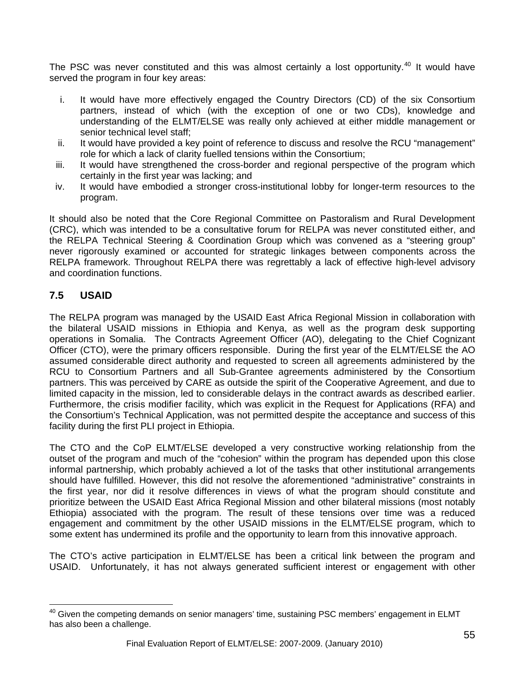<span id="page-54-0"></span>The PSC was never constituted and this was almost certainly a lost opportunity.<sup>[40](#page-54-0)</sup> It would have served the program in four key areas:

- i. It would have more effectively engaged the Country Directors (CD) of the six Consortium partners, instead of which (with the exception of one or two CDs), knowledge and understanding of the ELMT/ELSE was really only achieved at either middle management or senior technical level staff;
- ii. It would have provided a key point of reference to discuss and resolve the RCU "management" role for which a lack of clarity fuelled tensions within the Consortium;
- iii. It would have strengthened the cross-border and regional perspective of the program which certainly in the first year was lacking; and
- iv. It would have embodied a stronger cross-institutional lobby for longer-term resources to the program.

It should also be noted that the Core Regional Committee on Pastoralism and Rural Development (CRC), which was intended to be a consultative forum for RELPA was never constituted either, and the RELPA Technical Steering & Coordination Group which was convened as a "steering group" never rigorously examined or accounted for strategic linkages between components across the RELPA framework. Throughout RELPA there was regrettably a lack of effective high-level advisory and coordination functions.

# **7.5 USAID**

 $\overline{a}$ 

The RELPA program was managed by the USAID East Africa Regional Mission in collaboration with the bilateral USAID missions in Ethiopia and Kenya, as well as the program desk supporting operations in Somalia. The Contracts Agreement Officer (AO), delegating to the Chief Cognizant Officer (CTO), were the primary officers responsible. During the first year of the ELMT/ELSE the AO assumed considerable direct authority and requested to screen all agreements administered by the RCU to Consortium Partners and all Sub-Grantee agreements administered by the Consortium partners. This was perceived by CARE as outside the spirit of the Cooperative Agreement, and due to limited capacity in the mission, led to considerable delays in the contract awards as described earlier. Furthermore, the crisis modifier facility, which was explicit in the Request for Applications (RFA) and the Consortium's Technical Application, was not permitted despite the acceptance and success of this facility during the first PLI project in Ethiopia.

The CTO and the CoP ELMT/ELSE developed a very constructive working relationship from the outset of the program and much of the "cohesion" within the program has depended upon this close informal partnership, which probably achieved a lot of the tasks that other institutional arrangements should have fulfilled. However, this did not resolve the aforementioned "administrative" constraints in the first year, nor did it resolve differences in views of what the program should constitute and prioritize between the USAID East Africa Regional Mission and other bilateral missions (most notably Ethiopia) associated with the program. The result of these tensions over time was a reduced engagement and commitment by the other USAID missions in the ELMT/ELSE program, which to some extent has undermined its profile and the opportunity to learn from this innovative approach.

The CTO's active participation in ELMT/ELSE has been a critical link between the program and USAID. Unfortunately, it has not always generated sufficient interest or engagement with other

 $^{40}$  Given the competing demands on senior managers' time, sustaining PSC members' engagement in ELMT has also been a challenge.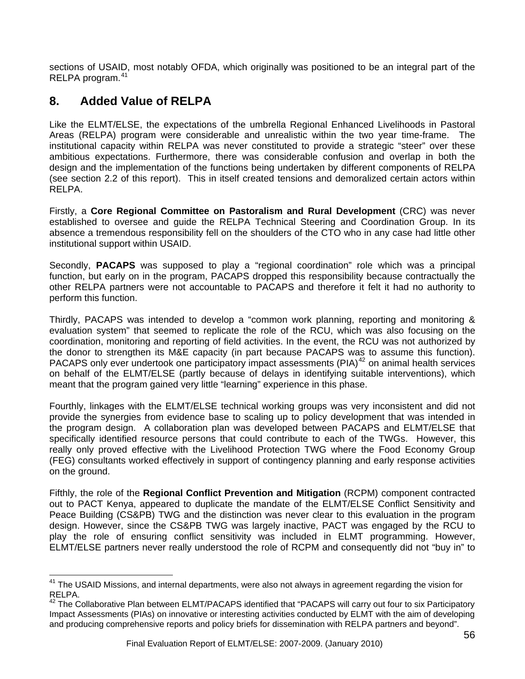<span id="page-55-0"></span>sections of USAID, most notably OFDA, which originally was positioned to be an integral part of the RELPA program.[41](#page-55-0)

# **8. Added Value of RELPA**

 $\overline{a}$ 

Like the ELMT/ELSE, the expectations of the umbrella Regional Enhanced Livelihoods in Pastoral Areas (RELPA) program were considerable and unrealistic within the two year time-frame. The institutional capacity within RELPA was never constituted to provide a strategic "steer" over these ambitious expectations. Furthermore, there was considerable confusion and overlap in both the design and the implementation of the functions being undertaken by different components of RELPA (see section 2.2 of this report). This in itself created tensions and demoralized certain actors within RELPA.

Firstly, a **Core Regional Committee on Pastoralism and Rural Development** (CRC) was never established to oversee and guide the RELPA Technical Steering and Coordination Group. In its absence a tremendous responsibility fell on the shoulders of the CTO who in any case had little other institutional support within USAID.

Secondly, **PACAPS** was supposed to play a "regional coordination" role which was a principal function, but early on in the program, PACAPS dropped this responsibility because contractually the other RELPA partners were not accountable to PACAPS and therefore it felt it had no authority to perform this function.

Thirdly, PACAPS was intended to develop a "common work planning, reporting and monitoring & evaluation system" that seemed to replicate the role of the RCU, which was also focusing on the coordination, monitoring and reporting of field activities. In the event, the RCU was not authorized by the donor to strengthen its M&E capacity (in part because PACAPS was to assume this function). PACAPS only ever undertook one participatory impact assessments (PIA)<sup>[42](#page-55-0)</sup> on animal health services on behalf of the ELMT/ELSE (partly because of delays in identifying suitable interventions), which meant that the program gained very little "learning" experience in this phase.

Fourthly, linkages with the ELMT/ELSE technical working groups was very inconsistent and did not provide the synergies from evidence base to scaling up to policy development that was intended in the program design. A collaboration plan was developed between PACAPS and ELMT/ELSE that specifically identified resource persons that could contribute to each of the TWGs. However, this really only proved effective with the Livelihood Protection TWG where the Food Economy Group (FEG) consultants worked effectively in support of contingency planning and early response activities on the ground.

Fifthly, the role of the **Regional Conflict Prevention and Mitigation** (RCPM) component contracted out to PACT Kenya, appeared to duplicate the mandate of the ELMT/ELSE Conflict Sensitivity and Peace Building (CS&PB) TWG and the distinction was never clear to this evaluation in the program design. However, since the CS&PB TWG was largely inactive, PACT was engaged by the RCU to play the role of ensuring conflict sensitivity was included in ELMT programming. However, ELMT/ELSE partners never really understood the role of RCPM and consequently did not "buy in" to

<sup>&</sup>lt;sup>41</sup> The USAID Missions, and internal departments, were also not always in agreement regarding the vision for RELPA.

<sup>&</sup>lt;sup>42</sup> The Collaborative Plan between ELMT/PACAPS identified that "PACAPS will carry out four to six Participatory Impact Assessments (PIAs) on innovative or interesting activities conducted by ELMT with the aim of developing and producing comprehensive reports and policy briefs for dissemination with RELPA partners and beyond".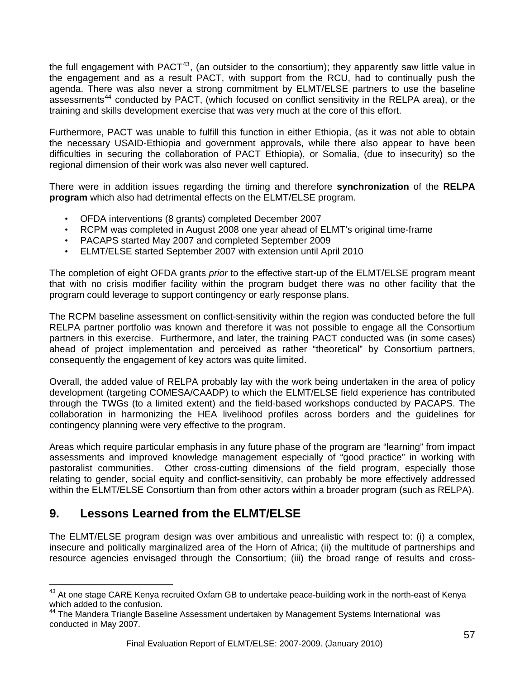<span id="page-56-0"></span>the full engagement with PACT<sup>[43](#page-56-0)</sup>, (an outsider to the consortium); they apparently saw little value in the engagement and as a result PACT, with support from the RCU, had to continually push the agenda. There was also never a strong commitment by ELMT/ELSE partners to use the baseline assessments<sup>[44](#page-56-0)</sup> conducted by PACT, (which focused on conflict sensitivity in the RELPA area), or the training and skills development exercise that was very much at the core of this effort.

Furthermore, PACT was unable to fulfill this function in either Ethiopia, (as it was not able to obtain the necessary USAID-Ethiopia and government approvals, while there also appear to have been difficulties in securing the collaboration of PACT Ethiopia), or Somalia, (due to insecurity) so the regional dimension of their work was also never well captured.

There were in addition issues regarding the timing and therefore **synchronization** of the **RELPA program** which also had detrimental effects on the ELMT/ELSE program.

- OFDA interventions (8 grants) completed December 2007
- RCPM was completed in August 2008 one year ahead of ELMT's original time-frame
- PACAPS started May 2007 and completed September 2009
- ELMT/ELSE started September 2007 with extension until April 2010

The completion of eight OFDA grants *prior* to the effective start-up of the ELMT/ELSE program meant that with no crisis modifier facility within the program budget there was no other facility that the program could leverage to support contingency or early response plans.

The RCPM baseline assessment on conflict-sensitivity within the region was conducted before the full RELPA partner portfolio was known and therefore it was not possible to engage all the Consortium partners in this exercise. Furthermore, and later, the training PACT conducted was (in some cases) ahead of project implementation and perceived as rather "theoretical" by Consortium partners, consequently the engagement of key actors was quite limited.

Overall, the added value of RELPA probably lay with the work being undertaken in the area of policy development (targeting COMESA/CAADP) to which the ELMT/ELSE field experience has contributed through the TWGs (to a limited extent) and the field-based workshops conducted by PACAPS. The collaboration in harmonizing the HEA livelihood profiles across borders and the guidelines for contingency planning were very effective to the program.

Areas which require particular emphasis in any future phase of the program are "learning" from impact assessments and improved knowledge management especially of "good practice" in working with pastoralist communities. Other cross-cutting dimensions of the field program, especially those relating to gender, social equity and conflict-sensitivity, can probably be more effectively addressed within the ELMT/ELSE Consortium than from other actors within a broader program (such as RELPA).

# **9. Lessons Learned from the ELMT/ELSE**

 $\overline{a}$ 

The ELMT/ELSE program design was over ambitious and unrealistic with respect to: (i) a complex, insecure and politically marginalized area of the Horn of Africa; (ii) the multitude of partnerships and resource agencies envisaged through the Consortium; (iii) the broad range of results and cross-

<sup>&</sup>lt;sup>43</sup> At one stage CARE Kenya recruited Oxfam GB to undertake peace-building work in the north-east of Kenya which added to the confusion.

<sup>&</sup>lt;sup>44</sup> The Mandera Triangle Baseline Assessment undertaken by Management Systems International was conducted in May 2007.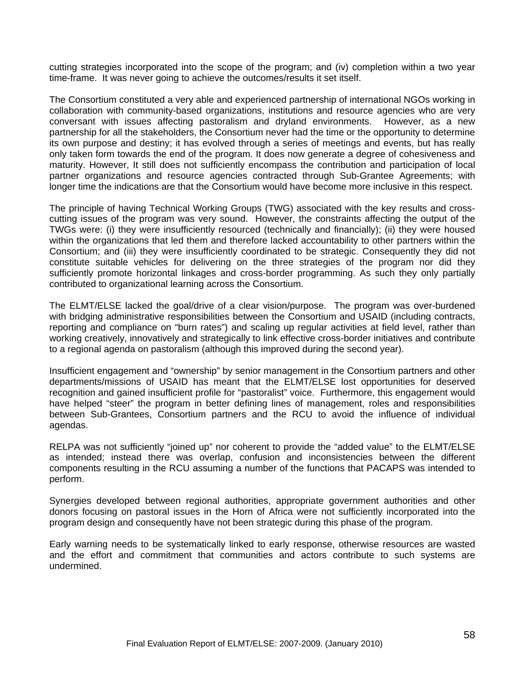cutting strategies incorporated into the scope of the program; and (iv) completion within a two year time-frame. It was never going to achieve the outcomes/results it set itself.

The Consortium constituted a very able and experienced partnership of international NGOs working in collaboration with community-based organizations, institutions and resource agencies who are very conversant with issues affecting pastoralism and dryland environments. However, as a new partnership for all the stakeholders, the Consortium never had the time or the opportunity to determine its own purpose and destiny; it has evolved through a series of meetings and events, but has really only taken form towards the end of the program. It does now generate a degree of cohesiveness and maturity. However, It still does not sufficiently encompass the contribution and participation of local partner organizations and resource agencies contracted through Sub-Grantee Agreements; with longer time the indications are that the Consortium would have become more inclusive in this respect.

The principle of having Technical Working Groups (TWG) associated with the key results and crosscutting issues of the program was very sound. However, the constraints affecting the output of the TWGs were: (i) they were insufficiently resourced (technically and financially); (ii) they were housed within the organizations that led them and therefore lacked accountability to other partners within the Consortium; and (iii) they were insufficiently coordinated to be strategic. Consequently they did not constitute suitable vehicles for delivering on the three strategies of the program nor did they sufficiently promote horizontal linkages and cross-border programming. As such they only partially contributed to organizational learning across the Consortium.

The ELMT/ELSE lacked the goal/drive of a clear vision/purpose. The program was over-burdened with bridging administrative responsibilities between the Consortium and USAID (including contracts, reporting and compliance on "burn rates") and scaling up regular activities at field level, rather than working creatively, innovatively and strategically to link effective cross-border initiatives and contribute to a regional agenda on pastoralism (although this improved during the second year).

Insufficient engagement and "ownership" by senior management in the Consortium partners and other departments/missions of USAID has meant that the ELMT/ELSE lost opportunities for deserved recognition and gained insufficient profile for "pastoralist" voice. Furthermore, this engagement would have helped "steer" the program in better defining lines of management, roles and responsibilities between Sub-Grantees, Consortium partners and the RCU to avoid the influence of individual agendas.

RELPA was not sufficiently "joined up" nor coherent to provide the "added value" to the ELMT/ELSE as intended; instead there was overlap, confusion and inconsistencies between the different components resulting in the RCU assuming a number of the functions that PACAPS was intended to perform.

Synergies developed between regional authorities, appropriate government authorities and other donors focusing on pastoral issues in the Horn of Africa were not sufficiently incorporated into the program design and consequently have not been strategic during this phase of the program.

Early warning needs to be systematically linked to early response, otherwise resources are wasted and the effort and commitment that communities and actors contribute to such systems are undermined.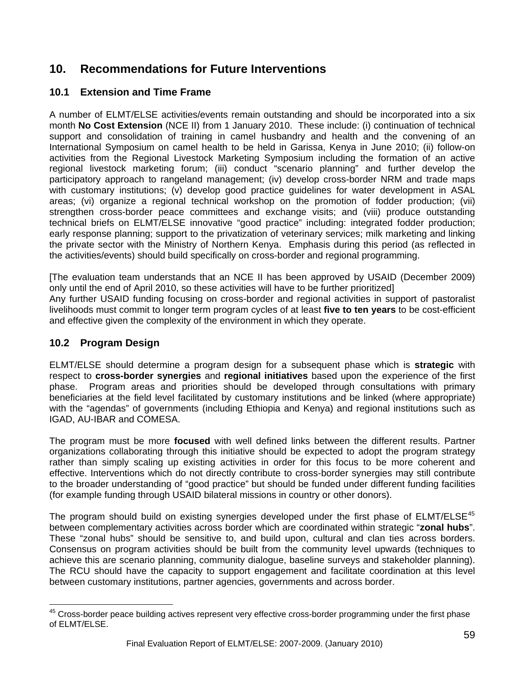# <span id="page-58-0"></span>**10. Recommendations for Future Interventions**

### **10.1 Extension and Time Frame**

A number of ELMT/ELSE activities/events remain outstanding and should be incorporated into a six month **No Cost Extension** (NCE II) from 1 January 2010. These include: (i) continuation of technical support and consolidation of training in camel husbandry and health and the convening of an International Symposium on camel health to be held in Garissa, Kenya in June 2010; (ii) follow-on activities from the Regional Livestock Marketing Symposium including the formation of an active regional livestock marketing forum; (iii) conduct "scenario planning" and further develop the participatory approach to rangeland management; (iv) develop cross-border NRM and trade maps with customary institutions; (v) develop good practice guidelines for water development in ASAL areas; (vi) organize a regional technical workshop on the promotion of fodder production; (vii) strengthen cross-border peace committees and exchange visits; and (viii) produce outstanding technical briefs on ELMT/ELSE innovative "good practice" including: integrated fodder production; early response planning; support to the privatization of veterinary services; milk marketing and linking the private sector with the Ministry of Northern Kenya. Emphasis during this period (as reflected in the activities/events) should build specifically on cross-border and regional programming.

[The evaluation team understands that an NCE II has been approved by USAID (December 2009) only until the end of April 2010, so these activities will have to be further prioritized] Any further USAID funding focusing on cross-border and regional activities in support of pastoralist livelihoods must commit to longer term program cycles of at least **five to ten years** to be cost-efficient and effective given the complexity of the environment in which they operate.

### **10.2 Program Design**

ELMT/ELSE should determine a program design for a subsequent phase which is **strategic** with respect to **cross-border synergies** and **regional initiatives** based upon the experience of the first phase. Program areas and priorities should be developed through consultations with primary beneficiaries at the field level facilitated by customary institutions and be linked (where appropriate) with the "agendas" of governments (including Ethiopia and Kenya) and regional institutions such as IGAD, AU-IBAR and COMESA.

The program must be more **focused** with well defined links between the different results. Partner organizations collaborating through this initiative should be expected to adopt the program strategy rather than simply scaling up existing activities in order for this focus to be more coherent and effective. Interventions which do not directly contribute to cross-border synergies may still contribute to the broader understanding of "good practice" but should be funded under different funding facilities (for example funding through USAID bilateral missions in country or other donors).

The program should build on existing synergies developed under the first phase of ELMT/ELSE<sup>[45](#page-58-0)</sup> between complementary activities across border which are coordinated within strategic "**zonal hubs**". These "zonal hubs" should be sensitive to, and build upon, cultural and clan ties across borders. Consensus on program activities should be built from the community level upwards (techniques to achieve this are scenario planning, community dialogue, baseline surveys and stakeholder planning). The RCU should have the capacity to support engagement and facilitate coordination at this level between customary institutions, partner agencies, governments and across border.

 $\overline{a}$  $45$  Cross-border peace building actives represent very effective cross-border programming under the first phase of ELMT/ELSE.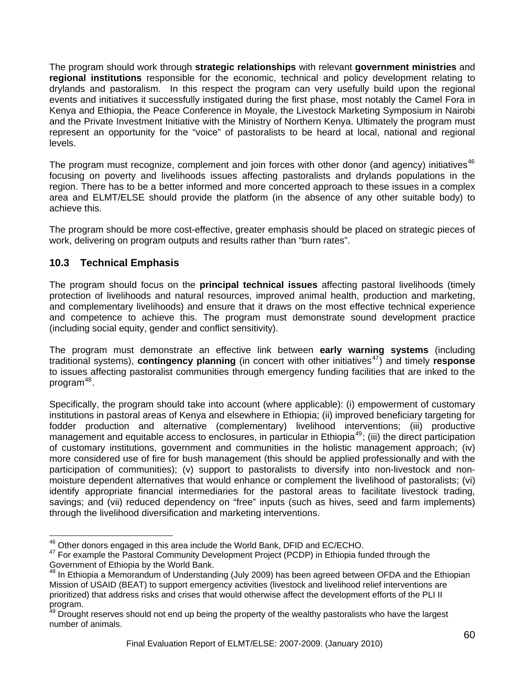<span id="page-59-0"></span>The program should work through **strategic relationships** with relevant **government ministries** and **regional institutions** responsible for the economic, technical and policy development relating to drylands and pastoralism. In this respect the program can very usefully build upon the regional events and initiatives it successfully instigated during the first phase, most notably the Camel Fora in Kenya and Ethiopia, the Peace Conference in Moyale, the Livestock Marketing Symposium in Nairobi and the Private Investment Initiative with the Ministry of Northern Kenya. Ultimately the program must represent an opportunity for the "voice" of pastoralists to be heard at local, national and regional levels.

The program must recognize, complement and join forces with other donor (and agency) initiatives<sup>[46](#page-59-0)</sup> focusing on poverty and livelihoods issues affecting pastoralists and drylands populations in the region. There has to be a better informed and more concerted approach to these issues in a complex area and ELMT/ELSE should provide the platform (in the absence of any other suitable body) to achieve this.

The program should be more cost-effective, greater emphasis should be placed on strategic pieces of work, delivering on program outputs and results rather than "burn rates".

# **10.3 Technical Emphasis**

The program should focus on the **principal technical issues** affecting pastoral livelihoods (timely protection of livelihoods and natural resources, improved animal health, production and marketing, and complementary livelihoods) and ensure that it draws on the most effective technical experience and competence to achieve this. The program must demonstrate sound development practice (including social equity, gender and conflict sensitivity).

The program must demonstrate an effective link between **early warning systems** (including traditional systems), **contingency planning** (in concert with other initiatives<sup>[47](#page-59-0)</sup>) and timely **response** to issues affecting pastoralist communities through emergency funding facilities that are inked to the program $48$ .

Specifically, the program should take into account (where applicable): (i) empowerment of customary institutions in pastoral areas of Kenya and elsewhere in Ethiopia; (ii) improved beneficiary targeting for fodder production and alternative (complementary) livelihood interventions; (iii) productive management and equitable access to enclosures, in particular in Ethiopia<sup>[49](#page-59-0)</sup>; (iii) the direct participation of customary institutions, government and communities in the holistic management approach; (iv) more considered use of fire for bush management (this should be applied professionally and with the participation of communities); (v) support to pastoralists to diversify into non-livestock and nonmoisture dependent alternatives that would enhance or complement the livelihood of pastoralists; (vi) identify appropriate financial intermediaries for the pastoral areas to facilitate livestock trading, savings; and (vii) reduced dependency on "free" inputs (such as hives, seed and farm implements) through the livelihood diversification and marketing interventions.

<sup>&</sup>lt;sup>46</sup> Other donors engaged in this area include the World Bank, DFID and EC/ECHO.

<sup>&</sup>lt;sup>47</sup> For example the Pastoral Community Development Project (PCDP) in Ethiopia funded through the Government of Ethiopia by the World Bank.

<sup>&</sup>lt;sup>48</sup> In Ethiopia a Memorandum of Understanding (July 2009) has been agreed between OFDA and the Ethiopian Mission of USAID (BEAT) to support emergency activities (livestock and livelihood relief interventions are prioritized) that address risks and crises that would otherwise affect the development efforts of the PLI II program.

Drought reserves should not end up being the property of the wealthy pastoralists who have the largest number of animals.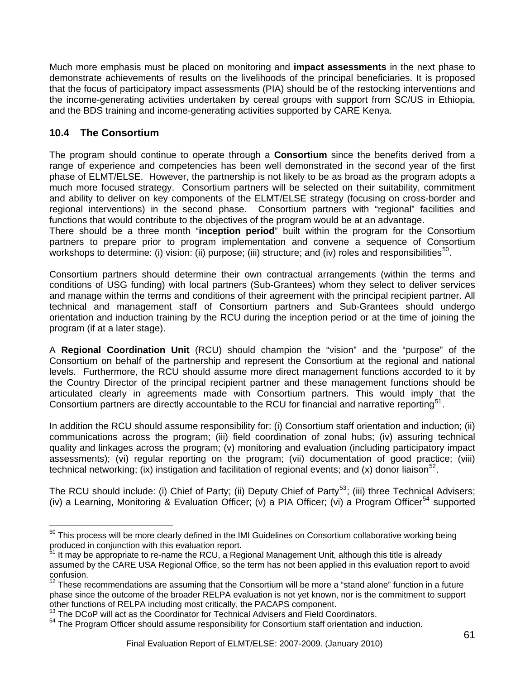<span id="page-60-0"></span>Much more emphasis must be placed on monitoring and **impact assessments** in the next phase to demonstrate achievements of results on the livelihoods of the principal beneficiaries. It is proposed that the focus of participatory impact assessments (PIA) should be of the restocking interventions and the income-generating activities undertaken by cereal groups with support from SC/US in Ethiopia, and the BDS training and income-generating activities supported by CARE Kenya.

# **10.4 The Consortium**

 $\overline{a}$ 

The program should continue to operate through a **Consortium** since the benefits derived from a range of experience and competencies has been well demonstrated in the second year of the first phase of ELMT/ELSE. However, the partnership is not likely to be as broad as the program adopts a much more focused strategy. Consortium partners will be selected on their suitability, commitment and ability to deliver on key components of the ELMT/ELSE strategy (focusing on cross-border and regional interventions) in the second phase. Consortium partners with "regional" facilities and functions that would contribute to the objectives of the program would be at an advantage.

There should be a three month "**inception period**" built within the program for the Consortium partners to prepare prior to program implementation and convene a sequence of Consortium workshops to determine: (i) vision: (ii) purpose; (iii) structure; and (iv) roles and responsibilities<sup>[50](#page-60-0)</sup>.

Consortium partners should determine their own contractual arrangements (within the terms and conditions of USG funding) with local partners (Sub-Grantees) whom they select to deliver services and manage within the terms and conditions of their agreement with the principal recipient partner. All technical and management staff of Consortium partners and Sub-Grantees should undergo orientation and induction training by the RCU during the inception period or at the time of joining the program (if at a later stage).

A **Regional Coordination Unit** (RCU) should champion the "vision" and the "purpose" of the Consortium on behalf of the partnership and represent the Consortium at the regional and national levels. Furthermore, the RCU should assume more direct management functions accorded to it by the Country Director of the principal recipient partner and these management functions should be articulated clearly in agreements made with Consortium partners. This would imply that the Consortium partners are directly accountable to the RCU for financial and narrative reporting<sup>[51](#page-60-0)</sup>.

In addition the RCU should assume responsibility for: (i) Consortium staff orientation and induction; (ii) communications across the program; (iii) field coordination of zonal hubs; (iv) assuring technical quality and linkages across the program; (v) monitoring and evaluation (including participatory impact assessments); (vi) regular reporting on the program; (vii) documentation of good practice; (viii) technical networking; (ix) instigation and facilitation of regional events; and (x) donor liaison<sup>[52](#page-60-0)</sup>.

The RCU should include: (i) Chief of Party; (ii) Deputy Chief of Party<sup>[53](#page-60-0)</sup>; (iii) three Technical Advisers; (iv) a Learning, Monitoring & Evaluation Officer; (v) a PIA Officer; (vi) a Program Officer<sup>[54](#page-60-0)</sup> supported

 $50$  This process will be more clearly defined in the IMI Guidelines on Consortium collaborative working being produced in conjunction with this evaluation report.

It may be appropriate to re-name the RCU, a Regional Management Unit, although this title is already assumed by the CARE USA Regional Office, so the term has not been applied in this evaluation report to avoid confusion.

 $52$  These recommendations are assuming that the Consortium will be more a "stand alone" function in a future phase since the outcome of the broader RELPA evaluation is not yet known, nor is the commitment to support other functions of RELPA including most critically, the PACAPS component. 53 The DCoP will act as the Coordinator for Technical Advisers and Field Coordinators.

<sup>&</sup>lt;sup>54</sup> The Program Officer should assume responsibility for Consortium staff orientation and induction.